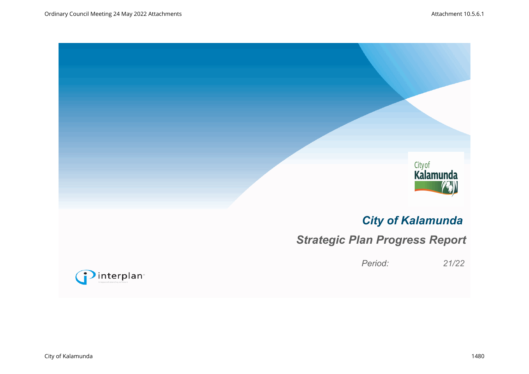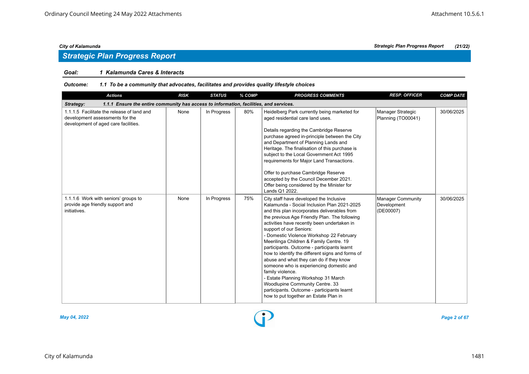## *Goal: 1 Kalamunda Cares & Interacts*

### *Outcome: 1.1 To be a community that advocates, facilitates and provides quality lifestyle choices*

| <b>Actions</b>                                                                                                        | <b>RISK</b> | <b>STATUS</b> | % COMP | <b>PROGRESS COMMENTS</b>                                                                                                                                                                                                                                                                                                                                                                                                                                                                                                                                                                                                                                                                                                                 | <b>RESP. OFFICER</b>                          | <b>COMP DATE</b> |
|-----------------------------------------------------------------------------------------------------------------------|-------------|---------------|--------|------------------------------------------------------------------------------------------------------------------------------------------------------------------------------------------------------------------------------------------------------------------------------------------------------------------------------------------------------------------------------------------------------------------------------------------------------------------------------------------------------------------------------------------------------------------------------------------------------------------------------------------------------------------------------------------------------------------------------------------|-----------------------------------------------|------------------|
| 1.1.1 Ensure the entire community has access to information, facilities, and services.<br>Strategy:                   |             |               |        |                                                                                                                                                                                                                                                                                                                                                                                                                                                                                                                                                                                                                                                                                                                                          |                                               |                  |
| 1.1.1.5 Facilitate the release of land and<br>development assessments for the<br>development of aged care facilities. | None        | In Progress   | 80%    | Heidelberg Park currently being marketed for<br>aged residential care land uses.<br>Details regarding the Cambridge Reserve<br>purchase agreed in-principle between the City<br>and Department of Planning Lands and<br>Heritage. The finalisation of this purchase is<br>subject to the Local Government Act 1995<br>requirements for Major Land Transactions.<br>Offer to purchase Cambridge Reserve<br>accepted by the Council December 2021.<br>Offer being considered by the Minister for<br>Lands Q1 2022.                                                                                                                                                                                                                         | Manager Strategic<br>Planning (TO00041)       | 30/06/2025       |
| 1.1.1.6 Work with seniors' groups to<br>provide age friendly support and<br>initiatives.                              | None        | In Progress   | 75%    | City staff have developed the Inclusive<br>Kalamunda - Social Inclusion Plan 2021-2025<br>and this plan incorporates deliverables from<br>the previous Age Friendly Plan. The following<br>activities have recently been undertaken in<br>support of our Seniors:<br>- Domestic Violence Workshop 22 February<br>Meerilinga Children & Family Centre. 19<br>participants. Outcome - participants learnt<br>how to identify the different signs and forms of<br>abuse and what they can do if they know<br>someone who is experiencing domestic and<br>family violence.<br>- Estate Planning Workshop 31 March<br>Woodlupine Community Centre. 33<br>participants. Outcome - participants learnt<br>how to put together an Estate Plan in | Manager Community<br>Development<br>(DE00007) | 30/06/2025       |



*May 04, 2022 Page 2 of 67*

# *City of Kalamunda Strategic Plan Progress Report (21/22)*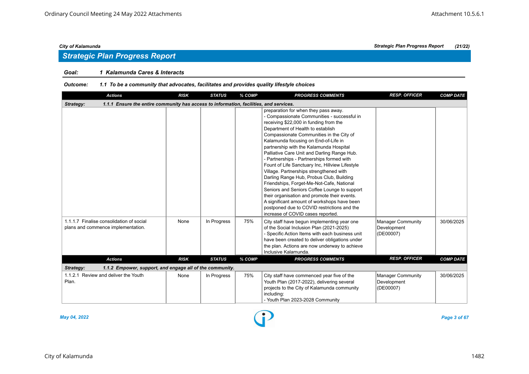# *Strategic Plan Progress Report*

# *Goal: 1 Kalamunda Cares & Interacts*

### *Outcome: 1.1 To be a community that advocates, facilitates and provides quality lifestyle choices*

| <b>Actions</b>                                                                                      | <b>RISK</b> | <b>STATUS</b> | % COMP | <b>PROGRESS COMMENTS</b>                                                                                                                                                                                                                                                                                                                                                                                                                                                                                                                                                                                                                                                                                                                                                                                                | <b>RESP. OFFICER</b>                                 | <b>COMP DATE</b> |
|-----------------------------------------------------------------------------------------------------|-------------|---------------|--------|-------------------------------------------------------------------------------------------------------------------------------------------------------------------------------------------------------------------------------------------------------------------------------------------------------------------------------------------------------------------------------------------------------------------------------------------------------------------------------------------------------------------------------------------------------------------------------------------------------------------------------------------------------------------------------------------------------------------------------------------------------------------------------------------------------------------------|------------------------------------------------------|------------------|
| 1.1.1 Ensure the entire community has access to information, facilities, and services.<br>Strategy: |             |               |        |                                                                                                                                                                                                                                                                                                                                                                                                                                                                                                                                                                                                                                                                                                                                                                                                                         |                                                      |                  |
|                                                                                                     |             |               |        | preparation for when they pass away.<br>- Compassionate Communities - successful in<br>receiving \$22,000 in funding from the<br>Department of Health to establish<br>Compassionate Communities in the City of<br>Kalamunda focusing on End-of-Life in<br>partnership with the Kalamunda Hospital<br>Palliative Care Unit and Darling Range Hub.<br>- Partnerships - Partnerships formed with<br>Fount of Life Sanctuary Inc, Hillview Lifestyle<br>Village. Partnerships strengthened with<br>Darling Range Hub, Probus Club, Building<br>Friendships, Forget-Me-Not-Cafe, National<br>Seniors and Seniors Coffee Lounge to support<br>their organisation and promote their events.<br>A significant amount of workshops have been<br>postponed due to COVID restrictions and the<br>increase of COVID cases reported. |                                                      |                  |
| 1.1.1.7 Finalise consolidation of social<br>plans and commence implementation.                      | None        | In Progress   | 75%    | City staff have begun implementing year one<br>of the Social Inclusion Plan (2021-2025)<br>- Specific Action Items with each business unit<br>have been created to deliver obligations under<br>the plan. Actions are now underway to achieve<br>Inclusive Kalamunda.                                                                                                                                                                                                                                                                                                                                                                                                                                                                                                                                                   | <b>Manager Community</b><br>Development<br>(DE00007) | 30/06/2025       |
| <b>Actions</b>                                                                                      | <b>RISK</b> | <b>STATUS</b> | % COMP | <b>PROGRESS COMMENTS</b>                                                                                                                                                                                                                                                                                                                                                                                                                                                                                                                                                                                                                                                                                                                                                                                                | <b>RESP. OFFICER</b>                                 | <b>COMP DATE</b> |
| Strategy:<br>1.1.2 Empower, support, and engage all of the community.                               |             |               |        |                                                                                                                                                                                                                                                                                                                                                                                                                                                                                                                                                                                                                                                                                                                                                                                                                         |                                                      |                  |
| 1.1.2.1 Review and deliver the Youth<br>Plan.                                                       | None        | In Progress   | 75%    | City staff have commenced year five of the<br>Youth Plan (2017-2022), delivering several<br>projects to the City of Kalamunda community<br>including:<br>- Youth Plan 2023-2028 Community                                                                                                                                                                                                                                                                                                                                                                                                                                                                                                                                                                                                                               | <b>Manager Community</b><br>Development<br>(DE00007) | 30/06/2025       |

*May 04, 2022 Page 3 of 67*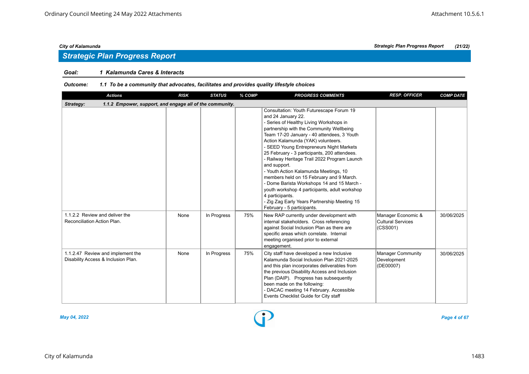# *Strategic Plan Progress Report*

# *Goal: 1 Kalamunda Cares & Interacts*

### *Outcome: 1.1 To be a community that advocates, facilitates and provides quality lifestyle choices*

| <b>Actions</b>                                                           | <b>RISK</b> | <b>STATUS</b> | % COMP | <b>PROGRESS COMMENTS</b>                                                                                                                                                                                                                                                                                                                                                                                                                                                                                                                                                                                                                                                                   | <b>RESP. OFFICER</b>                                       | <b>COMP DATE</b> |
|--------------------------------------------------------------------------|-------------|---------------|--------|--------------------------------------------------------------------------------------------------------------------------------------------------------------------------------------------------------------------------------------------------------------------------------------------------------------------------------------------------------------------------------------------------------------------------------------------------------------------------------------------------------------------------------------------------------------------------------------------------------------------------------------------------------------------------------------------|------------------------------------------------------------|------------------|
| 1.1.2 Empower, support, and engage all of the community.<br>Strategy:    |             |               |        |                                                                                                                                                                                                                                                                                                                                                                                                                                                                                                                                                                                                                                                                                            |                                                            |                  |
|                                                                          |             |               |        | Consultation: Youth Futurescape Forum 19<br>and 24 January 22.<br>- Series of Healthy Living Workshops in<br>partnership with the Community Wellbeing<br>Team 17-20 January - 40 attendees, 3 Youth<br>Action Kalamunda (YAK) volunteers.<br>- SEED Young Entrepreneurs Night Markets<br>25 February - 3 participants, 200 attendees.<br>- Railway Heritage Trail 2022 Program Launch<br>and support.<br>- Youth Action Kalamunda Meetings, 10<br>members held on 15 February and 9 March.<br>- Dome Barista Workshops 14 and 15 March -<br>youth workshop 4 participants, adult workshop<br>4 participants.<br>- Zig Zag Early Years Partnership Meeting 15<br>February - 5 participants. |                                                            |                  |
| 1.1.2.2 Review and deliver the<br>Reconciliation Action Plan.            | None        | In Progress   | 75%    | New RAP currently under development with<br>internal stakeholders. Cross referencing<br>against Social Inclusion Plan as there are<br>specific areas which correlate. Internal<br>meeting organised prior to external<br>engagement.                                                                                                                                                                                                                                                                                                                                                                                                                                                       | Manager Economic &<br><b>Cultural Services</b><br>(CSS001) | 30/06/2025       |
| 1.1.2.47 Review and implement the<br>Disability Access & Inclusion Plan. | None        | In Progress   | 75%    | City staff have developed a new Inclusive<br>Kalamunda Social Inclusion Plan 2021-2025<br>and this plan incorporates deliverables from<br>the previous Disability Access and Inclusion<br>Plan (DAIP). Progress has subsequently<br>been made on the following:<br>- DACAC meeting 14 February. Accessible<br>Events Checklist Guide for City staff                                                                                                                                                                                                                                                                                                                                        | <b>Manager Community</b><br>Development<br>(DE00007)       | 30/06/2025       |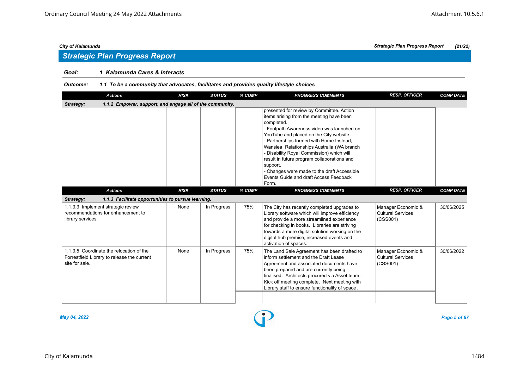# *Strategic Plan Progress Report*

# *Goal: 1 Kalamunda Cares & Interacts*

### *Outcome: 1.1 To be a community that advocates, facilitates and provides quality lifestyle choices*

| <b>Actions</b>                                                                                            | <b>RISK</b> | <b>STATUS</b> | % COMP | <b>PROGRESS COMMENTS</b>                                                                                                                                                                                                                                                                                                                                                                                                                                                                          | <b>RESP. OFFICER</b>                                       | <b>COMP DATE</b> |
|-----------------------------------------------------------------------------------------------------------|-------------|---------------|--------|---------------------------------------------------------------------------------------------------------------------------------------------------------------------------------------------------------------------------------------------------------------------------------------------------------------------------------------------------------------------------------------------------------------------------------------------------------------------------------------------------|------------------------------------------------------------|------------------|
| 1.1.2 Empower, support, and engage all of the community.<br>Strategy:                                     |             |               |        |                                                                                                                                                                                                                                                                                                                                                                                                                                                                                                   |                                                            |                  |
|                                                                                                           |             |               |        | presented for review by Committee. Action<br>items arising from the meeting have been<br>completed.<br>- Footpath Awareness video was launched on<br>YouTube and placed on the City website.<br>- Partnerships formed with Home Instead,<br>Wanslea, Relationships Australia (WA branch<br>- Disability Royal Commission) which will<br>result in future program collaborations and<br>support.<br>- Changes were made to the draft Accessible<br>Events Guide and draft Access Feedback<br>Form. |                                                            |                  |
| <b>Actions</b>                                                                                            | <b>RISK</b> | <b>STATUS</b> | % COMP | <b>PROGRESS COMMENTS</b>                                                                                                                                                                                                                                                                                                                                                                                                                                                                          | <b>RESP. OFFICER</b>                                       | <b>COMP DATE</b> |
| Strategy:<br>1.1.3 Facilitate opportunities to pursue learning.                                           |             |               |        |                                                                                                                                                                                                                                                                                                                                                                                                                                                                                                   |                                                            |                  |
| 1.1.3.3 Implement strategic review<br>recommendations for enhancement to<br>library services.             | None        | In Progress   | 75%    | The City has recently completed upgrades to<br>Library software which will improve efficiency<br>and provide a more streamlined experience<br>for checking in books. Libraries are striving<br>towards a more digital solution working on the<br>digital hub premise, increased events and<br>activation of spaces.                                                                                                                                                                               | Manager Economic &<br><b>Cultural Services</b><br>(CSS001) | 30/06/2025       |
| 1.1.3.5 Coordinate the relocation of the<br>Forrestfield Library to release the current<br>site for sale. | None        | In Progress   | 75%    | The Land Sale Agreement has been drafted to<br>inform settlement and the Draft Lease<br>Agreement and associated documents have<br>been prepared and are currently being<br>finalised. Architects procured via Asset team -<br>Kick off meeting complete. Next meeting with<br>Library staff to ensure functionality of space.                                                                                                                                                                    | Manager Economic &<br><b>Cultural Services</b><br>(CSS001) | 30/06/2022       |
|                                                                                                           |             |               |        |                                                                                                                                                                                                                                                                                                                                                                                                                                                                                                   |                                                            |                  |

*May 04, 2022 Page 5 of 67*

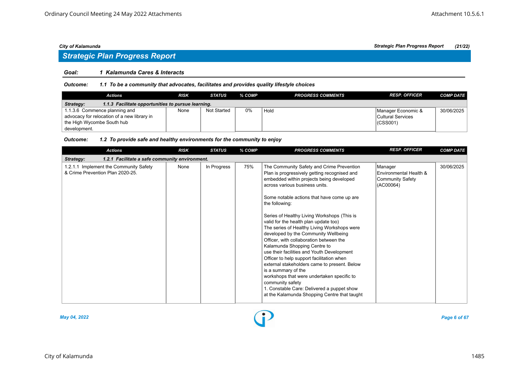# *Strategic Plan Progress Report*

## *Goal: 1 Kalamunda Cares & Interacts*

*Outcome: 1.1 To be a community that advocates, facilitates and provides quality lifestyle choices*

| Actions                                                         | <b>RISK</b> | <b>STATUS</b>      | % COMP | <b>PROGRESS COMMENTS</b> | <b>RESP. OFFICER</b>     | <b>COMP DATE</b> |  |  |  |  |
|-----------------------------------------------------------------|-------------|--------------------|--------|--------------------------|--------------------------|------------------|--|--|--|--|
| 1.1.3 Facilitate opportunities to pursue learning.<br>Strategy: |             |                    |        |                          |                          |                  |  |  |  |  |
| 1.1.3.6 Commence planning and                                   | None        | <b>Not Started</b> | 0%     | Hold                     | Manager Economic &       | 30/06/2025       |  |  |  |  |
| advocacy for relocation of a new library in                     |             |                    |        |                          | <b>Cultural Services</b> |                  |  |  |  |  |
| the High Wycombe South hub                                      |             |                    |        |                          | (CSS001)                 |                  |  |  |  |  |
| development.                                                    |             |                    |        |                          |                          |                  |  |  |  |  |

### *Outcome: 1.2 To provide safe and healthy environments for the community to enjoy*

| <b>Actions</b>                                                             | <b>RISK</b>                                    | <b>STATUS</b> | % COMP | <b>PROGRESS COMMENTS</b>                                                                                                                                                                                                                                                                                                                                                                                                                                                                                                                                                                                                                                                                                                                                                                                                            | <b>RESP. OFFICER</b>                                                      | <b>COMP DATE</b> |  |  |  |  |  |  |
|----------------------------------------------------------------------------|------------------------------------------------|---------------|--------|-------------------------------------------------------------------------------------------------------------------------------------------------------------------------------------------------------------------------------------------------------------------------------------------------------------------------------------------------------------------------------------------------------------------------------------------------------------------------------------------------------------------------------------------------------------------------------------------------------------------------------------------------------------------------------------------------------------------------------------------------------------------------------------------------------------------------------------|---------------------------------------------------------------------------|------------------|--|--|--|--|--|--|
| Strategy:                                                                  | 1.2.1 Facilitate a safe community environment. |               |        |                                                                                                                                                                                                                                                                                                                                                                                                                                                                                                                                                                                                                                                                                                                                                                                                                                     |                                                                           |                  |  |  |  |  |  |  |
| 1.2.1.1 Implement the Community Safety<br>& Crime Prevention Plan 2020-25. | None                                           | In Progress   | 75%    | The Community Safety and Crime Prevention<br>Plan is progressively getting recognised and<br>embedded within projects being developed<br>across various business units.<br>Some notable actions that have come up are<br>the following:<br>Series of Healthy Living Workshops (This is<br>valid for the health plan update too)<br>The series of Healthy Living Workshops were<br>developed by the Community Wellbeing<br>Officer, with collaboration between the<br>Kalamunda Shopping Centre to<br>use their facilities and Youth Development<br>Officer to help support facilitation when<br>external stakeholders came to present. Below<br>is a summary of the<br>workshops that were undertaken specific to<br>community safety<br>1. Constable Care: Delivered a puppet show<br>at the Kalamunda Shopping Centre that taught | Manager<br>Environmental Health &<br><b>Community Safety</b><br>(AC00064) | 30/06/2025       |  |  |  |  |  |  |

*May 04, 2022 Page 6 of 67*

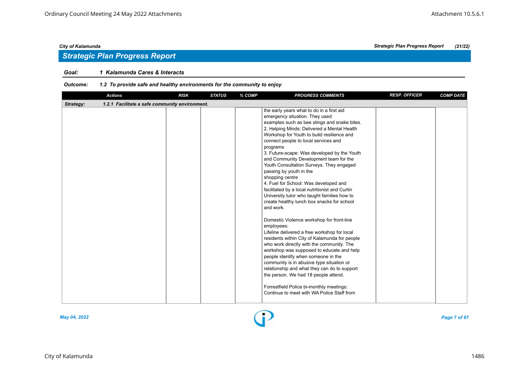# *Goal: 1 Kalamunda Cares & Interacts*

# *Outcome: 1.2 To provide safe and healthy environments for the community to enjoy*

|           | <b>Actions</b>                                 | <b>RISK</b> | <b>STATUS</b> | % COMP | <b>PROGRESS COMMENTS</b>                                                                                                                                                                                                                                                                                                                                                                                                                                                                                                                                                                                                                                                                                                                                                                                                                                                                                                                                                                                                                                                                                                                                                                         | <b>RESP. OFFICER</b> | <b>COMP DATE</b> |
|-----------|------------------------------------------------|-------------|---------------|--------|--------------------------------------------------------------------------------------------------------------------------------------------------------------------------------------------------------------------------------------------------------------------------------------------------------------------------------------------------------------------------------------------------------------------------------------------------------------------------------------------------------------------------------------------------------------------------------------------------------------------------------------------------------------------------------------------------------------------------------------------------------------------------------------------------------------------------------------------------------------------------------------------------------------------------------------------------------------------------------------------------------------------------------------------------------------------------------------------------------------------------------------------------------------------------------------------------|----------------------|------------------|
| Strategy: | 1.2.1 Facilitate a safe community environment. |             |               |        |                                                                                                                                                                                                                                                                                                                                                                                                                                                                                                                                                                                                                                                                                                                                                                                                                                                                                                                                                                                                                                                                                                                                                                                                  |                      |                  |
|           |                                                |             |               |        | the early years what to do in a first aid<br>emergency situation. They used<br>examples such as bee stings and snake bites.<br>2. Helping Minds: Delivered a Mental Health<br>Workshop for Youth to build resilience and<br>connect people to local services and<br>programs<br>3. Future-scape: Was developed by the Youth<br>and Community Development team for the<br>Youth Consultation Surveys. They engaged<br>passing by youth in the<br>shopping centre<br>4. Fuel for School: Was developed and<br>facilitated by a local nutritionist and Curtin<br>University tutor who taught families how to<br>create healthy lunch box snacks for school<br>and work.<br>Domestic Violence workshop for front-line<br>employees:<br>Lifeline delivered a free workshop for local<br>residents within City of Kalamunda for people<br>who work directly with the community. The<br>workshop was supposed to educate and help<br>people identify when someone in the<br>community is in abusive type situation or<br>relationship and what they can do to support<br>the person. We had 18 people attend.<br>Forrestfield Police bi-monthly meetings:<br>Continue to meet with WA Police Staff from |                      |                  |
|           |                                                |             |               |        |                                                                                                                                                                                                                                                                                                                                                                                                                                                                                                                                                                                                                                                                                                                                                                                                                                                                                                                                                                                                                                                                                                                                                                                                  |                      |                  |



# *City of Kalamunda Strategic Plan Progress Report (21/22)*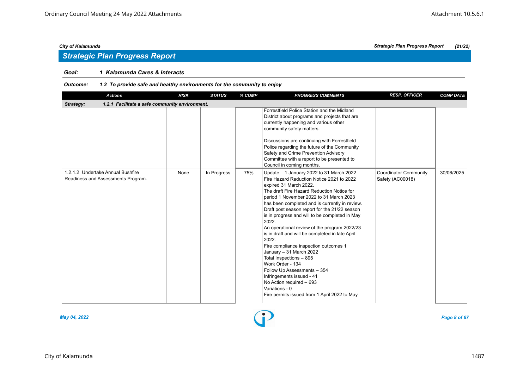# *Strategic Plan Progress Report*

# *Goal: 1 Kalamunda Cares & Interacts*

# *Outcome: 1.2 To provide safe and healthy environments for the community to enjoy*

| <b>Actions</b>                                                          | <b>RISK</b> | <b>STATUS</b> | % COMP | <b>PROGRESS COMMENTS</b>                                                                                                                                                                                                                                                                                                                                                                                                                                                                                                                                                                                                                                                                                                                                        | <b>RESP. OFFICER</b>                      | <b>COMP DATE</b> |  |  |  |  |  |
|-------------------------------------------------------------------------|-------------|---------------|--------|-----------------------------------------------------------------------------------------------------------------------------------------------------------------------------------------------------------------------------------------------------------------------------------------------------------------------------------------------------------------------------------------------------------------------------------------------------------------------------------------------------------------------------------------------------------------------------------------------------------------------------------------------------------------------------------------------------------------------------------------------------------------|-------------------------------------------|------------------|--|--|--|--|--|
| 1.2.1 Facilitate a safe community environment.<br>Strategy:             |             |               |        |                                                                                                                                                                                                                                                                                                                                                                                                                                                                                                                                                                                                                                                                                                                                                                 |                                           |                  |  |  |  |  |  |
|                                                                         |             |               |        | Forrestfield Police Station and the Midland<br>District about programs and projects that are<br>currently happening and various other<br>community safety matters.<br>Discussions are continuing with Forrestfield<br>Police regarding the future of the Community<br>Safety and Crime Prevention Advisory<br>Committee with a report to be presented to<br>Council in coming months.                                                                                                                                                                                                                                                                                                                                                                           |                                           |                  |  |  |  |  |  |
| 1.2.1.2 Undertake Annual Bushfire<br>Readiness and Assessments Program. | None        | In Progress   | 75%    | Update - 1 January 2022 to 31 March 2022<br>Fire Hazard Reduction Notice 2021 to 2022<br>expired 31 March 2022.<br>The draft Fire Hazard Reduction Notice for<br>period 1 November 2022 to 31 March 2023<br>has been completed and is currently in review.<br>Draft post season report for the 21/22 season<br>is in progress and will to be completed in May<br>2022.<br>An operational review of the program 2022/23<br>is in draft and will be completed in late April<br>2022.<br>Fire compliance inspection outcomes 1<br>January - 31 March 2022<br>Total Inspections - 895<br>Work Order - 134<br>Follow Up Assessments - 354<br>Infringements issued - 41<br>No Action required - 693<br>Variations - 0<br>Fire permits issued from 1 April 2022 to May | Coordinator Community<br>Safety (AC00018) | 30/06/2025       |  |  |  |  |  |

*May 04, 2022 Page 8 of 67*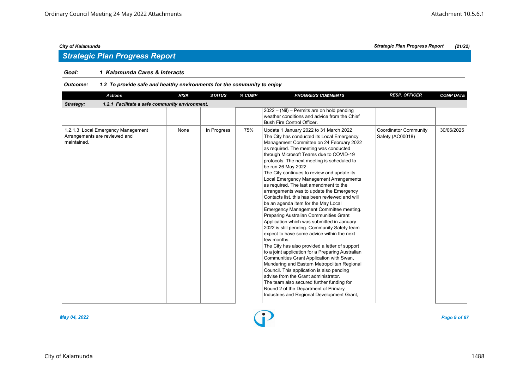# *Strategic Plan Progress Report*

# *Goal: 1 Kalamunda Cares & Interacts*

| <b>Actions</b>                                                                     | <b>RISK</b> | <b>STATUS</b> | % COMP | <b>PROGRESS COMMENTS</b>                                                                                                                                                                                                                                                                                                                                                                                                                                                                                                                                                                                                                                                                                                                                                                                                                                                                                                                                                                                                                                                                                                                                                                                                                       | <b>RESP. OFFICER</b>                             | <b>COMP DATE</b> |
|------------------------------------------------------------------------------------|-------------|---------------|--------|------------------------------------------------------------------------------------------------------------------------------------------------------------------------------------------------------------------------------------------------------------------------------------------------------------------------------------------------------------------------------------------------------------------------------------------------------------------------------------------------------------------------------------------------------------------------------------------------------------------------------------------------------------------------------------------------------------------------------------------------------------------------------------------------------------------------------------------------------------------------------------------------------------------------------------------------------------------------------------------------------------------------------------------------------------------------------------------------------------------------------------------------------------------------------------------------------------------------------------------------|--------------------------------------------------|------------------|
| 1.2.1 Facilitate a safe community environment.<br>Strategy:                        |             |               |        |                                                                                                                                                                                                                                                                                                                                                                                                                                                                                                                                                                                                                                                                                                                                                                                                                                                                                                                                                                                                                                                                                                                                                                                                                                                |                                                  |                  |
|                                                                                    |             |               |        | 2022 - (Nil) - Permits are on hold pending<br>weather conditions and advice from the Chief<br>Bush Fire Control Officer.                                                                                                                                                                                                                                                                                                                                                                                                                                                                                                                                                                                                                                                                                                                                                                                                                                                                                                                                                                                                                                                                                                                       |                                                  |                  |
| 1.2.1.3 Local Emergency Management<br>Arrangements are reviewed and<br>maintained. | None        | In Progress   | 75%    | Update 1 January 2022 to 31 March 2022<br>The City has conducted its Local Emergency<br>Management Committee on 24 February 2022<br>as required. The meeting was conducted<br>through Microsoft Teams due to COVID-19<br>protocols. The next meeting is scheduled to<br>be run 26 May 2022.<br>The City continues to review and update its<br>Local Emergency Management Arrangements<br>as required. The last amendment to the<br>arrangements was to update the Emergency<br>Contacts list, this has been reviewed and will<br>be an agenda item for the May Local<br>Emergency Management Committee meeting.<br>Preparing Australian Communities Grant<br>Application which was submitted in January<br>2022 is still pending. Community Safety team<br>expect to have some advice within the next<br>few months.<br>The City has also provided a letter of support<br>to a joint application for a Preparing Australian<br>Communities Grant Application with Swan,<br>Mundaring and Eastern Metropolitan Regional<br>Council. This application is also pending<br>advise from the Grant administrator.<br>The team also secured further funding for<br>Round 2 of the Department of Primary<br>Industries and Regional Development Grant, | <b>Coordinator Community</b><br>Safety (AC00018) | 30/06/2025       |

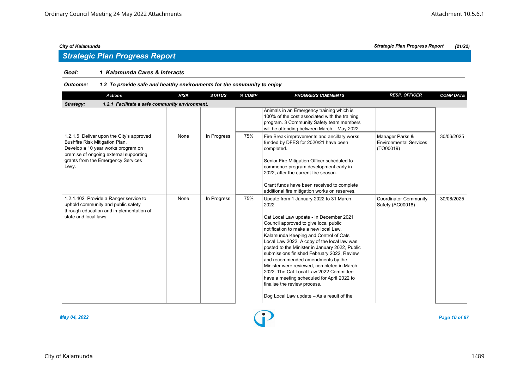# *Strategic Plan Progress Report*

## *Goal: 1 Kalamunda Cares & Interacts*

# *Outcome: 1.2 To provide safe and healthy environments for the community to enjoy*

| <b>Actions</b>                                                                                                                                                                                            | <b>RISK</b> | <b>STATUS</b> | % COMP | <b>PROGRESS COMMENTS</b>                                                                                                                                                                                                                                                                                                                                                                                                                                                                                                                                                                                                    | <b>RESP. OFFICER</b>                                          | <b>COMP DATE</b> |  |  |  |  |  |
|-----------------------------------------------------------------------------------------------------------------------------------------------------------------------------------------------------------|-------------|---------------|--------|-----------------------------------------------------------------------------------------------------------------------------------------------------------------------------------------------------------------------------------------------------------------------------------------------------------------------------------------------------------------------------------------------------------------------------------------------------------------------------------------------------------------------------------------------------------------------------------------------------------------------------|---------------------------------------------------------------|------------------|--|--|--|--|--|
| 1.2.1 Facilitate a safe community environment.<br>Strategy:                                                                                                                                               |             |               |        |                                                                                                                                                                                                                                                                                                                                                                                                                                                                                                                                                                                                                             |                                                               |                  |  |  |  |  |  |
|                                                                                                                                                                                                           |             |               |        | Animals in an Emergency training which is<br>100% of the cost associated with the training<br>program. 3 Community Safety team members<br>will be attending between March - May 2022.                                                                                                                                                                                                                                                                                                                                                                                                                                       |                                                               |                  |  |  |  |  |  |
| 1.2.1.5 Deliver upon the City's approved<br>Bushfire Risk Mitigation Plan.<br>Develop a 10 year works program on<br>premise of ongoing external supporting<br>grants from the Emergency Services<br>Levy. | None        | In Progress   | 75%    | Fire Break improvements and ancillary works<br>funded by DFES for 2020/21 have been<br>completed.<br>Senior Fire Mitigation Officer scheduled to<br>commence program development early in<br>2022, after the current fire season.<br>Grant funds have been received to complete<br>additional fire mitigation works on reserves.                                                                                                                                                                                                                                                                                            | Manager Parks &<br><b>Environmental Services</b><br>(TO00019) | 30/06/2025       |  |  |  |  |  |
| 1.2.1.402 Provide a Ranger service to<br>uphold community and public safety<br>through education and implementation of<br>state and local laws.                                                           | None        | In Progress   | 75%    | Update from 1 January 2022 to 31 March<br>2022<br>Cat Local Law update - In December 2021<br>Council approved to give local public<br>notification to make a new local Law.<br>Kalamunda Keeping and Control of Cats<br>Local Law 2022. A copy of the local law was<br>posted to the Minister in January 2022, Public<br>submissions finished February 2022, Review<br>and recommended amendments by the<br>Minister were reviewed, completed in March<br>2022. The Cat Local Law 2022 Committee<br>have a meeting scheduled for April 2022 to<br>finalise the review process.<br>Dog Local Law update - As a result of the | <b>Coordinator Community</b><br>Safety (AC00018)              | 30/06/2025       |  |  |  |  |  |



*May 04, 2022 Page 10 of 67*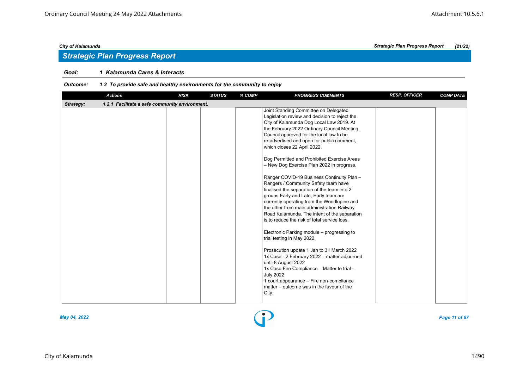# *Strategic Plan Progress Report*

# *Goal: 1 Kalamunda Cares & Interacts*

# *Outcome: 1.2 To provide safe and healthy environments for the community to enjoy*

|           | <b>Actions</b>                                 | <b>RISK</b> | <b>STATUS</b> | % COMP | <b>PROGRESS COMMENTS</b>                                                                                                                                                                                                                                                                                                                                                                                                                                                                                                                                                                                                                                                                                                                                                                                                                                                                                                                                                                                                                                                                                                                               | <b>RESP. OFFICER</b> | <b>COMP DATE</b> |
|-----------|------------------------------------------------|-------------|---------------|--------|--------------------------------------------------------------------------------------------------------------------------------------------------------------------------------------------------------------------------------------------------------------------------------------------------------------------------------------------------------------------------------------------------------------------------------------------------------------------------------------------------------------------------------------------------------------------------------------------------------------------------------------------------------------------------------------------------------------------------------------------------------------------------------------------------------------------------------------------------------------------------------------------------------------------------------------------------------------------------------------------------------------------------------------------------------------------------------------------------------------------------------------------------------|----------------------|------------------|
| Strategy: | 1.2.1 Facilitate a safe community environment. |             |               |        |                                                                                                                                                                                                                                                                                                                                                                                                                                                                                                                                                                                                                                                                                                                                                                                                                                                                                                                                                                                                                                                                                                                                                        |                      |                  |
|           |                                                |             |               |        | Joint Standing Committee on Delegated<br>Legislation review and decision to reject the<br>City of Kalamunda Dog Local Law 2019. At<br>the February 2022 Ordinary Council Meeting,<br>Council approved for the local law to be<br>re-advertised and open for public comment,<br>which closes 22 April 2022.<br>Dog Permitted and Prohibited Exercise Areas<br>- New Dog Exercise Plan 2022 in progress.<br>Ranger COVID-19 Business Continuity Plan -<br>Rangers / Community Safety team have<br>finalised the separation of the team into 2<br>groups Early and Late, Early team are<br>currently operating from the Woodlupine and<br>the other from main administration Railway<br>Road Kalamunda. The intent of the separation<br>is to reduce the risk of total service loss.<br>Electronic Parking module – progressing to<br>trial testing in May 2022.<br>Prosecution update 1 Jan to 31 March 2022<br>1x Case - 2 February 2022 - matter adjourned<br>until 8 August 2022<br>1x Case Fire Compliance - Matter to trial -<br><b>July 2022</b><br>1 court appearance - Fire non-compliance<br>matter – outcome was in the favour of the<br>City. |                      |                  |
|           |                                                |             |               |        |                                                                                                                                                                                                                                                                                                                                                                                                                                                                                                                                                                                                                                                                                                                                                                                                                                                                                                                                                                                                                                                                                                                                                        |                      |                  |



*May 04, 2022 Page 11 of 67*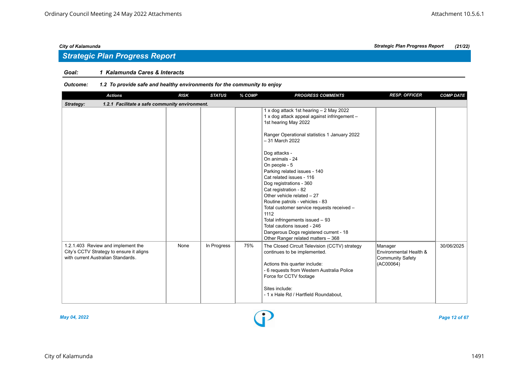# *Strategic Plan Progress Report*

# *Goal: 1 Kalamunda Cares & Interacts*

# *Outcome: 1.2 To provide safe and healthy environments for the community to enjoy*

| <b>Actions</b>                                                                                                       | <b>RISK</b> | <b>STATUS</b> | % COMP | <b>PROGRESS COMMENTS</b>                                                                                                                                                                                                                                                                                                                                                                                                | <b>RESP. OFFICER</b>                                                      | <b>COMP DATE</b> |
|----------------------------------------------------------------------------------------------------------------------|-------------|---------------|--------|-------------------------------------------------------------------------------------------------------------------------------------------------------------------------------------------------------------------------------------------------------------------------------------------------------------------------------------------------------------------------------------------------------------------------|---------------------------------------------------------------------------|------------------|
| 1.2.1 Facilitate a safe community environment.<br>Strategy:                                                          |             |               |        |                                                                                                                                                                                                                                                                                                                                                                                                                         |                                                                           |                  |
|                                                                                                                      |             |               |        | 1 x dog attack 1st hearing - 2 May 2022<br>1 x dog attack appeal against infringement -<br>1st hearing May 2022<br>Ranger Operational statistics 1 January 2022                                                                                                                                                                                                                                                         |                                                                           |                  |
|                                                                                                                      |             |               |        | - 31 March 2022<br>Dog attacks -<br>On animals - 24<br>On people - 5<br>Parking related issues - 140<br>Cat related issues - 116<br>Dog registrations - 360<br>Cat registration - 82<br>Other vehicle related - 27<br>Routine patrols - vehicles - 83<br>Total customer service requests received -<br>1112<br>Total infringements issued - 93<br>Total cautions issued - 246<br>Dangerous Dogs registered current - 18 |                                                                           |                  |
| 1.2.1.403 Review and implement the<br>City's CCTV Strategy to ensure it aligns<br>with current Australian Standards. | None        | In Progress   | 75%    | Other Ranger related matters - 368<br>The Closed Circuit Television (CCTV) strategy<br>continues to be implemented.<br>Actions this quarter include:<br>- 6 requests from Western Australia Police<br>Force for CCTV footage                                                                                                                                                                                            | Manager<br>Environmental Health &<br><b>Community Safety</b><br>(AC00064) | 30/06/2025       |
|                                                                                                                      |             |               |        | Sites include:<br>- 1 x Hale Rd / Hartfield Roundabout,                                                                                                                                                                                                                                                                                                                                                                 |                                                                           |                  |

*May 04, 2022 Page 12 of 67*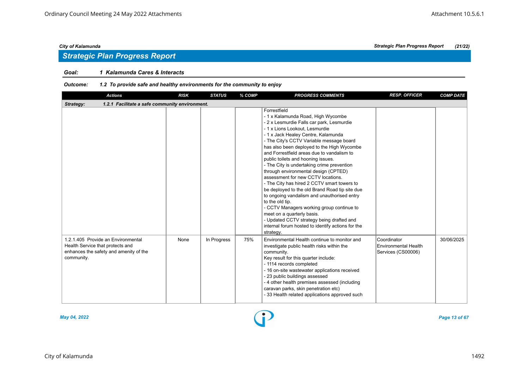# *Strategic Plan Progress Report*

# *Goal: 1 Kalamunda Cares & Interacts*

# *Outcome: 1.2 To provide safe and healthy environments for the community to enjoy*

| <b>Actions</b>                                                                                                                 | <b>RISK</b> | <b>STATUS</b> | % COMP | <b>PROGRESS COMMENTS</b>                                                                                                                                                                                                                                                                                                                                                                                                                                                                                                                                                                                                                                                                                                                                                                                                                        | <b>RESP. OFFICER</b>                                      | <b>COMP DATE</b> |
|--------------------------------------------------------------------------------------------------------------------------------|-------------|---------------|--------|-------------------------------------------------------------------------------------------------------------------------------------------------------------------------------------------------------------------------------------------------------------------------------------------------------------------------------------------------------------------------------------------------------------------------------------------------------------------------------------------------------------------------------------------------------------------------------------------------------------------------------------------------------------------------------------------------------------------------------------------------------------------------------------------------------------------------------------------------|-----------------------------------------------------------|------------------|
| Strategy:<br>1.2.1 Facilitate a safe community environment.                                                                    |             |               |        |                                                                                                                                                                                                                                                                                                                                                                                                                                                                                                                                                                                                                                                                                                                                                                                                                                                 |                                                           |                  |
|                                                                                                                                |             |               |        | Forrestfield<br>- 1 x Kalamunda Road, High Wycombe<br>- 2 x Lesmurdie Falls car park, Lesmurdie<br>- 1 x Lions Lookout. Lesmurdie<br>- 1 x Jack Healey Centre, Kalamunda<br>- The City's CCTV Variable message board<br>has also been deployed to the High Wycombe<br>and Forrestfield areas due to vandalism to<br>public toilets and hooning issues.<br>- The City is undertaking crime prevention<br>through environmental design (CPTED)<br>assessment for new CCTV locations.<br>- The City has hired 2 CCTV smart towers to<br>be deployed to the old Brand Road tip site due<br>to ongoing vandalism and unauthorised entry<br>to the old tip.<br>- CCTV Managers working group continue to<br>meet on a quarterly basis.<br>- Updated CCTV strategy being drafted and<br>internal forum hosted to identify actions for the<br>strategy. |                                                           |                  |
| 1.2.1.405 Provide an Environmental<br>Health Service that protects and<br>enhances the safety and amenity of the<br>community. | None        | In Progress   | 75%    | Environmental Health continue to monitor and<br>investigate public health risks within the<br>community.<br>Key result for this quarter include:<br>- 1114 records completed<br>- 16 on-site wastewater applications received<br>- 23 public buildings assessed<br>- 4 other health premises assessed (including<br>caravan parks, skin penetration etc)<br>- 33 Health related applications approved such                                                                                                                                                                                                                                                                                                                                                                                                                                      | Coordinator<br>Environmental Health<br>Services (CS00006) | 30/06/2025       |



*May 04, 2022 Page 13 of 67*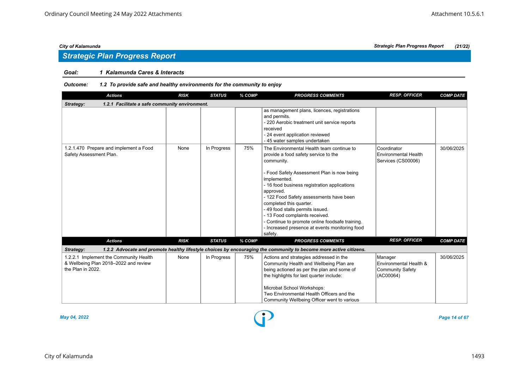# *Strategic Plan Progress Report*

# *Goal: 1 Kalamunda Cares & Interacts*

# *Outcome: 1.2 To provide safe and healthy environments for the community to enjoy*

| <b>Actions</b>                                                                                       | <b>RISK</b> | <b>STATUS</b> | % COMP | <b>PROGRESS COMMENTS</b>                                                                                                                                                                                                                                                                                                                                                                                                                                                               | <b>RESP. OFFICER</b>                                                      | <b>COMP DATE</b> |
|------------------------------------------------------------------------------------------------------|-------------|---------------|--------|----------------------------------------------------------------------------------------------------------------------------------------------------------------------------------------------------------------------------------------------------------------------------------------------------------------------------------------------------------------------------------------------------------------------------------------------------------------------------------------|---------------------------------------------------------------------------|------------------|
| 1.2.1 Facilitate a safe community environment.<br>Strategy:                                          |             |               |        |                                                                                                                                                                                                                                                                                                                                                                                                                                                                                        |                                                                           |                  |
|                                                                                                      |             |               |        | as management plans, licences, registrations<br>and permits.<br>- 220 Aerobic treatment unit service reports<br>received<br>- 24 event application reviewed<br>- 45 water samples undertaken                                                                                                                                                                                                                                                                                           |                                                                           |                  |
| 1.2.1.470 Prepare and implement a Food<br>Safety Assessment Plan.                                    | None        | In Progress   | 75%    | The Environmental Health team continue to<br>provide a food safety service to the<br>community.<br>- Food Safety Assessment Plan is now being<br>implemented.<br>- 16 food business registration applications<br>approved.<br>- 122 Food Safety assessments have been<br>completed this quarter.<br>- 49 food stalls permits issued.<br>- 13 Food complaints received.<br>- Continue to promote online foodsafe training.<br>- Increased presence at events monitoring food<br>safety. | Coordinator<br>Environmental Health<br>Services (CS00006)                 | 30/06/2025       |
| <b>Actions</b>                                                                                       | <b>RISK</b> | <b>STATUS</b> | % COMP | <b>PROGRESS COMMENTS</b>                                                                                                                                                                                                                                                                                                                                                                                                                                                               | <b>RESP. OFFICER</b>                                                      | <b>COMP DATE</b> |
| Strategy:                                                                                            |             |               |        | 1.2.2 Advocate and promote healthy lifestyle choices by encouraging the community to become more active citizens.                                                                                                                                                                                                                                                                                                                                                                      |                                                                           |                  |
| 1.2.2.1 Implement the Community Health<br>& Wellbeing Plan 2018-2022 and review<br>the Plan in 2022. | None        | In Progress   | 75%    | Actions and strategies addressed in the<br>Community Health and Wellbeing Plan are<br>being actioned as per the plan and some of<br>the highlights for last quarter include:<br>Microbat School Workshops:<br>Two Environmental Health Officers and the<br>Community Wellbeing Officer went to various                                                                                                                                                                                 | Manager<br>Environmental Health &<br><b>Community Safety</b><br>(AC00064) | 30/06/2025       |



*May 04, 2022 Page 14 of 67*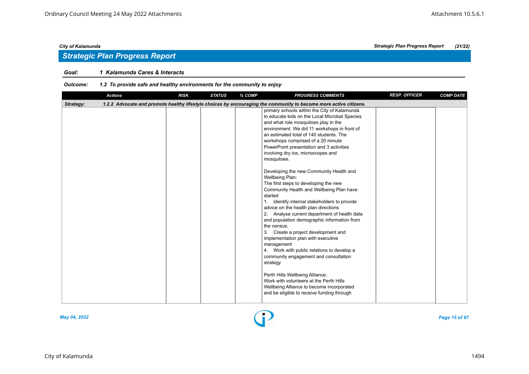# *Strategic Plan Progress Report*

# *Goal: 1 Kalamunda Cares & Interacts*

# *Outcome: 1.2 To provide safe and healthy environments for the community to enjoy*

|           | <b>Actions</b> | <b>RISK</b> | <b>STATUS</b> | % COMP | <b>PROGRESS COMMENTS</b>                                                                                                                                                                                                                                                                                                                                                                                                                                                                                                                                                                                                                                                                                                                                                                                                                                                                                                                                                                                                                                                                                              | <b>RESP. OFFICER</b> | <b>COMP DATE</b> |
|-----------|----------------|-------------|---------------|--------|-----------------------------------------------------------------------------------------------------------------------------------------------------------------------------------------------------------------------------------------------------------------------------------------------------------------------------------------------------------------------------------------------------------------------------------------------------------------------------------------------------------------------------------------------------------------------------------------------------------------------------------------------------------------------------------------------------------------------------------------------------------------------------------------------------------------------------------------------------------------------------------------------------------------------------------------------------------------------------------------------------------------------------------------------------------------------------------------------------------------------|----------------------|------------------|
| Strategy: |                |             |               |        | 1.2.2 Advocate and promote healthy lifestyle choices by encouraging the community to become more active citizens.                                                                                                                                                                                                                                                                                                                                                                                                                                                                                                                                                                                                                                                                                                                                                                                                                                                                                                                                                                                                     |                      |                  |
|           |                |             |               |        | primary schools within the City of Kalamunda<br>to educate kids on the Local Microbat Species<br>and what role mosquitoes play in the<br>environment. We did 11 workshops in front of<br>an estimated total of 140 students. The<br>workshops comprised of a 20 minute<br>PowerPoint presentation and 3 activities<br>involving dry ice, microscopes and<br>mosquitoes.<br>Developing the new Community Health and<br>Wellbeing Plan:<br>The first steps to developing the new<br>Community Health and Wellbeing Plan have<br>started<br>1. Identify internal stakeholders to provide<br>advice on the health plan directions<br>2. Analyse current department of health data<br>and population demographic information from<br>the census.<br>Create a project development and<br>3.<br>implementation plan with executive<br>management<br>4. Work with public relations to develop a<br>community engagement and consultation<br>strategy<br>Perth Hills Wellbeing Alliance:<br>Work with volunteers at the Perth Hills<br>Wellbeing Alliance to become incorporated<br>and be eligible to receive funding through |                      |                  |
|           |                |             |               |        |                                                                                                                                                                                                                                                                                                                                                                                                                                                                                                                                                                                                                                                                                                                                                                                                                                                                                                                                                                                                                                                                                                                       |                      |                  |



*May 04, 2022 Page 15 of 67*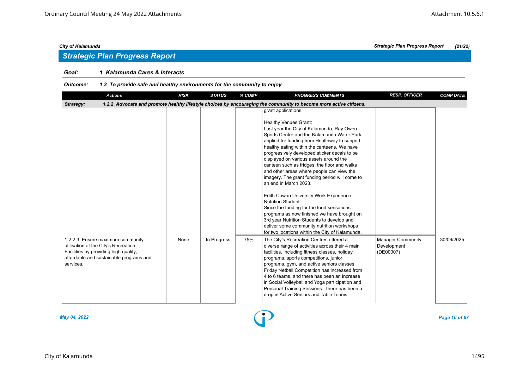# *Strategic Plan Progress Report*

# *Goal: 1 Kalamunda Cares & Interacts*

| <b>Actions</b>                                                                                                                                                            | <b>RISK</b> | <b>STATUS</b> | % COMP | <b>PROGRESS COMMENTS</b>                                                                                                                                                                                                                                                                                                                                                                                                                                                                                                                                                                                                                                                                                                                                                                                                   | <b>RESP. OFFICER</b>                                 | <b>COMP DATE</b> |
|---------------------------------------------------------------------------------------------------------------------------------------------------------------------------|-------------|---------------|--------|----------------------------------------------------------------------------------------------------------------------------------------------------------------------------------------------------------------------------------------------------------------------------------------------------------------------------------------------------------------------------------------------------------------------------------------------------------------------------------------------------------------------------------------------------------------------------------------------------------------------------------------------------------------------------------------------------------------------------------------------------------------------------------------------------------------------------|------------------------------------------------------|------------------|
| Strategy:                                                                                                                                                                 |             |               |        | 1.2.2 Advocate and promote healthy lifestyle choices by encouraging the community to become more active citizens.                                                                                                                                                                                                                                                                                                                                                                                                                                                                                                                                                                                                                                                                                                          |                                                      |                  |
|                                                                                                                                                                           |             |               |        | grant applications<br><b>Healthy Venues Grant:</b><br>Last year the City of Kalamunda, Ray Owen<br>Sports Centre and the Kalamunda Water Park<br>applied for funding from Healthway to support<br>healthy eating within the canteens. We have<br>progressively developed sticker decals to be<br>displayed on various assets around the<br>canteen such as fridges, the floor and walks<br>and other areas where people can view the<br>imagery. The grant funding period will come to<br>an end in March 2023.<br>Edith Cowan University Work Experience<br>Nutrition Student:<br>Since the funding for the food sensations<br>programs as now finished we have brought on<br>3rd year Nutrition Students to develop and<br>deliver some community nutrition workshops<br>for two locations within the City of Kalamunda. |                                                      |                  |
| 1.2.2.3 Ensure maximum community<br>utilisation of the City's Recreation<br>Facilities by providing high quality,<br>affordable and sustainable programs and<br>services. | None        | In Progress   | 75%    | The City's Recreation Centres offered a<br>diverse range of activities across their 4 main<br>facilities, including fitness classes, holiday<br>programs, sports competitions, junior<br>programs, gym, and active seniors classes.<br>Friday Netball Competition has increased from<br>4 to 6 teams, and there has been an increase<br>in Social Volleyball and Yoga participation and<br>Personal Training Sessions. There has been a<br>drop in Active Seniors and Table Tennis                                                                                                                                                                                                                                                                                                                                         | <b>Manager Community</b><br>Development<br>(DE00007) | 30/06/2025       |

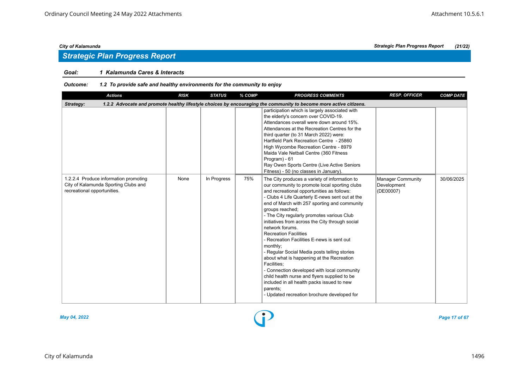# *Strategic Plan Progress Report*

# *Goal: 1 Kalamunda Cares & Interacts*

# *Outcome: 1.2 To provide safe and healthy environments for the community to enjoy*

| <b>Actions</b>                                                                                               | <b>RISK</b> | <b>STATUS</b> | % COMP | <b>PROGRESS COMMENTS</b>                                                                                                                                                                                                                                                                                                                                                                                                                                                                                                                                                                                                                                                                                                                                                                             | <b>RESP. OFFICER</b>                                 | <b>COMP DATE</b> |
|--------------------------------------------------------------------------------------------------------------|-------------|---------------|--------|------------------------------------------------------------------------------------------------------------------------------------------------------------------------------------------------------------------------------------------------------------------------------------------------------------------------------------------------------------------------------------------------------------------------------------------------------------------------------------------------------------------------------------------------------------------------------------------------------------------------------------------------------------------------------------------------------------------------------------------------------------------------------------------------------|------------------------------------------------------|------------------|
| Strategy:                                                                                                    |             |               |        | 1.2.2 Advocate and promote healthy lifestyle choices by encouraging the community to become more active citizens.                                                                                                                                                                                                                                                                                                                                                                                                                                                                                                                                                                                                                                                                                    |                                                      |                  |
|                                                                                                              |             |               |        | participation which is largely associated with<br>the elderly's concern over COVID-19.<br>Attendances overall were down around 15%.<br>Attendances at the Recreation Centres for the<br>third quarter (to 31 March 2022) were:<br>Hartfield Park Recreation Centre - 25860<br>High Wycombe Recreation Centre - 8979<br>Maida Vale Netball Centre (360 Fitness<br>Program) - 61<br>Ray Owen Sports Centre (Live Active Seniors<br>Fitness) - 50 (no classes in January).                                                                                                                                                                                                                                                                                                                              |                                                      |                  |
| 1.2.2.4 Produce information promoting<br>City of Kalamunda Sporting Clubs and<br>recreational opportunities. | None        | In Progress   | 75%    | The City produces a variety of information to<br>our community to promote local sporting clubs<br>and recreational opportunities as follows:<br>- Clubs 4 Life Quarterly E-news sent out at the<br>end of March with 257 sporting and community<br>groups reached;<br>- The City regularly promotes various Club<br>initiatives from across the City through social<br>network forums.<br><b>Recreation Facilities</b><br>- Recreation Facilities E-news is sent out<br>monthly;<br>- Regular Social Media posts telling stories<br>about what is happening at the Recreation<br>Facilities:<br>- Connection developed with local community<br>child health nurse and flyers supplied to be<br>included in all health packs issued to new<br>parents;<br>- Updated recreation brochure developed for | <b>Manager Community</b><br>Development<br>(DE00007) | 30/06/2025       |



*May 04, 2022 Page 17 of 67*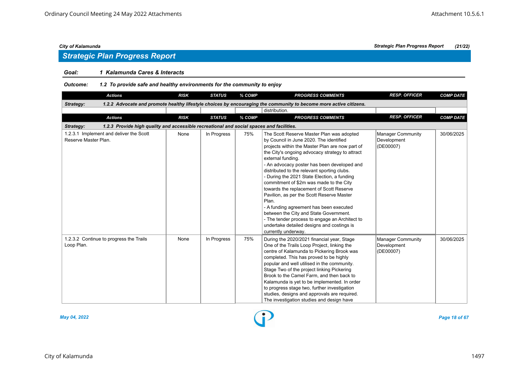# *Goal: 1 Kalamunda Cares & Interacts*

*Outcome: 1.2 To provide safe and healthy environments for the community to enjoy*

| <b>Actions</b>                                                                                        | <b>RISK</b> | <b>STATUS</b> | % COMP | <b>PROGRESS COMMENTS</b>                                                                                                                                                                                                                                                                                                                                                                                                                                                                                                                                                                                                                                                                                              | <b>RESP. OFFICER</b>                                 | <b>COMP DATE</b> |  |  |  |  |
|-------------------------------------------------------------------------------------------------------|-------------|---------------|--------|-----------------------------------------------------------------------------------------------------------------------------------------------------------------------------------------------------------------------------------------------------------------------------------------------------------------------------------------------------------------------------------------------------------------------------------------------------------------------------------------------------------------------------------------------------------------------------------------------------------------------------------------------------------------------------------------------------------------------|------------------------------------------------------|------------------|--|--|--|--|
| Strategy:                                                                                             |             |               |        | 1.2.2 Advocate and promote healthy lifestyle choices by encouraging the community to become more active citizens.                                                                                                                                                                                                                                                                                                                                                                                                                                                                                                                                                                                                     |                                                      |                  |  |  |  |  |
|                                                                                                       |             |               |        | distribution.                                                                                                                                                                                                                                                                                                                                                                                                                                                                                                                                                                                                                                                                                                         |                                                      |                  |  |  |  |  |
| <b>Actions</b>                                                                                        | <b>RISK</b> | <b>STATUS</b> | % COMP | <b>PROGRESS COMMENTS</b>                                                                                                                                                                                                                                                                                                                                                                                                                                                                                                                                                                                                                                                                                              | <b>RESP. OFFICER</b>                                 | <b>COMP DATE</b> |  |  |  |  |
| 1.2.3 Provide high quality and accessible recreational and social spaces and facilities.<br>Strategy: |             |               |        |                                                                                                                                                                                                                                                                                                                                                                                                                                                                                                                                                                                                                                                                                                                       |                                                      |                  |  |  |  |  |
| 1.2.3.1 Implement and deliver the Scott<br>Reserve Master Plan.                                       | None        | In Progress   | 75%    | The Scott Reserve Master Plan was adopted<br>by Council in June 2020. The identified<br>projects within the Master Plan are now part of<br>the City's ongoing advocacy strategy to attract<br>external funding.<br>- An advocacy poster has been developed and<br>distributed to the relevant sporting clubs.<br>- During the 2021 State Election, a funding<br>commitment of \$2m was made to the City<br>towards the replacement of Scott Reserve<br>Pavilion, as per the Scott Reserve Master<br>Plan.<br>- A funding agreement has been executed<br>between the City and State Government.<br>- The tender process to engage an Architect to<br>undertake detailed designs and costings is<br>currently underway. | <b>Manager Community</b><br>Development<br>(DE00007) | 30/06/2025       |  |  |  |  |
| 1.2.3.2 Continue to progress the Trails<br>Loop Plan.                                                 | None        | In Progress   | 75%    | During the 2020/2021 financial year, Stage<br>One of the Trails Loop Project, linking the<br>centre of Kalamunda to Pickering Brook was<br>completed. This has proved to be highly<br>popular and well utilised in the community.<br>Stage Two of the project linking Pickering<br>Brook to the Camel Farm, and then back to<br>Kalamunda is yet to be implemented. In order<br>to progress stage two, further investigation<br>studies, designs and approvals are required.<br>The investigation studies and design have                                                                                                                                                                                             | <b>Manager Community</b><br>Development<br>(DE00007) | 30/06/2025       |  |  |  |  |



*May 04, 2022 Page 18 of 67*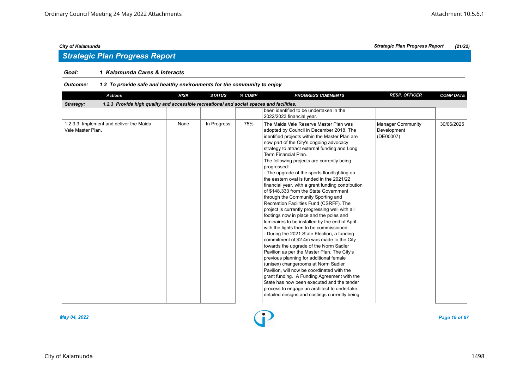# *Strategic Plan Progress Report*

# *Goal: 1 Kalamunda Cares & Interacts*

| <b>Actions</b>                                                                                        | <b>RISK</b> | <b>STATUS</b> | % COMP | <b>PROGRESS COMMENTS</b>                                                                                                                                                                                                                                                                                                                                                                                                                                                                                                                                                                                                                                                                                                                                                                                                                                                                                                                                                                                                                                                                                                                                                                                                                                                                                        | <b>RESP. OFFICER</b>                          | <b>COMP DATE</b> |
|-------------------------------------------------------------------------------------------------------|-------------|---------------|--------|-----------------------------------------------------------------------------------------------------------------------------------------------------------------------------------------------------------------------------------------------------------------------------------------------------------------------------------------------------------------------------------------------------------------------------------------------------------------------------------------------------------------------------------------------------------------------------------------------------------------------------------------------------------------------------------------------------------------------------------------------------------------------------------------------------------------------------------------------------------------------------------------------------------------------------------------------------------------------------------------------------------------------------------------------------------------------------------------------------------------------------------------------------------------------------------------------------------------------------------------------------------------------------------------------------------------|-----------------------------------------------|------------------|
| 1.2.3 Provide high quality and accessible recreational and social spaces and facilities.<br>Strategy: |             |               |        |                                                                                                                                                                                                                                                                                                                                                                                                                                                                                                                                                                                                                                                                                                                                                                                                                                                                                                                                                                                                                                                                                                                                                                                                                                                                                                                 |                                               |                  |
|                                                                                                       |             |               |        | been identified to be undertaken in the                                                                                                                                                                                                                                                                                                                                                                                                                                                                                                                                                                                                                                                                                                                                                                                                                                                                                                                                                                                                                                                                                                                                                                                                                                                                         |                                               |                  |
|                                                                                                       |             |               |        | 2022/2023 financial year.                                                                                                                                                                                                                                                                                                                                                                                                                                                                                                                                                                                                                                                                                                                                                                                                                                                                                                                                                                                                                                                                                                                                                                                                                                                                                       |                                               |                  |
| 1.2.3.3 Implement and deliver the Maida<br>Vale Master Plan.                                          | None        | In Progress   | 75%    | The Maida Vale Reserve Master Plan was<br>adopted by Council in December 2018. The<br>identified projects within the Master Plan are<br>now part of the City's ongoing advocacy<br>strategy to attract external funding and Long<br>Term Financial Plan.<br>The following projects are currently being<br>progressed:<br>- The upgrade of the sports floodlighting on<br>the eastern oval is funded in the 2021/22<br>financial year, with a grant funding contribution<br>of \$148,333 from the State Government<br>through the Community Sporting and<br>Recreation Facilities Fund (CSRFF). The<br>project is currently progressing well with all<br>footings now in place and the poles and<br>luminaires to be installed by the end of April<br>with the lights then to be commissioned.<br>- During the 2021 State Election, a funding<br>commitment of \$2.4m was made to the City<br>towards the upgrade of the Norm Sadler<br>Pavilion as per the Master Plan. The City's<br>previous planning for additional female<br>(unisex) changerooms at Norm Sadler<br>Pavilion, will now be coordinated with the<br>grant funding. A Funding Agreement with the<br>State has now been executed and the tender<br>process to engage an architect to undertake<br>detailed designs and costings currently being | Manager Community<br>Development<br>(DE00007) | 30/06/2025       |
|                                                                                                       |             |               |        |                                                                                                                                                                                                                                                                                                                                                                                                                                                                                                                                                                                                                                                                                                                                                                                                                                                                                                                                                                                                                                                                                                                                                                                                                                                                                                                 |                                               |                  |

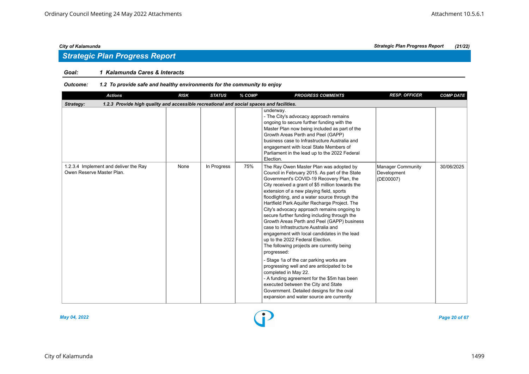# *Strategic Plan Progress Report*

# *Goal: 1 Kalamunda Cares & Interacts*

| <b>Actions</b>                                                                                        | <b>RISK</b> | <b>STATUS</b> | % COMP | <b>PROGRESS COMMENTS</b>                                                                                                                                                                                                                                                                                                                                                                                                                                                                                                                                                                                                                                                                                                                                                                                                                                                                                                                                                      | <b>RESP. OFFICER</b>                                 | <b>COMP DATE</b> |
|-------------------------------------------------------------------------------------------------------|-------------|---------------|--------|-------------------------------------------------------------------------------------------------------------------------------------------------------------------------------------------------------------------------------------------------------------------------------------------------------------------------------------------------------------------------------------------------------------------------------------------------------------------------------------------------------------------------------------------------------------------------------------------------------------------------------------------------------------------------------------------------------------------------------------------------------------------------------------------------------------------------------------------------------------------------------------------------------------------------------------------------------------------------------|------------------------------------------------------|------------------|
| 1.2.3 Provide high quality and accessible recreational and social spaces and facilities.<br>Strategy: |             |               |        |                                                                                                                                                                                                                                                                                                                                                                                                                                                                                                                                                                                                                                                                                                                                                                                                                                                                                                                                                                               |                                                      |                  |
|                                                                                                       |             |               |        | underway.<br>- The City's advocacy approach remains<br>ongoing to secure further funding with the<br>Master Plan now being included as part of the<br>Growth Areas Perth and Peel (GAPP)<br>business case to Infrastructure Australia and<br>engagement with local State Members of<br>Parliament in the lead up to the 2022 Federal<br>Election.                                                                                                                                                                                                                                                                                                                                                                                                                                                                                                                                                                                                                             |                                                      |                  |
| 1.2.3.4 Implement and deliver the Ray<br>Owen Reserve Master Plan.                                    | None        | In Progress   | 75%    | The Ray Owen Master Plan was adopted by<br>Council in February 2015. As part of the State<br>Government's COVID-19 Recovery Plan, the<br>City received a grant of \$5 million towards the<br>extension of a new playing field, sports<br>floodlighting, and a water source through the<br>Hartfield Park Aquifer Recharge Project. The<br>City's advocacy approach remains ongoing to<br>secure further funding including through the<br>Growth Areas Perth and Peel (GAPP) business<br>case to Infrastructure Australia and<br>engagement with local candidates in the lead<br>up to the 2022 Federal Election.<br>The following projects are currently being<br>progressed:<br>- Stage 1a of the car parking works are<br>progressing well and are anticipated to be<br>completed in May 22.<br>- A funding agreement for the \$5m has been<br>executed between the City and State<br>Government. Detailed designs for the oval<br>expansion and water source are currently | <b>Manager Community</b><br>Development<br>(DE00007) | 30/06/2025       |

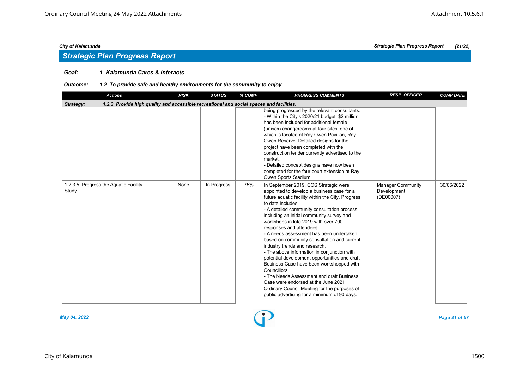# *Strategic Plan Progress Report*

# *Goal: 1 Kalamunda Cares & Interacts*

| <b>Actions</b>                                                                                        | <b>RISK</b> | <b>STATUS</b> | % COMP | <b>PROGRESS COMMENTS</b>                                                                                                                                                                                                                                                                                                                                                                                                                                                                                                                                                                                                                                                                                                                                                                                  | <b>RESP. OFFICER</b>                                 | <b>COMP DATE</b> |
|-------------------------------------------------------------------------------------------------------|-------------|---------------|--------|-----------------------------------------------------------------------------------------------------------------------------------------------------------------------------------------------------------------------------------------------------------------------------------------------------------------------------------------------------------------------------------------------------------------------------------------------------------------------------------------------------------------------------------------------------------------------------------------------------------------------------------------------------------------------------------------------------------------------------------------------------------------------------------------------------------|------------------------------------------------------|------------------|
| 1.2.3 Provide high quality and accessible recreational and social spaces and facilities.<br>Strategy: |             |               |        |                                                                                                                                                                                                                                                                                                                                                                                                                                                                                                                                                                                                                                                                                                                                                                                                           |                                                      |                  |
|                                                                                                       |             |               |        | being progressed by the relevant consultants.<br>- Within the City's 2020/21 budget, \$2 million<br>has been included for additional female<br>(unisex) changerooms at four sites, one of<br>which is located at Ray Owen Pavilion, Ray<br>Owen Reserve. Detailed designs for the<br>project have been completed with the<br>construction tender currently advertised to the<br>market.<br>- Detailed concept designs have now been<br>completed for the four court extension at Ray<br>Owen Sports Stadium.                                                                                                                                                                                                                                                                                              |                                                      |                  |
| 1.2.3.5 Progress the Aquatic Facility<br>Study.                                                       | None        | In Progress   | 75%    | In September 2019, CCS Strategic were<br>appointed to develop a business case for a<br>future aquatic facility within the City. Progress<br>to date includes:<br>- A detailed community consultation process<br>including an initial community survey and<br>workshops in late 2019 with over 700<br>responses and attendees.<br>- A needs assessment has been undertaken<br>based on community consultation and current<br>industry trends and research.<br>- The above information in conjunction with<br>potential development opportunities and draft<br>Business Case have been workshopped with<br>Councillors.<br>- The Needs Assessment and draft Business<br>Case were endorsed at the June 2021<br>Ordinary Council Meeting for the purposes of<br>public advertising for a minimum of 90 days. | <b>Manager Community</b><br>Development<br>(DE00007) | 30/06/2022       |

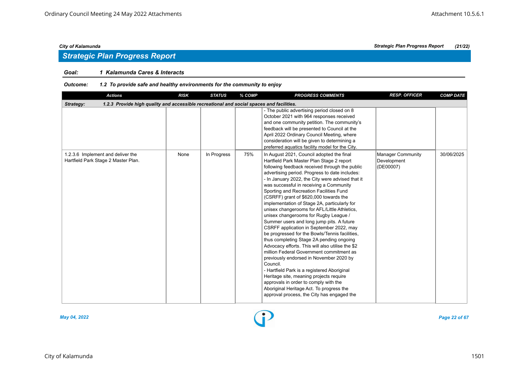# *Goal: 1 Kalamunda Cares & Interacts*

| <b>Actions</b>                                                                                        | <b>RISK</b> | <b>STATUS</b> | % COMP | <b>PROGRESS COMMENTS</b>                                                                                                                                                                                                                                                                                                                                                                                                                                                                                                                                                                                                                                                                                                                                                                                                                                                                                                                                                                                                                                                                           | <b>RESP. OFFICER</b>                                 | <b>COMP DATE</b> |
|-------------------------------------------------------------------------------------------------------|-------------|---------------|--------|----------------------------------------------------------------------------------------------------------------------------------------------------------------------------------------------------------------------------------------------------------------------------------------------------------------------------------------------------------------------------------------------------------------------------------------------------------------------------------------------------------------------------------------------------------------------------------------------------------------------------------------------------------------------------------------------------------------------------------------------------------------------------------------------------------------------------------------------------------------------------------------------------------------------------------------------------------------------------------------------------------------------------------------------------------------------------------------------------|------------------------------------------------------|------------------|
| 1.2.3 Provide high quality and accessible recreational and social spaces and facilities.<br>Strategy: |             |               |        |                                                                                                                                                                                                                                                                                                                                                                                                                                                                                                                                                                                                                                                                                                                                                                                                                                                                                                                                                                                                                                                                                                    |                                                      |                  |
|                                                                                                       |             |               |        | - The public advertising period closed on 8<br>October 2021 with 964 responses received<br>and one community petition. The community's<br>feedback will be presented to Council at the<br>April 2022 Ordinary Council Meeting, where<br>consideration will be given to determining a<br>preferred aquatics facility model for the City.                                                                                                                                                                                                                                                                                                                                                                                                                                                                                                                                                                                                                                                                                                                                                            |                                                      |                  |
| 1.2.3.6 Implement and deliver the<br>Hartfield Park Stage 2 Master Plan.                              | None        | In Progress   | 75%    | In August 2021, Council adopted the final<br>Hartfield Park Master Plan Stage 2 report<br>following feedback received through the public<br>advertising period. Progress to date includes:<br>- In January 2022, the City were advised that it<br>was successful in receiving a Community<br>Sporting and Recreation Facilities Fund<br>(CSRFF) grant of \$620,000 towards the<br>implementation of Stage 2A, particularly for<br>unisex changerooms for AFL/Little Athletics,<br>unisex changerooms for Rugby League /<br>Summer users and long jump pits. A future<br>CSRFF application in September 2022, may<br>be progressed for the Bowls/Tennis facilities,<br>thus completing Stage 2A pending ongoing<br>Advocacy efforts. This will also utilise the \$2<br>million Federal Government commitment as<br>previously endorsed in November 2020 by<br>Council.<br>- Hartfield Park is a registered Aboriginal<br>Heritage site, meaning projects require<br>approvals in order to comply with the<br>Aboriginal Heritage Act. To progress the<br>approval process, the City has engaged the | <b>Manager Community</b><br>Development<br>(DE00007) | 30/06/2025       |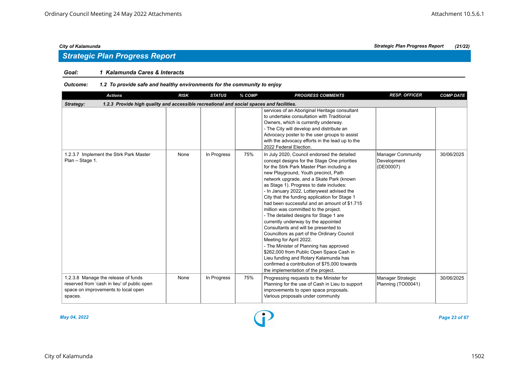# *Goal: 1 Kalamunda Cares & Interacts*

| <b>Actions</b>                                                                                                                       | <b>RISK</b> | <b>STATUS</b> | % COMP | <b>PROGRESS COMMENTS</b>                                                                                                                                                                                                                                                                                                                                                                                                                                                                                                                                                                                                                                                                                                                                                                                                                                                                  | <b>RESP. OFFICER</b>                                 | <b>COMP DATE</b> |
|--------------------------------------------------------------------------------------------------------------------------------------|-------------|---------------|--------|-------------------------------------------------------------------------------------------------------------------------------------------------------------------------------------------------------------------------------------------------------------------------------------------------------------------------------------------------------------------------------------------------------------------------------------------------------------------------------------------------------------------------------------------------------------------------------------------------------------------------------------------------------------------------------------------------------------------------------------------------------------------------------------------------------------------------------------------------------------------------------------------|------------------------------------------------------|------------------|
| 1.2.3 Provide high quality and accessible recreational and social spaces and facilities.<br>Strategy:                                |             |               |        |                                                                                                                                                                                                                                                                                                                                                                                                                                                                                                                                                                                                                                                                                                                                                                                                                                                                                           |                                                      |                  |
|                                                                                                                                      |             |               |        | services of an Aboriginal Heritage consultant<br>to undertake consultation with Traditional<br>Owners, which is currently underway.<br>- The City will develop and distribute an<br>Advocacy poster to the user groups to assist<br>with the advocacy efforts in the lead up to the<br>2022 Federal Election.                                                                                                                                                                                                                                                                                                                                                                                                                                                                                                                                                                             |                                                      |                  |
| 1.2.3.7 Implement the Stirk Park Master<br>Plan - Stage 1.                                                                           | None        | In Progress   | 75%    | In July 2020, Council endorsed the detailed<br>concept designs for the Stage One priorities<br>for the Stirk Park Master Plan including a<br>new Playground, Youth precinct, Path<br>network upgrade, and a Skate Park (known<br>as Stage 1). Progress to date includes:<br>- In January 2022, Lotterywest advised the<br>City that the funding application for Stage 1<br>had been successful and an amount of \$1.715<br>million was committed to the project.<br>- The detailed designs for Stage 1 are<br>currently underway by the appointed<br>Consultants and will be presented to<br>Councillors as part of the Ordinary Council<br>Meeting for April 2022.<br>- The Minister of Planning has approved<br>\$262,000 from Public Open Space Cash in<br>Lieu funding and Rotary Kalamunda has<br>confirmed a contribution of \$75,000 towards<br>the implementation of the project. | <b>Manager Community</b><br>Development<br>(DE00007) | 30/06/2025       |
| 1.2.3.8 Manage the release of funds<br>reserved from 'cash in lieu' of public open<br>space on improvements to local open<br>spaces. | None        | In Progress   | 75%    | Progressing requests to the Minister for<br>Planning for the use of Cash in Lieu to support<br>improvements to open space proposals.<br>Various proposals under community                                                                                                                                                                                                                                                                                                                                                                                                                                                                                                                                                                                                                                                                                                                 | Manager Strategic<br>Planning (TO00041)              | 30/06/2025       |

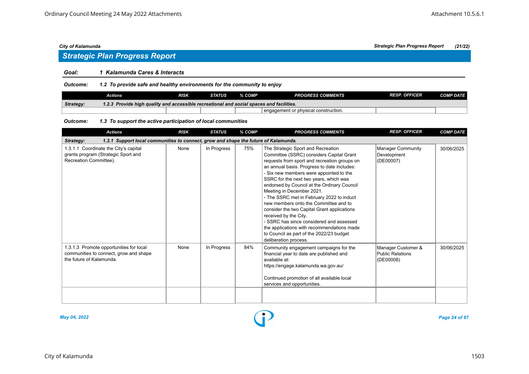# *Strategic Plan Progress Report*

# *Goal: 1 Kalamunda Cares & Interacts*

*Outcome: 1.2 To provide safe and healthy environments for the community to enjoy*

|           | Actions                                                                                  | RISK | <b>STATUS</b> | % COMP | <b>PROGRESS COMMENTS</b>               | <b>RESP. OFFICER</b> | <b>COMP DATE</b> |  |  |
|-----------|------------------------------------------------------------------------------------------|------|---------------|--------|----------------------------------------|----------------------|------------------|--|--|
| Strategy: | 1.2.3 Provide high quality and accessible recreational and social spaces and facilities. |      |               |        |                                        |                      |                  |  |  |
|           |                                                                                          |      |               |        | I engagement or physical construction. |                      |                  |  |  |

### *Outcome: 1.3 To support the active participation of local communities*

| <b>Actions</b>                                                                                                | <b>RISK</b> | <b>STATUS</b> | % COMP | <b>PROGRESS COMMENTS</b>                                                                                                                                                                                                                                                                                                                                                                                                                                                                                                                                                                                                                                                    | <b>RESP. OFFICER</b>                                       | <b>COMP DATE</b> |  |  |  |  |
|---------------------------------------------------------------------------------------------------------------|-------------|---------------|--------|-----------------------------------------------------------------------------------------------------------------------------------------------------------------------------------------------------------------------------------------------------------------------------------------------------------------------------------------------------------------------------------------------------------------------------------------------------------------------------------------------------------------------------------------------------------------------------------------------------------------------------------------------------------------------------|------------------------------------------------------------|------------------|--|--|--|--|
| 1.3.1 Support local communities to connect, grow and shape the future of Kalamunda.<br><b>Strategy:</b>       |             |               |        |                                                                                                                                                                                                                                                                                                                                                                                                                                                                                                                                                                                                                                                                             |                                                            |                  |  |  |  |  |
| 1.3.1.1 Coordinate the City's capital<br>grants program (Strategic Sport and<br>Recreation Committee).        | None        | In Progress   | 75%    | The Strategic Sport and Recreation<br>Committee (SSRC) considers Capital Grant<br>requests from sport and recreation groups on<br>an annual basis. Progress to date includes:<br>- Six new members were appointed to the<br>SSRC for the next two years, which was<br>endorsed by Council at the Ordinary Council<br>Meeting in December 2021.<br>- The SSRC met in February 2022 to induct<br>new members onto the Committee and to<br>consider the two Capital Grant applications<br>received by the City.<br>- SSRC has since considered and assessed<br>the applications with recommendations made<br>to Council as part of the 2022/23 budget<br>deliberation process. | <b>Manager Community</b><br>Development<br>(DE00007)       | 30/06/2025       |  |  |  |  |
| 1.3.1.3 Promote opportunities for local<br>communities to connect, grow and shape<br>the future of Kalamunda. | None        | In Progress   | 84%    | Community engagement campaigns for the<br>financial year to date are published and<br>available at:<br>https://engage.kalamunda.wa.gov.au/<br>Continued promotion of all available local<br>services and opportunities.                                                                                                                                                                                                                                                                                                                                                                                                                                                     | Manager Customer &<br><b>Public Relations</b><br>(DE00008) | 30/06/2025       |  |  |  |  |



*May 04, 2022 Page 24 of 67*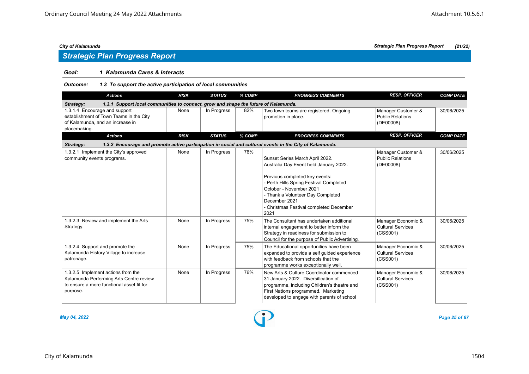# *Strategic Plan Progress Report*

# *Goal: 1 Kalamunda Cares & Interacts*

# *Outcome: 1.3 To support the active participation of local communities*

| <b>Actions</b>                                                                                                                         | <b>RISK</b> | <b>STATUS</b> | % COMP | <b>PROGRESS COMMENTS</b>                                                                                                                                                                                                                                                                   | <b>RESP. OFFICER</b>                                       | <b>COMP DATE</b> |  |  |  |  |
|----------------------------------------------------------------------------------------------------------------------------------------|-------------|---------------|--------|--------------------------------------------------------------------------------------------------------------------------------------------------------------------------------------------------------------------------------------------------------------------------------------------|------------------------------------------------------------|------------------|--|--|--|--|
| 1.3.1 Support local communities to connect, grow and shape the future of Kalamunda.<br>Strategy:                                       |             |               |        |                                                                                                                                                                                                                                                                                            |                                                            |                  |  |  |  |  |
| 1.3.1.4 Encourage and support<br>establishment of Town Teams in the City<br>of Kalamunda, and an increase in<br>placemaking.           | None        | In Progress   | 82%    | Two town teams are registered. Ongoing<br>promotion in place.                                                                                                                                                                                                                              | Manager Customer &<br><b>Public Relations</b><br>(DE00008) | 30/06/2025       |  |  |  |  |
| <b>Actions</b>                                                                                                                         | <b>RISK</b> | <b>STATUS</b> | % COMP | <b>PROGRESS COMMENTS</b>                                                                                                                                                                                                                                                                   | <b>RESP. OFFICER</b>                                       | <b>COMP DATE</b> |  |  |  |  |
| Strategy:                                                                                                                              |             |               |        | 1.3.2 Encourage and promote active participation in social and cultural events in the City of Kalamunda.                                                                                                                                                                                   |                                                            |                  |  |  |  |  |
| 1.3.2.1 Implement the City's approved<br>community events programs.                                                                    | None        | In Progress   | 76%    | Sunset Series March April 2022.<br>Australia Day Event held January 2022.<br>Previous completed key events:<br>- Perth Hills Spring Festival Completed<br>October - November 2021<br>- Thank a Volunteer Day Completed<br>December 2021<br>- Christmas Festival completed December<br>2021 | Manager Customer &<br><b>Public Relations</b><br>(DE00008) | 30/06/2025       |  |  |  |  |
| 1.3.2.3 Review and implement the Arts<br>Strategy.                                                                                     | None        | In Progress   | 75%    | The Consultant has undertaken additional<br>internal engagement to better inform the<br>Strategy in readiness for submission to<br>Council for the purpose of Public Advertising.                                                                                                          | Manager Economic &<br><b>Cultural Services</b><br>(CSS001) | 30/06/2025       |  |  |  |  |
| 1.3.2.4 Support and promote the<br>Kalamunda History Village to increase<br>patronage.                                                 | None        | In Progress   | 75%    | The Educational opportunities have been<br>expanded to provide a self guided experience<br>with feedback from schools that the<br>programme works exceptionally well.                                                                                                                      | Manager Economic &<br><b>Cultural Services</b><br>(CSS001) | 30/06/2025       |  |  |  |  |
| 1.3.2.5 Implement actions from the<br>Kalamunda Performing Arts Centre review<br>to ensure a more functional asset fit for<br>purpose. | None        | In Progress   | 76%    | New Arts & Culture Coordinator commenced<br>31 January 2022. Diversification of<br>programme, including Children's theatre and<br>First Nations programmed. Marketing<br>developed to engage with parents of school                                                                        | Manager Economic &<br><b>Cultural Services</b><br>(CSS001) | 30/06/2025       |  |  |  |  |



*May 04, 2022 Page 25 of 67*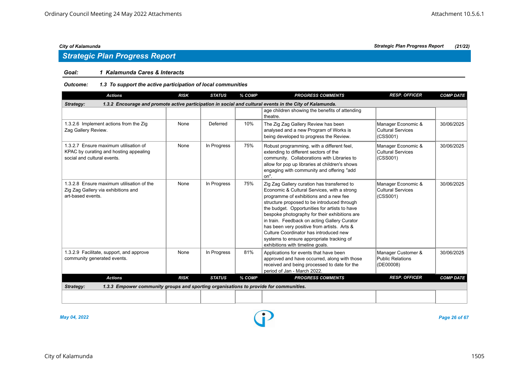# *Strategic Plan Progress Report*

# *Goal: 1 Kalamunda Cares & Interacts*

# *Outcome: 1.3 To support the active participation of local communities*

| <b>Actions</b>                                                                                                        | <b>RISK</b> | <b>STATUS</b> | % COMP | <b>PROGRESS COMMENTS</b>                                                                                                                                                                                                                                                                                                                                                                                                                                                                                        | <b>RESP. OFFICER</b>                                       | <b>COMP DATE</b> |  |  |  |
|-----------------------------------------------------------------------------------------------------------------------|-------------|---------------|--------|-----------------------------------------------------------------------------------------------------------------------------------------------------------------------------------------------------------------------------------------------------------------------------------------------------------------------------------------------------------------------------------------------------------------------------------------------------------------------------------------------------------------|------------------------------------------------------------|------------------|--|--|--|
| 1.3.2 Encourage and promote active participation in social and cultural events in the City of Kalamunda.<br>Strategy: |             |               |        |                                                                                                                                                                                                                                                                                                                                                                                                                                                                                                                 |                                                            |                  |  |  |  |
|                                                                                                                       |             |               |        | age children showing the benefits of attending<br>theatre.                                                                                                                                                                                                                                                                                                                                                                                                                                                      |                                                            |                  |  |  |  |
| 1.3.2.6 Implement actions from the Zig<br>Zag Gallery Review.                                                         | None        | Deferred      | 10%    | The Zig Zag Gallery Review has been<br>analysed and a new Program of Works is<br>being developed to progress the Review.                                                                                                                                                                                                                                                                                                                                                                                        | Manager Economic &<br><b>Cultural Services</b><br>(CSS001) | 30/06/2025       |  |  |  |
| 1.3.2.7 Ensure maximum utilisation of<br>KPAC by curating and hosting appealing<br>social and cultural events.        | None        | In Progress   | 75%    | Robust programming, with a different feel,<br>extending to different sectors of the<br>community. Collaborations with Libraries to<br>allow for pop up libraries at children's shows<br>engaging with community and offering "add<br>on".                                                                                                                                                                                                                                                                       | Manager Economic &<br>Cultural Services<br>(CSS001)        | 30/06/2025       |  |  |  |
| 1.3.2.8 Ensure maximum utilisation of the<br>Zig Zag Gallery via exhibitions and<br>art-based events.                 | None        | In Progress   | 75%    | Zig Zag Gallery curation has transferred to<br>Economic & Cultural Services, with a strong<br>programme of exhibitions and a new fee<br>structure proposed to be introduced through<br>the budget. Opportunities for artists to have<br>bespoke photography for their exhibitions are<br>in train. Feedback on acting Gallery Curator<br>has been very positive from artists. Arts &<br>Culture Coordinator has introduced new<br>systems to ensure appropriate tracking of<br>exhibitions with timeline goals. | Manager Economic &<br><b>Cultural Services</b><br>(CSS001) | 30/06/2025       |  |  |  |
| 1.3.2.9 Facilitate, support, and approve<br>community generated events.                                               | None        | In Progress   | 81%    | Applications for events that have been<br>approved and have occurred, along with those<br>received and being processed to date for the<br>period of Jan - March 2022.                                                                                                                                                                                                                                                                                                                                           | Manager Customer &<br>Public Relations<br>(DE00008)        | 30/06/2025       |  |  |  |
| <b>Actions</b>                                                                                                        | <b>RISK</b> | <b>STATUS</b> | % COMP | <b>PROGRESS COMMENTS</b>                                                                                                                                                                                                                                                                                                                                                                                                                                                                                        | <b>RESP. OFFICER</b>                                       | <b>COMP DATE</b> |  |  |  |
| 1.3.3 Empower community groups and sporting organisations to provide for communities.<br>Strategy:                    |             |               |        |                                                                                                                                                                                                                                                                                                                                                                                                                                                                                                                 |                                                            |                  |  |  |  |
|                                                                                                                       |             |               |        |                                                                                                                                                                                                                                                                                                                                                                                                                                                                                                                 |                                                            |                  |  |  |  |



*May 04, 2022 Page 26 of 67*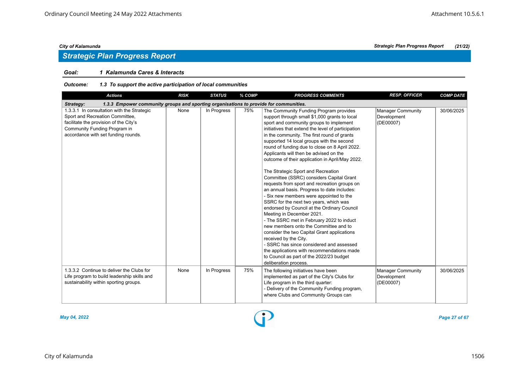# *Goal: 1 Kalamunda Cares & Interacts*

| Outcome: | 1.3 To support the active participation of local communities |
|----------|--------------------------------------------------------------|
|----------|--------------------------------------------------------------|

| <b>Actions</b>                                                                                                                                                                                 | <b>RISK</b> | <b>STATUS</b> | % COMP | <b>PROGRESS COMMENTS</b>                                                                                                                                                                                                                                                                                                                                                                                                                                                                                                                                                                                                                                                                                                                                                                                                                                                                                                                                                                                                                                                                                           | <b>RESP. OFFICER</b>                                 | <b>COMP DATE</b> |  |  |  |  |
|------------------------------------------------------------------------------------------------------------------------------------------------------------------------------------------------|-------------|---------------|--------|--------------------------------------------------------------------------------------------------------------------------------------------------------------------------------------------------------------------------------------------------------------------------------------------------------------------------------------------------------------------------------------------------------------------------------------------------------------------------------------------------------------------------------------------------------------------------------------------------------------------------------------------------------------------------------------------------------------------------------------------------------------------------------------------------------------------------------------------------------------------------------------------------------------------------------------------------------------------------------------------------------------------------------------------------------------------------------------------------------------------|------------------------------------------------------|------------------|--|--|--|--|
| 1.3.3 Empower community groups and sporting organisations to provide for communities.<br>Strategy:                                                                                             |             |               |        |                                                                                                                                                                                                                                                                                                                                                                                                                                                                                                                                                                                                                                                                                                                                                                                                                                                                                                                                                                                                                                                                                                                    |                                                      |                  |  |  |  |  |
| 1.3.3.1 In consultation with the Strategic<br>Sport and Recreation Committee,<br>facilitate the provision of the City's<br>Community Funding Program in<br>accordance with set funding rounds. | None        | In Progress   | 75%    | The Community Funding Program provides<br>support through small \$1,000 grants to local<br>sport and community groups to implement<br>initiatives that extend the level of participation<br>in the community. The first round of grants<br>supported 14 local groups with the second<br>round of funding due to close on 8 April 2022.<br>Applicants will then be advised on the<br>outcome of their application in April/May 2022.<br>The Strategic Sport and Recreation<br>Committee (SSRC) considers Capital Grant<br>requests from sport and recreation groups on<br>an annual basis. Progress to date includes:<br>- Six new members were appointed to the<br>SSRC for the next two years, which was<br>endorsed by Council at the Ordinary Council<br>Meeting in December 2021.<br>- The SSRC met in February 2022 to induct<br>new members onto the Committee and to<br>consider the two Capital Grant applications<br>received by the City.<br>- SSRC has since considered and assessed<br>the applications with recommendations made<br>to Council as part of the 2022/23 budget<br>deliberation process. | <b>Manager Community</b><br>Development<br>(DE00007) | 30/06/2025       |  |  |  |  |
| 1.3.3.2 Continue to deliver the Clubs for<br>Life program to build leadership skills and<br>sustainability within sporting groups.                                                             | None        | In Progress   | 75%    | The following initiatives have been<br>implemented as part of the City's Clubs for<br>Life program in the third quarter:<br>- Delivery of the Community Funding program,<br>where Clubs and Community Groups can                                                                                                                                                                                                                                                                                                                                                                                                                                                                                                                                                                                                                                                                                                                                                                                                                                                                                                   | <b>Manager Community</b><br>Development<br>(DE00007) | 30/06/2025       |  |  |  |  |

*May 04, 2022 Page 27 of 67*

*City of Kalamunda Strategic Plan Progress Report (21/22)*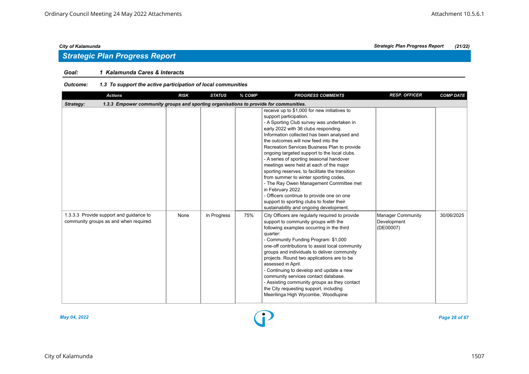# *Strategic Plan Progress Report*

# *Goal: 1 Kalamunda Cares & Interacts*

# *Outcome: 1.3 To support the active participation of local communities*

| <b>Actions</b>                                                                                     | <b>RISK</b> | <b>STATUS</b> | % COMP | <b>PROGRESS COMMENTS</b>                                                                                                                                                                                                                                                                                                                                                                                                                                                                                                                                                                                                                                                                                                                   | <b>RESP. OFFICER</b>                          | <b>COMP DATE</b> |
|----------------------------------------------------------------------------------------------------|-------------|---------------|--------|--------------------------------------------------------------------------------------------------------------------------------------------------------------------------------------------------------------------------------------------------------------------------------------------------------------------------------------------------------------------------------------------------------------------------------------------------------------------------------------------------------------------------------------------------------------------------------------------------------------------------------------------------------------------------------------------------------------------------------------------|-----------------------------------------------|------------------|
| 1.3.3 Empower community groups and sporting organisations to provide for communities.<br>Strategy: |             |               |        |                                                                                                                                                                                                                                                                                                                                                                                                                                                                                                                                                                                                                                                                                                                                            |                                               |                  |
|                                                                                                    |             |               |        | receive up to \$1,000 for new initiatives to<br>support participation.<br>- A Sporting Club survey was undertaken in<br>early 2022 with 36 clubs responding.<br>Information collected has been analysed and<br>the outcomes will now feed into the<br>Recreation Services Business Plan to provide<br>ongoing targeted support to the local clubs.<br>- A series of sporting seasonal handover<br>meetings were held at each of the major<br>sporting reserves, to facilitate the transition<br>from summer to winter sporting codes.<br>- The Ray Owen Management Committee met<br>in February 2022.<br>- Officers continue to provide one on one<br>support to sporting clubs to foster their<br>sustainability and ongoing development. |                                               |                  |
| 1.3.3.3 Provide support and guidance to<br>community groups as and when required.                  | None        | In Progress   | 75%    | City Officers are regularly required to provide<br>support to community groups with the<br>following examples occurring in the third<br>quarter:<br>- Community Funding Program: \$1,000<br>one-off contributions to assist local community<br>groups and individuals to deliver community<br>projects. Round two applications are to be<br>assessed in April.<br>- Continuing to develop and update a new<br>community services contact database.<br>- Assisting community groups as they contact<br>the City requesting support, including<br>Meerilinga High Wycombe, Woodlupine                                                                                                                                                        | Manager Community<br>Development<br>(DE00007) | 30/06/2025       |



*May 04, 2022 Page 28 of 67*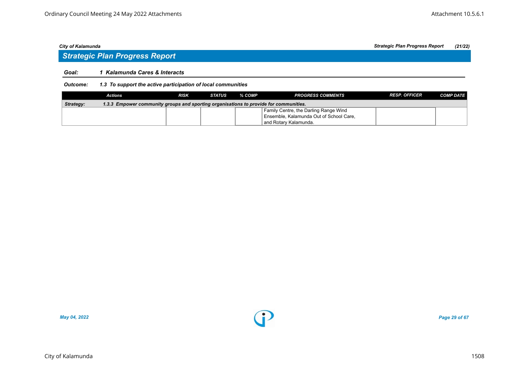# *Goal: 1 Kalamunda Cares & Interacts*

# *Outcome: 1.3 To support the active participation of local communities*

|           | Actions                                                                               | <b>RISK</b> | <b>STATUS</b> | % COMP | <b>PROGRESS COMMENTS</b>                | <b>RESP. OFFICER</b> | <b>COMP DATE</b> |
|-----------|---------------------------------------------------------------------------------------|-------------|---------------|--------|-----------------------------------------|----------------------|------------------|
| Strategy: | 1.3.3 Empower community groups and sporting organisations to provide for communities. |             |               |        |                                         |                      |                  |
|           |                                                                                       |             |               |        | Family Centre, the Darling Range Wind   |                      |                  |
|           |                                                                                       |             |               |        | Ensemble, Kalamunda Out of School Care, |                      |                  |
|           |                                                                                       |             |               |        | and Rotary Kalamunda.                   |                      |                  |

*May 04, 2022 Page 29 of 67*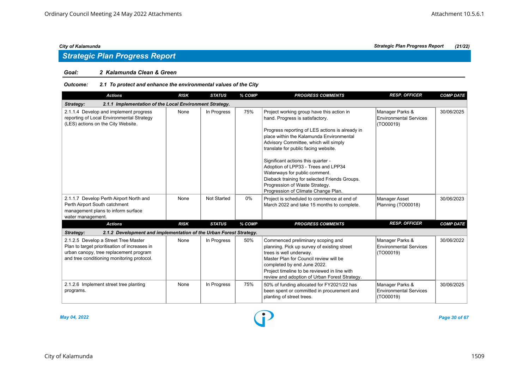## *Goal: 2 Kalamunda Clean & Green*

# *Outcome: 2.1 To protect and enhance the environmental values of the City*

| <b>Actions</b>                                                                                                                                                                | <b>RISK</b> | <b>STATUS</b>      | % COMP | <b>PROGRESS COMMENTS</b>                                                                                                                                                                                                                                                                                                                                                                                                                                                                             | <b>RESP. OFFICER</b>                                          | <b>COMP DATE</b> |
|-------------------------------------------------------------------------------------------------------------------------------------------------------------------------------|-------------|--------------------|--------|------------------------------------------------------------------------------------------------------------------------------------------------------------------------------------------------------------------------------------------------------------------------------------------------------------------------------------------------------------------------------------------------------------------------------------------------------------------------------------------------------|---------------------------------------------------------------|------------------|
| 2.1.1 Implementation of the Local Environment Strategy.<br>Strategy:                                                                                                          |             |                    |        |                                                                                                                                                                                                                                                                                                                                                                                                                                                                                                      |                                                               |                  |
| 2.1.1.4 Develop and implement progress<br>reporting of Local Environmental Strategy<br>(LES) actions on the City Website.                                                     | None        | In Progress        | 75%    | Project working group have this action in<br>hand. Progress is satisfactory.<br>Progress reporting of LES actions is already in<br>place within the Kalamunda Environmental<br>Advisory Committee, which will simply<br>translate for public facing website.<br>Significant actions this quarter -<br>Adoption of LPP33 - Trees and LPP34<br>Waterways for public comment.<br>Dieback training for selected Friends Groups.<br>Progression of Waste Strategy.<br>Progression of Climate Change Plan. | Manager Parks &<br><b>Environmental Services</b><br>(TO00019) | 30/06/2025       |
| 2.1.1.7 Develop Perth Airport North and<br>Perth Airport South catchment<br>management plans to inform surface<br>water management.                                           | None        | <b>Not Started</b> | 0%     | Project is scheduled to commence at end of<br>March 2022 and take 15 months to complete.                                                                                                                                                                                                                                                                                                                                                                                                             | <b>Manager Asset</b><br>Planning (TO00018)                    | 30/06/2023       |
| <b>Actions</b>                                                                                                                                                                | <b>RISK</b> | <b>STATUS</b>      | % COMP | <b>PROGRESS COMMENTS</b>                                                                                                                                                                                                                                                                                                                                                                                                                                                                             | <b>RESP. OFFICER</b>                                          | <b>COMP DATE</b> |
| Strategy:<br>2.1.2 Development and implementation of the Urban Forest Strategy.                                                                                               |             |                    |        |                                                                                                                                                                                                                                                                                                                                                                                                                                                                                                      |                                                               |                  |
| 2.1.2.5 Develop a Street Tree Master<br>Plan to target prioritisation of increases in<br>urban canopy, tree replacement program<br>and tree conditioning monitoring protocol. | None        | In Progress        | 50%    | Commenced preliminary scoping and<br>planning. Pick up survey of existing street<br>trees is well underway.<br>Master Plan for Council review will be<br>completed by end June 2022.<br>Project timeline to be reviewed in line with<br>review and adoption of Urban Forest Strategy.                                                                                                                                                                                                                | Manager Parks &<br><b>Environmental Services</b><br>(TO00019) | 30/06/2022       |
| 2.1.2.6 Implement street tree planting<br>programs.                                                                                                                           | None        | In Progress        | 75%    | 50% of funding allocated for FY2021/22 has<br>been spent or committed in procurement and<br>planting of street trees.                                                                                                                                                                                                                                                                                                                                                                                | Manager Parks &<br><b>Environmental Services</b><br>(TO00019) | 30/06/2025       |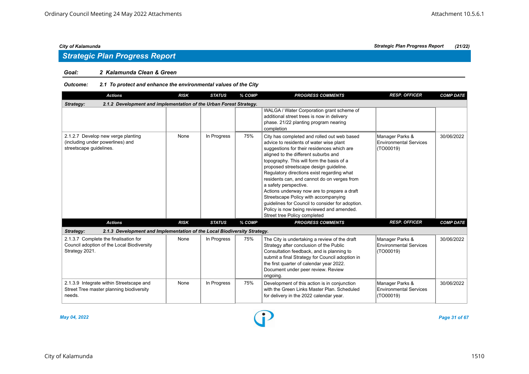## *Goal: 2 Kalamunda Clean & Green*

# *Outcome: 2.1 To protect and enhance the environmental values of the City*

| <b>Actions</b>                                                                                        | <b>RISK</b> | <b>STATUS</b> | % COMP | <b>PROGRESS COMMENTS</b>                                                                                                                                                                                                                                                                                                                                                                                                                                                                                                                                                                                          | <b>RESP. OFFICER</b>                                          | <b>COMP DATE</b> |  |  |  |  |
|-------------------------------------------------------------------------------------------------------|-------------|---------------|--------|-------------------------------------------------------------------------------------------------------------------------------------------------------------------------------------------------------------------------------------------------------------------------------------------------------------------------------------------------------------------------------------------------------------------------------------------------------------------------------------------------------------------------------------------------------------------------------------------------------------------|---------------------------------------------------------------|------------------|--|--|--|--|
| 2.1.2 Development and implementation of the Urban Forest Strategy.<br>Strategy:                       |             |               |        |                                                                                                                                                                                                                                                                                                                                                                                                                                                                                                                                                                                                                   |                                                               |                  |  |  |  |  |
|                                                                                                       |             |               |        | WALGA / Water Corporation grant scheme of<br>additional street trees is now in delivery<br>phase. 21/22 planting program nearing<br>completion                                                                                                                                                                                                                                                                                                                                                                                                                                                                    |                                                               |                  |  |  |  |  |
| 2.1.2.7 Develop new verge planting<br>(including under powerlines) and<br>streetscape guidelines.     | None        | In Progress   | 75%    | City has completed and rolled out web based<br>advice to residents of water wise plant<br>suggestions for their residences which are<br>aligned to the different suburbs and<br>topography. This will form the basis of a<br>proposed streetscape design quideline.<br>Regulatory directions exist regarding what<br>residents can, and cannot do on verges from<br>a safety perspective.<br>Actions underway now are to prepare a draft<br>Streetscape Policy with accompanying<br>guidelines for Council to consider for adoption.<br>Policy is now being reviewed and amended.<br>Street tree Policy completed | Manager Parks &<br><b>Environmental Services</b><br>(TO00019) | 30/06/2022       |  |  |  |  |
| <b>Actions</b>                                                                                        | <b>RISK</b> | <b>STATUS</b> | % COMP | <b>PROGRESS COMMENTS</b>                                                                                                                                                                                                                                                                                                                                                                                                                                                                                                                                                                                          | <b>RESP. OFFICER</b>                                          | <b>COMP DATE</b> |  |  |  |  |
| Strategy:<br>2.1.3 Development and Implementation of the Local Biodiversity Strategy.                 |             |               |        |                                                                                                                                                                                                                                                                                                                                                                                                                                                                                                                                                                                                                   |                                                               |                  |  |  |  |  |
| 2.1.3.7 Complete the finalisation for<br>Council adoption of the Local Biodiversity<br>Strategy 2021. | None        | In Progress   | 75%    | The City is undertaking a review of the draft<br>Strategy after conclusion of the Public<br>Consultation feedback, and is planning to<br>submit a final Strategy for Council adoption in<br>the first quarter of calendar year 2022.<br>Document under peer review. Review<br>ongoing.                                                                                                                                                                                                                                                                                                                            | Manager Parks &<br>Environmental Services<br>(TO00019)        | 30/06/2022       |  |  |  |  |
| 2.1.3.9 Integrate within Streetscape and<br>Street Tree master planning biodiversity<br>needs.        | None        | In Progress   | 75%    | Development of this action is in conjunction<br>with the Green Links Master Plan, Scheduled<br>for delivery in the 2022 calendar year.                                                                                                                                                                                                                                                                                                                                                                                                                                                                            | Manager Parks &<br>Environmental Services<br>(TO00019)        | 30/06/2022       |  |  |  |  |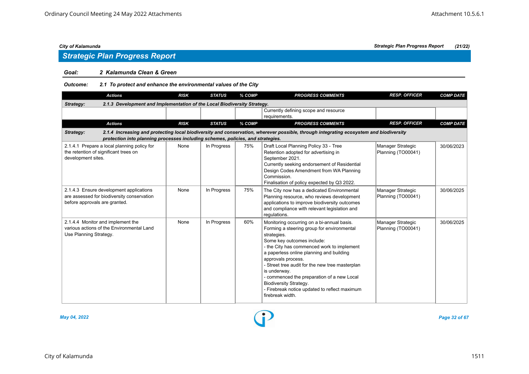# *Strategic Plan Progress Report*

## *Goal: 2 Kalamunda Clean & Green*

*Outcome: 2.1 To protect and enhance the environmental values of the City*

| <b>Actions</b>                                                                                                         | <b>RISK</b>                                                                                                                                                                                                               | <b>STATUS</b> | % COMP | <b>PROGRESS COMMENTS</b>                                                                                                                                                                                                                                                                                                                                                                                                                                                     | <b>RESP. OFFICER</b>                    | <b>COMP DATE</b> |  |  |  |  |
|------------------------------------------------------------------------------------------------------------------------|---------------------------------------------------------------------------------------------------------------------------------------------------------------------------------------------------------------------------|---------------|--------|------------------------------------------------------------------------------------------------------------------------------------------------------------------------------------------------------------------------------------------------------------------------------------------------------------------------------------------------------------------------------------------------------------------------------------------------------------------------------|-----------------------------------------|------------------|--|--|--|--|
| 2.1.3 Development and Implementation of the Local Biodiversity Strategy.<br>Strategy:                                  |                                                                                                                                                                                                                           |               |        |                                                                                                                                                                                                                                                                                                                                                                                                                                                                              |                                         |                  |  |  |  |  |
|                                                                                                                        |                                                                                                                                                                                                                           |               |        | Currently defining scope and resource<br>requirements.                                                                                                                                                                                                                                                                                                                                                                                                                       |                                         |                  |  |  |  |  |
| <b>Actions</b>                                                                                                         | <b>RISK</b>                                                                                                                                                                                                               | <b>STATUS</b> | % COMP | <b>PROGRESS COMMENTS</b>                                                                                                                                                                                                                                                                                                                                                                                                                                                     | <b>RESP. OFFICER</b>                    | <b>COMP DATE</b> |  |  |  |  |
| Strategy:                                                                                                              | 2.1.4 Increasing and protecting local biodiversity and conservation, wherever possible, through integrating ecosystem and biodiversity<br>protection into planning processes including schemes, policies, and strategies. |               |        |                                                                                                                                                                                                                                                                                                                                                                                                                                                                              |                                         |                  |  |  |  |  |
| 2.1.4.1 Prepare a local planning policy for<br>the retention of significant trees on<br>development sites.             | None                                                                                                                                                                                                                      | In Progress   | 75%    | Draft Local Planning Policy 33 - Tree<br>Retention adopted for advertising in<br>September 2021.<br>Currently seeking endorsement of Residential<br>Design Codes Amendment from WA Planning<br>Commission.<br>Finalisation of policy expected by Q3 2022.                                                                                                                                                                                                                    | Manager Strategic<br>Planning (TO00041) | 30/06/2023       |  |  |  |  |
| 2.1.4.3 Ensure development applications<br>are assessed for biodiversity conservation<br>before approvals are granted. | None                                                                                                                                                                                                                      | In Progress   | 75%    | The City now has a dedicated Environmental<br>Planning resource, who reviews development<br>applications to improve biodiversity outcomes<br>and compliance with relevant legislation and<br>regulations.                                                                                                                                                                                                                                                                    | Manager Strategic<br>Planning (TO00041) | 30/06/2025       |  |  |  |  |
| 2.1.4.4 Monitor and implement the<br>various actions of the Environmental Land<br>Use Planning Strategy.               | None                                                                                                                                                                                                                      | In Progress   | 60%    | Monitoring occurring on a bi-annual basis.<br>Forming a steering group for environmental<br>strategies.<br>Some key outcomes include:<br>- the City has commenced work to implement<br>a paperless online planning and building<br>approvals process.<br>- Street tree audit for the new tree masterplan<br>is underway.<br>- commenced the preparation of a new Local<br><b>Biodiversity Strategy.</b><br>- Firebreak notice updated to reflect maximum<br>firebreak width. | Manager Strategic<br>Planning (TO00041) | 30/06/2025       |  |  |  |  |



*May 04, 2022 Page 32 of 67*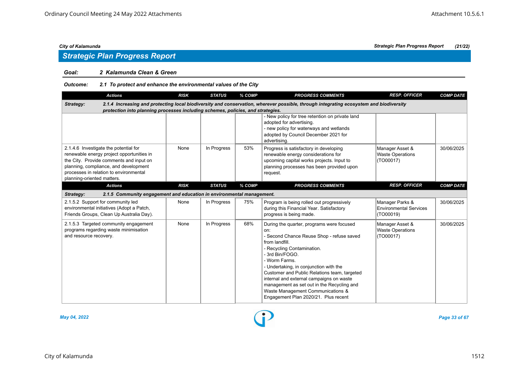# *Strategic Plan Progress Report*

# *Goal: 2 Kalamunda Clean & Green*

# *Outcome: 2.1 To protect and enhance the environmental values of the City*

| <b>Actions</b>                                                                                                                                                                                                                                 | <b>RISK</b> | <b>STATUS</b> | % COMP | <b>PROGRESS COMMENTS</b>                                                                                                                                                                                                                                                                                                                                                                                                                           | <b>RESP. OFFICER</b>                                          | <b>COMP DATE</b> |
|------------------------------------------------------------------------------------------------------------------------------------------------------------------------------------------------------------------------------------------------|-------------|---------------|--------|----------------------------------------------------------------------------------------------------------------------------------------------------------------------------------------------------------------------------------------------------------------------------------------------------------------------------------------------------------------------------------------------------------------------------------------------------|---------------------------------------------------------------|------------------|
| Strategy:<br>protection into planning processes including schemes, policies, and strategies.                                                                                                                                                   |             |               |        | 2.1.4 Increasing and protecting local biodiversity and conservation, wherever possible, through integrating ecosystem and biodiversity                                                                                                                                                                                                                                                                                                             |                                                               |                  |
|                                                                                                                                                                                                                                                |             |               |        | - New policy for tree retention on private land<br>adopted for advertising.<br>- new policy for waterways and wetlands<br>adopted by Council December 2021 for<br>advertising.                                                                                                                                                                                                                                                                     |                                                               |                  |
| 2.1.4.6 Investigate the potential for<br>renewable energy project opportunities in<br>the City. Provide comments and input on<br>planning, compliance, and development<br>processes in relation to environmental<br>planning-oriented matters. | None        | In Progress   | 53%    | Progress is satisfactory in developing<br>renewable energy considerations for<br>upcoming capital works projects. Input to<br>planning processes has been provided upon<br>request.                                                                                                                                                                                                                                                                | Manager Asset &<br><b>Waste Operations</b><br>(TO00017)       | 30/06/2025       |
| <b>Actions</b>                                                                                                                                                                                                                                 | <b>RISK</b> | <b>STATUS</b> | % COMP | <b>PROGRESS COMMENTS</b>                                                                                                                                                                                                                                                                                                                                                                                                                           | <b>RESP. OFFICER</b>                                          | <b>COMP DATE</b> |
| 2.1.5 Community engagement and education in environmental management.<br>Strategy:                                                                                                                                                             |             |               |        |                                                                                                                                                                                                                                                                                                                                                                                                                                                    |                                                               |                  |
| 2.1.5.2 Support for community led<br>environmental initiatives (Adopt a Patch,<br>Friends Groups, Clean Up Australia Day).                                                                                                                     | None        | In Progress   | 75%    | Program is being rolled out progressively<br>during this Financial Year. Satisfactory<br>progress is being made.                                                                                                                                                                                                                                                                                                                                   | Manager Parks &<br><b>Environmental Services</b><br>(TO00019) | 30/06/2025       |
| 2.1.5.3 Targeted community engagement<br>programs regarding waste minimisation<br>and resource recovery.                                                                                                                                       | None        | In Progress   | 68%    | During the quarter, programs were focused<br>on:<br>- Second Chance Reuse Shop - refuse saved<br>from landfill.<br>- Recycling Contamination.<br>- 3rd Bin/FOGO.<br>- Worm Farms.<br>- Undertaking, in conjunction with the<br>Customer and Public Relations team, targeted<br>internal and external campaigns on waste<br>management as set out in the Recycling and<br>Waste Management Communications &<br>Engagement Plan 2020/21. Plus recent | Manager Asset &<br><b>Waste Operations</b><br>(TO00017)       | 30/06/2025       |



*May 04, 2022 Page 33 of 67*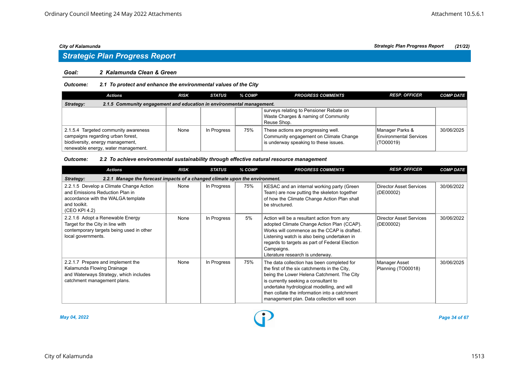# *Strategic Plan Progress Report*

# *Goal: 2 Kalamunda Clean & Green*

# *Outcome: 2.1 To protect and enhance the environmental values of the City*

| <b>Actions</b>                                                                                                                                       | <b>RISK</b> | <b>STATUS</b> | % COMP | <b>PROGRESS COMMENTS</b>                                                                                               | <b>RESP. OFFICER</b>                                          | <b>COMP DATE</b> |  |  |  |
|------------------------------------------------------------------------------------------------------------------------------------------------------|-------------|---------------|--------|------------------------------------------------------------------------------------------------------------------------|---------------------------------------------------------------|------------------|--|--|--|
| 2.1.5 Community engagement and education in environmental management.<br>Strategy:                                                                   |             |               |        |                                                                                                                        |                                                               |                  |  |  |  |
|                                                                                                                                                      |             |               |        | surveys relating to Pensioner Rebate on<br>Waste Charges & naming of Community<br>Reuse Shop.                          |                                                               |                  |  |  |  |
| 2.1.5.4 Targeted community awareness<br>campaigns regarding urban forest,<br>biodiversity, energy management,<br>renewable energy, water management. | None        | In Progress   | 75%    | These actions are progressing well.<br>Community engagement on Climate Change<br>is underway speaking to these issues. | Manager Parks &<br><b>Environmental Services</b><br>(TO00019) | 30/06/2025       |  |  |  |

## *Outcome: 2.2 To achieve environmental sustainability through effective natural resource management*

| <b>Actions</b>                                                                                                                                    | <b>RISK</b> | <b>STATUS</b> | % COMP | <b>PROGRESS COMMENTS</b>                                                                                                                                                                                                                                                                                                      | <b>RESP. OFFICER</b>                 | <b>COMP DATE</b> |  |  |  |  |
|---------------------------------------------------------------------------------------------------------------------------------------------------|-------------|---------------|--------|-------------------------------------------------------------------------------------------------------------------------------------------------------------------------------------------------------------------------------------------------------------------------------------------------------------------------------|--------------------------------------|------------------|--|--|--|--|
| 2.2.1 Manage the forecast impacts of a changed climate upon the environment.<br>Strategy:                                                         |             |               |        |                                                                                                                                                                                                                                                                                                                               |                                      |                  |  |  |  |  |
| 2.2.1.5 Develop a Climate Change Action<br>and Emissions Reduction Plan in<br>accordance with the WALGA template<br>and toolkit.<br>(CEO KPI 4.2) | None        | In Progress   | 75%    | KESAC and an internal working party (Green<br>Team) are now putting the skeleton together<br>of how the Climate Change Action Plan shall<br>be structured.                                                                                                                                                                    | Director Asset Services<br>(DE00002) | 30/06/2022       |  |  |  |  |
| 2.2.1.6 Adopt a Renewable Energy<br>Target for the City in line with<br>contemporary targets being used in other<br>local governments.            | None        | In Progress   | 5%     | Action will be a resultant action from any<br>adopted Climate Change Action Plan (CCAP).<br>Works will commence as the CCAP is drafted.<br>Listening watch is also being undertaken in<br>regards to targets as part of Federal Election<br>Campaigns.<br>Literature research is underway.                                    | Director Asset Services<br>(DE00002) | 30/06/2022       |  |  |  |  |
| 2.2.1.7 Prepare and implement the<br>Kalamunda Flowing Drainage<br>and Waterways Strategy, which includes<br>catchment management plans.          | None        | In Progress   | 75%    | The data collection has been completed for<br>the first of the six catchments in the City,<br>being the Lower Helena Catchment. The City<br>is currently seeking a consultant to<br>undertake hydrological modelling, and will<br>then collate the information into a catchment<br>management plan. Data collection will soon | Manager Asset<br>Planning (TO00018)  | 30/06/2025       |  |  |  |  |



*May 04, 2022 Page 34 of 67*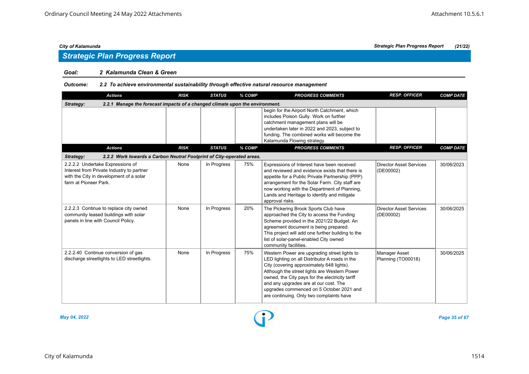# *Strategic Plan Progress Report*

## *Goal: 2 Kalamunda Clean & Green*

# *Outcome: 2.2 To achieve environmental sustainability through effective natural resource management*

| <b>Actions</b>                                                                                                                                    | <b>RISK</b> | <b>STATUS</b> | % COMP | <b>PROGRESS COMMENTS</b>                                                                                                                                                                                                                                                                                                                                                        | <b>RESP. OFFICER</b>                        | <b>COMP DATE</b> |
|---------------------------------------------------------------------------------------------------------------------------------------------------|-------------|---------------|--------|---------------------------------------------------------------------------------------------------------------------------------------------------------------------------------------------------------------------------------------------------------------------------------------------------------------------------------------------------------------------------------|---------------------------------------------|------------------|
| 2.2.1 Manage the forecast impacts of a changed climate upon the environment.<br>Strategy:                                                         |             |               |        |                                                                                                                                                                                                                                                                                                                                                                                 |                                             |                  |
|                                                                                                                                                   |             |               |        | begin for the Airport North Catchment, which<br>includes Poison Gully. Work on further<br>catchment management plans will be<br>undertaken later in 2022 and 2023, subject to<br>funding. The combined works will become the<br>Kalamunda Flowing strategy.                                                                                                                     |                                             |                  |
| <b>Actions</b>                                                                                                                                    | <b>RISK</b> | <b>STATUS</b> | % COMP | <b>PROGRESS COMMENTS</b>                                                                                                                                                                                                                                                                                                                                                        | <b>RESP. OFFICER</b>                        | <b>COMP DATE</b> |
| 2.2.2 Work towards a Carbon Neutral Footprint of City-operated areas.<br>Strategy:                                                                |             |               |        |                                                                                                                                                                                                                                                                                                                                                                                 |                                             |                  |
| 2.2.2.2 Undertake Expressions of<br>Interest from Private Industry to partner<br>with the City in development of a solar<br>farm at Pioneer Park. | None        | In Progress   | 75%    | Expressions of Interest have been received<br>and reviewed and evidence exists that there is<br>appetite for a Public Private Partnership (PPP)<br>arrangement for the Solar Farm. City staff are<br>now working with the Department of Planning,<br>Lands and Heritage to identify and mitigate<br>approval risks.                                                             | <b>Director Asset Services</b><br>(DE00002) | 30/06/2023       |
| 2.2.2.3 Continue to replace city owned<br>community leased buildings with solar<br>panels in line with Council Policy.                            | None        | In Progress   | 20%    | The Pickering Brook Sports Club have<br>approached the City to access the Funding<br>Scheme provided in the 2021/22 Budget. An<br>agreement document is being prepared.<br>This project will add one further building to the<br>list of solar-panel-enabled City owned<br>community facilities.                                                                                 | <b>Director Asset Services</b><br>(DE00002) | 30/06/2025       |
| 2.2.2.40 Continue conversion of gas<br>discharge streetlights to LED streetlights.                                                                | None        | In Progress   | 75%    | Western Power are upgrading street lights to<br>LED lighting on all Distributor A roads in the<br>City (covering approximately 648 lights).<br>Although the street lights are Western Power<br>owned, the City pays for the electricity tariff<br>and any upgrades are at our cost. The<br>upgrades commenced on 5 October 2021 and<br>are continuing. Only two complaints have | <b>Manager Asset</b><br>Planning (TO00018)  | 30/06/2025       |



*May 04, 2022 Page 35 of 67*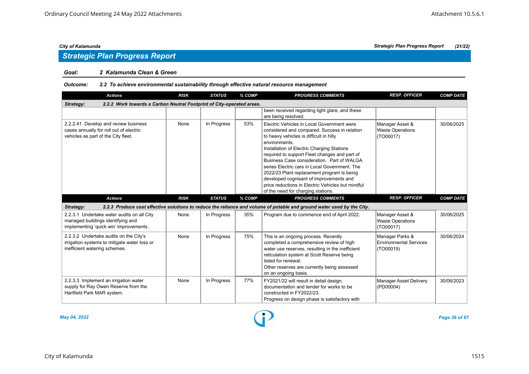# *Strategic Plan Progress Report*

## *Goal: 2 Kalamunda Clean & Green*

# *Outcome: 2.2 To achieve environmental sustainability through effective natural resource management*

| <b>Actions</b>                                                                                                            | <b>RISK</b> | <b>STATUS</b> | % COMP | <b>PROGRESS COMMENTS</b>                                                                                                                                                                                                                                                                                                                                                                                                                                                                                                                 | <b>RESP. OFFICER</b>                                          | <b>COMP DATE</b> |
|---------------------------------------------------------------------------------------------------------------------------|-------------|---------------|--------|------------------------------------------------------------------------------------------------------------------------------------------------------------------------------------------------------------------------------------------------------------------------------------------------------------------------------------------------------------------------------------------------------------------------------------------------------------------------------------------------------------------------------------------|---------------------------------------------------------------|------------------|
| 2.2.2 Work towards a Carbon Neutral Footprint of City-operated areas.<br>Strategy:                                        |             |               |        |                                                                                                                                                                                                                                                                                                                                                                                                                                                                                                                                          |                                                               |                  |
|                                                                                                                           |             |               |        | been received regarding light glare, and these<br>are being resolved.                                                                                                                                                                                                                                                                                                                                                                                                                                                                    |                                                               |                  |
| 2.2.2.41 Develop and review business<br>cases annually for roll out of electric<br>vehicles as part of the City fleet.    | None        | In Progress   | 53%    | Electric Vehicles in Local Government were<br>considered and compared. Success in relation<br>to heavy vehicles is difficult in hilly<br>environments.<br>Installation of Electric Charging Stations<br>required to support Fleet changes and part of<br>Business Case consideration. Part of WALGA<br>series Electric cars in Local Government. The<br>2022/23 Plant replacement program is being<br>developed cognisant of improvements and<br>price reductions in Electric Vehicles but mindful<br>of the need for charging stations. | Manager Asset &<br><b>Waste Operations</b><br>(TO00017)       | 30/06/2025       |
| <b>Actions</b>                                                                                                            | <b>RISK</b> | <b>STATUS</b> | % COMP | <b>PROGRESS COMMENTS</b>                                                                                                                                                                                                                                                                                                                                                                                                                                                                                                                 | <b>RESP. OFFICER</b>                                          | <b>COMP DATE</b> |
| Strategy:                                                                                                                 |             |               |        | 2.2.3 Produce cost effective solutions to reduce the reliance and volume of potable and ground water used by the City.                                                                                                                                                                                                                                                                                                                                                                                                                   |                                                               |                  |
| 2.2.3.1 Undertake water audits on all City<br>managed buildings identifying and<br>implementing 'quick win' improvements. | None        | In Progress   | 35%    | Program due to commence end of April 2022.                                                                                                                                                                                                                                                                                                                                                                                                                                                                                               | Manager Asset &<br><b>Waste Operations</b><br>(TO00017)       | 30/06/2025       |
| 2.2.3.2 Undertake audits on the City's<br>irrigation systems to mitigate water loss or<br>inefficient watering schemes.   | None        | In Progress   | 75%    | This is an ongoing process. Recently<br>completed a comprehensive review of high<br>water use reserves, resulting in the inefficient<br>reticulation system at Scott Reserve being<br>listed for renewal.<br>Other reserves are currently being assessed<br>on an ongoing basis.                                                                                                                                                                                                                                                         | Manager Parks &<br><b>Environmental Services</b><br>(TO00019) | 30/06/2024       |
| 2.2.3.3 Implement an irrigation water<br>supply for Ray Owen Reserve from the<br>Hartfield Park MAR system.               | None        | In Progress   | 77%    | FY2021/22 will result in detail design,<br>documentation and tender for works to be<br>constructed in FY2022/23.<br>Progress on design phase is satisfactory with                                                                                                                                                                                                                                                                                                                                                                        | <b>Manager Asset Delivery</b><br>(PD00004)                    | 30/06/2023       |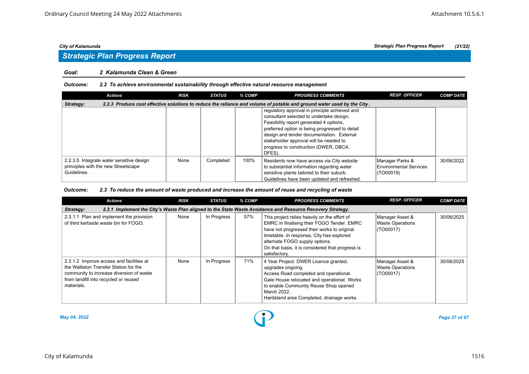# *Strategic Plan Progress Report*

## *Goal: 2 Kalamunda Clean & Green*

# *Outcome: 2.2 To achieve environmental sustainability through effective natural resource management*

| <b>Actions</b>                                                                                 | <b>RISK</b> | <b>STATUS</b> | % COMP | <b>PROGRESS COMMENTS</b>                                                                                                                                                                                                                                                                                                         | <b>RESP. OFFICER</b>                                    | <b>COMP DATE</b> |
|------------------------------------------------------------------------------------------------|-------------|---------------|--------|----------------------------------------------------------------------------------------------------------------------------------------------------------------------------------------------------------------------------------------------------------------------------------------------------------------------------------|---------------------------------------------------------|------------------|
| Strategy:                                                                                      |             |               |        | 2.2.3 Produce cost effective solutions to reduce the reliance and volume of potable and ground water used by the City.                                                                                                                                                                                                           |                                                         |                  |
|                                                                                                |             |               |        | regulatory approval in principle achieved and<br>consultant selected to undertake design.<br>Feasibility report generated 4 options,<br>preferred option is being progressed to detail<br>design and tender documentation. External<br>stakeholder approval will be needed to<br>progress to construction (DWER, DBCA,<br>DFES). |                                                         |                  |
| 2.2.3.5 Integrate water sensitive design<br>principles with the new Streetscape<br>Guidelines. | None        | Completed     | 100%   | Residents now have access via City website<br>to substantial information regarding water<br>sensitive plants tailored to their suburb.<br>Guidelines have been updated and refreshed.                                                                                                                                            | Manager Parks &<br>Environmental Services<br> (TO00019) | 30/06/2022       |

### *Outcome: 2.3 To reduce the amount of waste produced and increase the amount of reuse and recycling of waste*

| <b>Actions</b>                                                                                                                                                                        | <b>RISK</b> | <b>STATUS</b> | % COMP | <b>PROGRESS COMMENTS</b>                                                                                                                                                                                                                                                                      | <b>RESP. OFFICER</b>                                    | <b>COMP DATE</b> |  |  |  |  |
|---------------------------------------------------------------------------------------------------------------------------------------------------------------------------------------|-------------|---------------|--------|-----------------------------------------------------------------------------------------------------------------------------------------------------------------------------------------------------------------------------------------------------------------------------------------------|---------------------------------------------------------|------------------|--|--|--|--|
| 2.3.1 Implement the City's Waste Plan aligned to the State Waste Avoidance and Resource Recovery Strategy.<br>Strategy:                                                               |             |               |        |                                                                                                                                                                                                                                                                                               |                                                         |                  |  |  |  |  |
| 2.3.1.1 Plan and implement the provision<br>of third kerbside waste bin for FOGO.                                                                                                     | None        | In Progress   | 57%    | This project relies heavily on the effort of<br>EMRC in finalising their FOGO Tender. EMRC<br>have not progressed their works to original<br>timetable. In response, City has explored<br>alternate FOGO supply options.<br>On that basis, it is considered that progress is<br>satisfactory. | Manager Asset &<br><b>Waste Operations</b><br>(TO00017) | 30/06/2025       |  |  |  |  |
| 2.3.1.2 Improve access and facilities at<br>the Walliston Transfer Station for the<br>community to increase diversion of waste<br>from landfill into recycled or reused<br>materials. | None        | In Progress   | 71%    | 4 Year Project. DWER Licence granted,<br>upgrades ongoing.<br>Access Road completed and operational.<br>Gate House relocated and operational. Works<br>to enable Community Reuse Shop opened<br>March 2022.<br>Hardstand area Completed, drainage works                                       | Manager Asset &<br><b>Waste Operations</b><br>(TO00017) | 30/06/2025       |  |  |  |  |



*May 04, 2022 Page 37 of 67*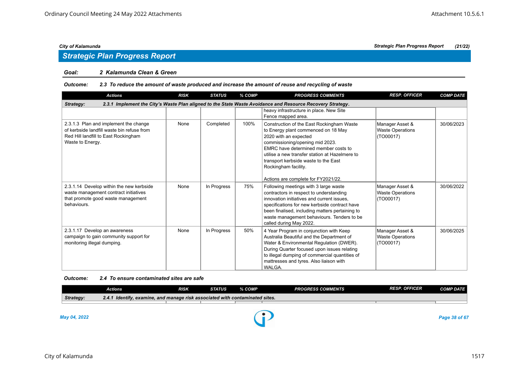## *Goal: 2 Kalamunda Clean & Green*

### *Outcome: 2.3 To reduce the amount of waste produced and increase the amount of reuse and recycling of waste*

| <b>Actions</b>                                                                                                                                  | <b>RISK</b> | <b>STATUS</b> | % COMP | <b>PROGRESS COMMENTS</b>                                                                                                                                                                                                                                                                                                                      | <b>RESP. OFFICER</b>                                    | <b>COMP DATE</b> |  |  |  |  |
|-------------------------------------------------------------------------------------------------------------------------------------------------|-------------|---------------|--------|-----------------------------------------------------------------------------------------------------------------------------------------------------------------------------------------------------------------------------------------------------------------------------------------------------------------------------------------------|---------------------------------------------------------|------------------|--|--|--|--|
| 2.3.1 Implement the City's Waste Plan aligned to the State Waste Avoidance and Resource Recovery Strategy.<br>Strategy:                         |             |               |        |                                                                                                                                                                                                                                                                                                                                               |                                                         |                  |  |  |  |  |
|                                                                                                                                                 |             |               |        | heavy infrastructure in place. New Site<br>Fence mapped area.                                                                                                                                                                                                                                                                                 |                                                         |                  |  |  |  |  |
| 2.3.1.3 Plan and implement the change<br>of kerbside landfill waste bin refuse from<br>Red Hill landfill to East Rockingham<br>Waste to Energy. | None        | Completed     | 100%   | Construction of the East Rockingham Waste<br>to Energy plant commenced on 18 May<br>2020 with an expected<br>commissioning/opening mid 2023.<br>EMRC have determined member costs to<br>utilise a new transfer station at Hazelmere to<br>transport kerbside waste to the East<br>Rockingham facility.<br>Actions are complete for FY2021/22. | Manager Asset &<br><b>Waste Operations</b><br>(T000017) | 30/06/2023       |  |  |  |  |
| 2.3.1.14 Develop within the new kerbside<br>waste management contract initiatives<br>that promote good waste management<br>behaviours.          | None        | In Progress   | 75%    | Following meetings with 3 large waste<br>contractors in respect to understanding<br>innovation initiatives and current issues.<br>specifications for new kerbside contract have<br>been finalised, including matters pertaining to<br>waste management behaviours. Tenders to be<br>called during May 2022.                                   | Manager Asset &<br><b>Waste Operations</b><br>(TO00017) | 30/06/2022       |  |  |  |  |
| 2.3.1.17 Develop an awareness<br>campaign to gain community support for<br>monitoring illegal dumping.                                          | None        | In Progress   | 50%    | 4 Year Program in conjunction with Keep<br>Australia Beautiful and the Department of<br>Water & Environmental Regulation (DWER).<br>During Quarter focused upon issues relating<br>to illegal dumping of commercial quantities of<br>mattresses and tyres. Also liaison with<br>WALGA.                                                        | Manager Asset &<br><b>Waste Operations</b><br>(TO00017) | 30/06/2025       |  |  |  |  |

### *Outcome: 2.4 To ensure contaminated sites are safe*

|           | Actions                                                                         | RISK | STATUS | % COMP | <b>PROGRESS COMMENTS</b> | <b>RESP. OFFICER</b> | <b>COMP DATE</b> |  |  |  |
|-----------|---------------------------------------------------------------------------------|------|--------|--------|--------------------------|----------------------|------------------|--|--|--|
| Strategy: | Identify, examine, and manage risk associated with contaminated sites.<br>2.4.1 |      |        |        |                          |                      |                  |  |  |  |
|           |                                                                                 |      |        |        |                          |                      |                  |  |  |  |
|           |                                                                                 |      |        |        |                          |                      |                  |  |  |  |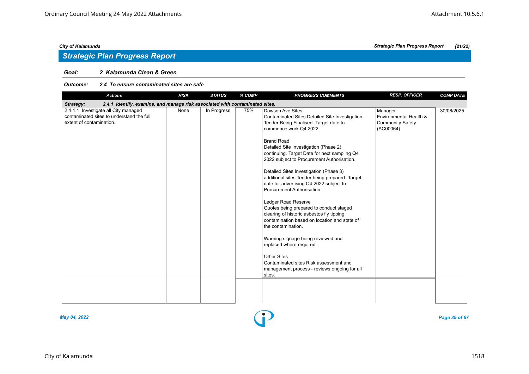# *Strategic Plan Progress Report*

# *Goal: 2 Kalamunda Clean & Green*

### *Outcome: 2.4 To ensure contaminated sites are safe*

| <b>Actions</b>                                                                                                | <b>RISK</b> | <b>STATUS</b> | % COMP | <b>PROGRESS COMMENTS</b>                                                                                                                                                                                                                                                                                                                                                                                                                                                                                                                                                                                                                                                                                                                                                                                                                              | <b>RESP. OFFICER</b>                                                      | <b>COMP DATE</b> |  |  |  |  |
|---------------------------------------------------------------------------------------------------------------|-------------|---------------|--------|-------------------------------------------------------------------------------------------------------------------------------------------------------------------------------------------------------------------------------------------------------------------------------------------------------------------------------------------------------------------------------------------------------------------------------------------------------------------------------------------------------------------------------------------------------------------------------------------------------------------------------------------------------------------------------------------------------------------------------------------------------------------------------------------------------------------------------------------------------|---------------------------------------------------------------------------|------------------|--|--|--|--|
| Strategy:<br>2.4.1 Identify, examine, and manage risk associated with contaminated sites.                     |             |               |        |                                                                                                                                                                                                                                                                                                                                                                                                                                                                                                                                                                                                                                                                                                                                                                                                                                                       |                                                                           |                  |  |  |  |  |
| 2.4.1.1 Investigate all City managed<br>contaminated sites to understand the full<br>extent of contamination. | None        | In Progress   | 75%    | Dawson Ave Sites -<br>Contaminated Sites Detailed Site Investigation<br>Tender Being Finalised. Target date to<br>commence work Q4 2022.<br><b>Brand Road</b><br>Detailed Site Investigation (Phase 2)<br>continuing. Target Date for next sampling Q4<br>2022 subject to Procurement Authorisation.<br>Detailed Sites Investigation (Phase 3)<br>additional sites Tender being prepared. Target<br>date for advertising Q4 2022 subject to<br>Procurement Authorisation.<br>Ledger Road Reserve<br>Quotes being prepared to conduct staged<br>clearing of historic asbestos fly tipping<br>contamination based on location and state of<br>the contamination.<br>Warning signage being reviewed and<br>replaced where required.<br>Other Sites -<br>Contaminated sites Risk assessment and<br>management process - reviews ongoing for all<br>sites. | Manager<br>Environmental Health &<br><b>Community Safety</b><br>(AC00064) | 30/06/2025       |  |  |  |  |
|                                                                                                               |             |               |        |                                                                                                                                                                                                                                                                                                                                                                                                                                                                                                                                                                                                                                                                                                                                                                                                                                                       |                                                                           |                  |  |  |  |  |



*May 04, 2022 Page 39 of 67*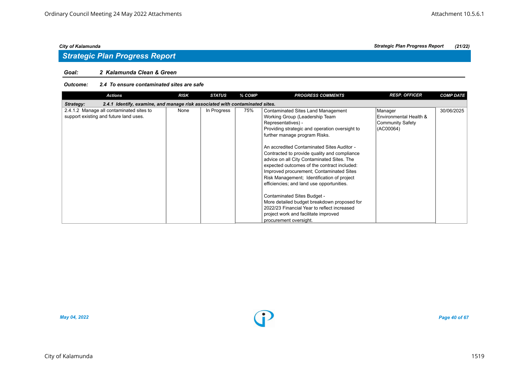# *Goal: 2 Kalamunda Clean & Green*

### *Outcome: 2.4 To ensure contaminated sites are safe*

| <b>Actions</b>                                                                            | <b>RISK</b> | <b>STATUS</b> | % COMP | <b>PROGRESS COMMENTS</b>                       | <b>RESP. OFFICER</b>   | <b>COMP DATE</b> |
|-------------------------------------------------------------------------------------------|-------------|---------------|--------|------------------------------------------------|------------------------|------------------|
| 2.4.1 Identify, examine, and manage risk associated with contaminated sites.<br>Strategy: |             |               |        |                                                |                        |                  |
| 2.4.1.2 Manage all contaminated sites to                                                  | None        | In Progress   | 75%    | Contaminated Sites Land Management             | Manager                | 30/06/2025       |
| support existing and future land uses.                                                    |             |               |        | Working Group (Leadership Team                 | Environmental Health & |                  |
|                                                                                           |             |               |        | Representatives) -                             | Community Safety       |                  |
|                                                                                           |             |               |        | Providing strategic and operation oversight to | (AC00064)              |                  |
|                                                                                           |             |               |        | further manage program Risks.                  |                        |                  |
|                                                                                           |             |               |        | An accredited Contaminated Sites Auditor -     |                        |                  |
|                                                                                           |             |               |        | Contracted to provide quality and compliance   |                        |                  |
|                                                                                           |             |               |        | advice on all City Contaminated Sites. The     |                        |                  |
|                                                                                           |             |               |        | expected outcomes of the contract included:    |                        |                  |
|                                                                                           |             |               |        | Improved procurement; Contaminated Sites       |                        |                  |
|                                                                                           |             |               |        | Risk Management; Identification of project     |                        |                  |
|                                                                                           |             |               |        | efficiencies; and land use opportunities.      |                        |                  |
|                                                                                           |             |               |        | Contaminated Sites Budget -                    |                        |                  |
|                                                                                           |             |               |        | More detailed budget breakdown proposed for    |                        |                  |
|                                                                                           |             |               |        | 2022/23 Financial Year to reflect increased    |                        |                  |
|                                                                                           |             |               |        | project work and facilitate improved           |                        |                  |
|                                                                                           |             |               |        | procurement oversight.                         |                        |                  |

*May 04, 2022 Page 40 of 67*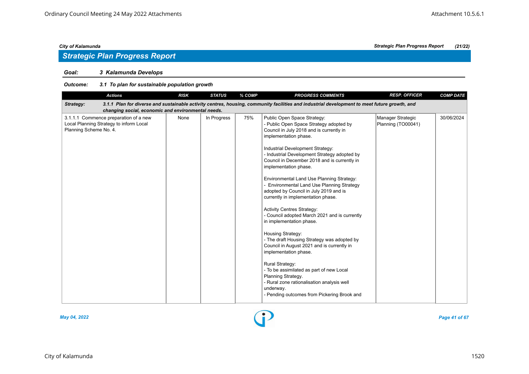# *Strategic Plan Progress Report*

# *Goal: 3 Kalamunda Develops*

# *Outcome: 3.1 To plan for sustainable population growth*

| <b>Actions</b>                                                                                                                                                                                                  | <b>RISK</b> | <b>STATUS</b> | % COMP | <b>PROGRESS COMMENTS</b>                                                                                                                                                                                                                                                                                                                                                                                                                                                                                                                                                                                                                                                                                                                                                                                                                                                                                                                               | <b>RESP. OFFICER</b>                    | <b>COMP DATE</b> |  |  |  |  |
|-----------------------------------------------------------------------------------------------------------------------------------------------------------------------------------------------------------------|-------------|---------------|--------|--------------------------------------------------------------------------------------------------------------------------------------------------------------------------------------------------------------------------------------------------------------------------------------------------------------------------------------------------------------------------------------------------------------------------------------------------------------------------------------------------------------------------------------------------------------------------------------------------------------------------------------------------------------------------------------------------------------------------------------------------------------------------------------------------------------------------------------------------------------------------------------------------------------------------------------------------------|-----------------------------------------|------------------|--|--|--|--|
| 3.1.1 Plan for diverse and sustainable activity centres, housing, community facilities and industrial development to meet future growth, and<br>Strategy:<br>changing social, economic and environmental needs. |             |               |        |                                                                                                                                                                                                                                                                                                                                                                                                                                                                                                                                                                                                                                                                                                                                                                                                                                                                                                                                                        |                                         |                  |  |  |  |  |
| 3.1.1.1 Commence preparation of a new<br>Local Planning Strategy to inform Local<br>Planning Scheme No. 4.                                                                                                      | None        | In Progress   | 75%    | Public Open Space Strategy:<br>- Public Open Space Strategy adopted by<br>Council in July 2018 and is currently in<br>implementation phase.<br>Industrial Development Strategy:<br>- Industrial Development Strategy adopted by<br>Council in December 2018 and is currently in<br>implementation phase.<br>Environmental Land Use Planning Strategy:<br>- Environmental Land Use Planning Strategy<br>adopted by Council in July 2019 and is<br>currently in implementation phase.<br><b>Activity Centres Strategy:</b><br>- Council adopted March 2021 and is currently<br>in implementation phase.<br>Housing Strategy:<br>- The draft Housing Strategy was adopted by<br>Council in August 2021 and is currently in<br>implementation phase.<br><b>Rural Strategy:</b><br>- To be assimilated as part of new Local<br>Planning Strategy.<br>- Rural zone rationalisation analysis well<br>underway.<br>- Pending outcomes from Pickering Brook and | Manager Strategic<br>Planning (TO00041) | 30/06/2024       |  |  |  |  |



*May 04, 2022 Page 41 of 67*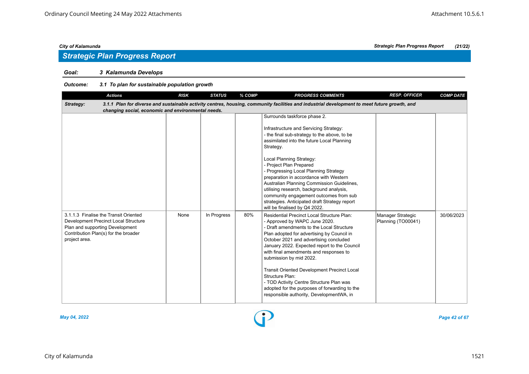# *Goal: 3 Kalamunda Develops*

# *Outcome: 3.1 To plan for sustainable population growth*

| <b>Actions</b>                                                                                                                                                            | <b>RISK</b> | <b>STATUS</b> | % COMP | <b>PROGRESS COMMENTS</b>                                                                                                                                                                                                                                                                                                                                                                                                                                                                                                                                       | <b>RESP. OFFICER</b>                    | <b>COMP DATE</b> |  |  |  |  |
|---------------------------------------------------------------------------------------------------------------------------------------------------------------------------|-------------|---------------|--------|----------------------------------------------------------------------------------------------------------------------------------------------------------------------------------------------------------------------------------------------------------------------------------------------------------------------------------------------------------------------------------------------------------------------------------------------------------------------------------------------------------------------------------------------------------------|-----------------------------------------|------------------|--|--|--|--|
| 3.1.1 Plan for diverse and sustainable activity centres, housing, community facilities and industrial development to meet future growth, and<br>Strategy:                 |             |               |        |                                                                                                                                                                                                                                                                                                                                                                                                                                                                                                                                                                |                                         |                  |  |  |  |  |
| changing social, economic and environmental needs.                                                                                                                        |             |               |        |                                                                                                                                                                                                                                                                                                                                                                                                                                                                                                                                                                |                                         |                  |  |  |  |  |
|                                                                                                                                                                           |             |               |        | Surrounds taskforce phase 2.<br>Infrastructure and Servicing Strategy:<br>- the final sub-strategy to the above, to be<br>assimilated into the future Local Planning<br>Strategy.<br>Local Planning Strategy:<br>- Project Plan Prepared<br>- Progressing Local Planning Strategy<br>preparation in accordance with Western<br>Australian Planning Commission Guidelines,<br>utilising research, background analysis,<br>community engagement outcomes from sub<br>strategies. Anticipated draft Strategy report<br>will be finalised by Q4 2022.              |                                         |                  |  |  |  |  |
| 3.1.1.3 Finalise the Transit Oriented<br>Development Precinct Local Structure<br>Plan and supporting Development<br>Contribution Plan(s) for the broader<br>project area. | None        | In Progress   | 80%    | <b>Residential Precinct Local Structure Plan:</b><br>- Approved by WAPC June 2020.<br>- Draft amendments to the Local Structure<br>Plan adopted for advertising by Council in<br>October 2021 and advertising concluded<br>January 2022. Expected report to the Council<br>with final amendments and responses to<br>submission by mid 2022.<br><b>Transit Oriented Development Precinct Local</b><br>Structure Plan:<br>- TOD Activity Centre Structure Plan was<br>adopted for the purposes of forwarding to the<br>responsible authority, DevelopmentWA, in | Manager Strategic<br>Planning (TO00041) | 30/06/2023       |  |  |  |  |



*May 04, 2022 Page 42 of 67*

*City of Kalamunda Strategic Plan Progress Report (21/22)*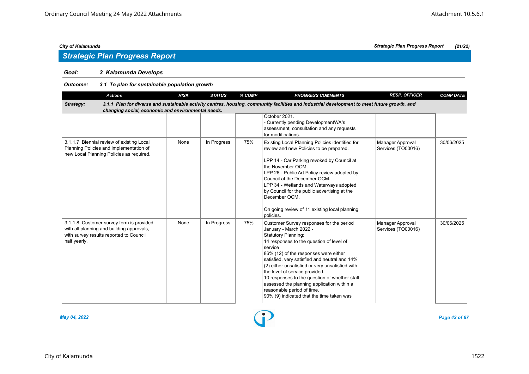# *Goal: 3 Kalamunda Develops*

# *Outcome: 3.1 To plan for sustainable population growth*

| <b>Actions</b>                                                                                                                                                                                                  | <b>RISK</b> | <b>STATUS</b> | % COMP | <b>PROGRESS COMMENTS</b>                                                                                                                                                                                                                                                                                                                                                                                                                                                                                         | <b>RESP. OFFICER</b>                   | <b>COMP DATE</b> |  |  |  |  |
|-----------------------------------------------------------------------------------------------------------------------------------------------------------------------------------------------------------------|-------------|---------------|--------|------------------------------------------------------------------------------------------------------------------------------------------------------------------------------------------------------------------------------------------------------------------------------------------------------------------------------------------------------------------------------------------------------------------------------------------------------------------------------------------------------------------|----------------------------------------|------------------|--|--|--|--|
| 3.1.1 Plan for diverse and sustainable activity centres, housing, community facilities and industrial development to meet future growth, and<br>Strategy:<br>changing social, economic and environmental needs. |             |               |        |                                                                                                                                                                                                                                                                                                                                                                                                                                                                                                                  |                                        |                  |  |  |  |  |
|                                                                                                                                                                                                                 |             |               |        | October 2021.<br>- Currently pending DevelopmentWA's<br>assessment, consultation and any requests<br>for modifications.                                                                                                                                                                                                                                                                                                                                                                                          |                                        |                  |  |  |  |  |
| 3.1.1.7 Biennial review of existing Local<br>Planning Policies and implementation of<br>new Local Planning Policies as required.                                                                                | None        | In Progress   | 75%    | Existing Local Planning Policies identified for<br>review and new Policies to be prepared.<br>LPP 14 - Car Parking revoked by Council at<br>the November OCM.<br>LPP 26 - Public Art Policy review adopted by<br>Council at the December OCM.<br>LPP 34 - Wetlands and Waterways adopted<br>by Council for the public advertising at the<br>December OCM.<br>On going review of 11 existing local planning<br>policies.                                                                                          | Manager Approval<br>Services (TO00016) | 30/06/2025       |  |  |  |  |
| 3.1.1.8 Customer survey form is provided<br>with all planning and building approvals,<br>with survey results reported to Council<br>half yearly.                                                                | None        | In Progress   | 75%    | Customer Survey responses for the period<br>January - March 2022 -<br><b>Statutory Planning:</b><br>14 responses to the question of level of<br>service<br>86% (12) of the responses were either<br>satisfied, very satisfied and neutral and 14%<br>(2) either unsatisfied or very unsatisfied with<br>the level of service provided.<br>10 responses to the question of whether staff<br>assessed the planning application within a<br>reasonable period of time.<br>90% (9) indicated that the time taken was | Manager Approval<br>Services (TO00016) | 30/06/2025       |  |  |  |  |



*May 04, 2022 Page 43 of 67*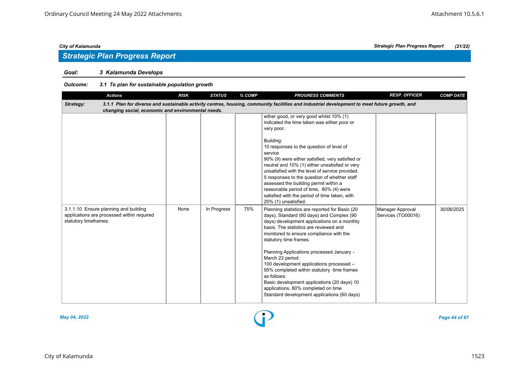# *Goal: 3 Kalamunda Develops*

# *Outcome: 3.1 To plan for sustainable population growth*

| <b>Actions</b>                                                                                               | <b>RISK</b> | <b>STATUS</b> | % COMP | <b>PROGRESS COMMENTS</b>                                                                                                                                                                                                                                                                                                                                                                                                                                                                                                                                                 | <b>RESP. OFFICER</b>                   | <b>COMP DATE</b> |
|--------------------------------------------------------------------------------------------------------------|-------------|---------------|--------|--------------------------------------------------------------------------------------------------------------------------------------------------------------------------------------------------------------------------------------------------------------------------------------------------------------------------------------------------------------------------------------------------------------------------------------------------------------------------------------------------------------------------------------------------------------------------|----------------------------------------|------------------|
| Strategy:<br>changing social, economic and environmental needs.                                              |             |               |        | 3.1.1 Plan for diverse and sustainable activity centres, housing, community facilities and industrial development to meet future growth, and                                                                                                                                                                                                                                                                                                                                                                                                                             |                                        |                  |
|                                                                                                              |             |               |        | either good, or very good whilst 10% (1)<br>indicated the time taken was either poor or<br>very poor.<br>Building:<br>10 responses to the question of level of<br>service<br>90% (9) were either satisfied, very satisfied or<br>neutral and 10% (1) either unsatisfied or very<br>unsatisfied with the level of service provided.<br>5 responses to the question of whether staff<br>assessed the building permit within a<br>reasonable period of time, 80% (4) were<br>satisfied with the period of time taken, with<br>20% (1) unsatisfied.                          |                                        |                  |
| 3.1.1.10 Ensure planning and building<br>applications are processed within required<br>statutory timeframes. | None        | In Progress   | 75%    | Planning statistics are reported for Basic (20<br>days), Standard (60 days) and Complex (90<br>days) development applications on a monthly<br>basis. The statistics are reviewed and<br>monitored to ensure compliance with the<br>statutory time frames.<br>Planning Applications processed January -<br>March 22 period:<br>100 development applications processed -<br>95% completed within statutory time frames<br>as follows:<br>Basic development applications (20 days) 10<br>applications, 80% completed on time<br>Standard development applications (60 days) | Manager Approval<br>Services (TO00016) | 30/06/2025       |



*May 04, 2022 Page 44 of 67*

# *City of Kalamunda Strategic Plan Progress Report (21/22)*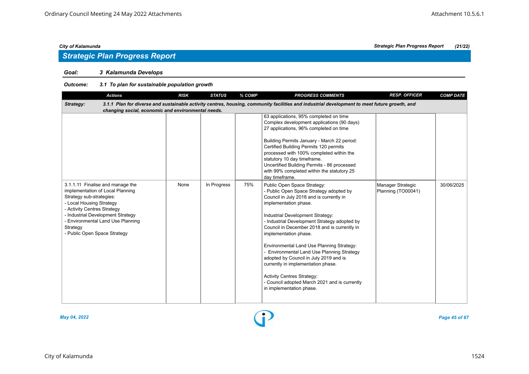# *Strategic Plan Progress Report*

# *Goal: 3 Kalamunda Develops*

# *Outcome: 3.1 To plan for sustainable population growth*

| <b>Actions</b>                                                                                                                                                                                                                                                                    | <b>RISK</b> | <b>STATUS</b> | % COMP | <b>PROGRESS COMMENTS</b>                                                                                                                                                                                                                                                                                                                                                                                                                                                                                                                                                                                                | <b>RESP. OFFICER</b>                    | <b>COMP DATE</b> |
|-----------------------------------------------------------------------------------------------------------------------------------------------------------------------------------------------------------------------------------------------------------------------------------|-------------|---------------|--------|-------------------------------------------------------------------------------------------------------------------------------------------------------------------------------------------------------------------------------------------------------------------------------------------------------------------------------------------------------------------------------------------------------------------------------------------------------------------------------------------------------------------------------------------------------------------------------------------------------------------------|-----------------------------------------|------------------|
| Strategy:                                                                                                                                                                                                                                                                         |             |               |        | 3.1.1 Plan for diverse and sustainable activity centres, housing, community facilities and industrial development to meet future growth, and                                                                                                                                                                                                                                                                                                                                                                                                                                                                            |                                         |                  |
| changing social, economic and environmental needs.                                                                                                                                                                                                                                |             |               |        | 63 applications, 95% completed on time<br>Complex development applications (90 days)<br>27 applications, 96% completed on time<br>Building Permits January - March 22 period:<br>Certified Building Permits 120 permits<br>processed with 100% completed within the<br>statutory 10 day timeframe.<br>Uncertified Building Permits - 86 processed<br>with 99% completed within the statutory 25                                                                                                                                                                                                                         |                                         |                  |
| 3.1.1.11 Finalise and manage the<br>implementation of Local Planning<br>Strategy sub-strategies:<br>- Local Housing Strategy<br>- Activity Centres Strategy<br>- Industrial Development Strategy<br>- Environmental Land Use Planning<br>Strategy<br>- Public Open Space Strategy | None        | In Progress   | 75%    | day timeframe.<br>Public Open Space Strategy:<br>- Public Open Space Strategy adopted by<br>Council in July 2018 and is currently in<br>implementation phase.<br>Industrial Development Strategy:<br>- Industrial Development Strategy adopted by<br>Council in December 2018 and is currently in<br>implementation phase.<br>Environmental Land Use Planning Strategy:<br>- Environmental Land Use Planning Strategy<br>adopted by Council in July 2019 and is<br>currently in implementation phase.<br><b>Activity Centres Strategy:</b><br>- Council adopted March 2021 and is currently<br>in implementation phase. | Manager Strategic<br>Planning (TO00041) | 30/06/2025       |



*May 04, 2022 Page 45 of 67*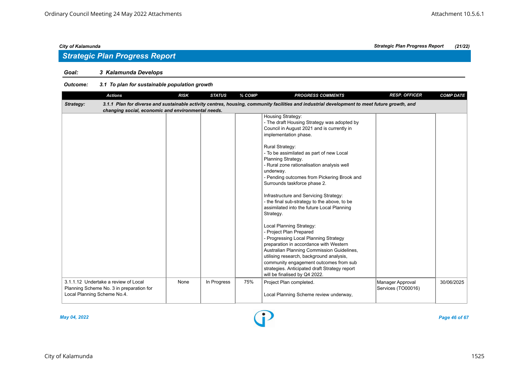# *Strategic Plan Progress Report*

# *Goal: 3 Kalamunda Develops*

# *Outcome: 3.1 To plan for sustainable population growth*

| <b>Actions</b>                                                                                                  | <b>RISK</b> | <b>STATUS</b> | % COMP | <b>PROGRESS COMMENTS</b>                                                                                                                                                                                                                                                                                                                                     | <b>RESP. OFFICER</b>                   | <b>COMP DATE</b> |
|-----------------------------------------------------------------------------------------------------------------|-------------|---------------|--------|--------------------------------------------------------------------------------------------------------------------------------------------------------------------------------------------------------------------------------------------------------------------------------------------------------------------------------------------------------------|----------------------------------------|------------------|
| Strategy:                                                                                                       |             |               |        | 3.1.1 Plan for diverse and sustainable activity centres, housing, community facilities and industrial development to meet future growth, and                                                                                                                                                                                                                 |                                        |                  |
| changing social, economic and environmental needs.                                                              |             |               |        |                                                                                                                                                                                                                                                                                                                                                              |                                        |                  |
|                                                                                                                 |             |               |        | <b>Housing Strategy:</b><br>- The draft Housing Strategy was adopted by<br>Council in August 2021 and is currently in<br>implementation phase.                                                                                                                                                                                                               |                                        |                  |
|                                                                                                                 |             |               |        | Rural Strategy:<br>- To be assimilated as part of new Local<br>Planning Strategy.<br>- Rural zone rationalisation analysis well<br>underway.<br>- Pending outcomes from Pickering Brook and<br>Surrounds taskforce phase 2.<br>Infrastructure and Servicing Strategy:                                                                                        |                                        |                  |
|                                                                                                                 |             |               |        | - the final sub-strategy to the above, to be<br>assimilated into the future Local Planning<br>Strategy.                                                                                                                                                                                                                                                      |                                        |                  |
|                                                                                                                 |             |               |        | Local Planning Strategy:<br>- Project Plan Prepared<br>- Progressing Local Planning Strategy<br>preparation in accordance with Western<br>Australian Planning Commission Guidelines,<br>utilising research, background analysis,<br>community engagement outcomes from sub<br>strategies. Anticipated draft Strategy report<br>will be finalised by Q4 2022. |                                        |                  |
| 3.1.1.12 Undertake a review of Local<br>Planning Scheme No. 3 in preparation for<br>Local Planning Scheme No.4. | None        | In Progress   | 75%    | Project Plan completed.<br>Local Planning Scheme review underway,                                                                                                                                                                                                                                                                                            | Manager Approval<br>Services (TO00016) | 30/06/2025       |

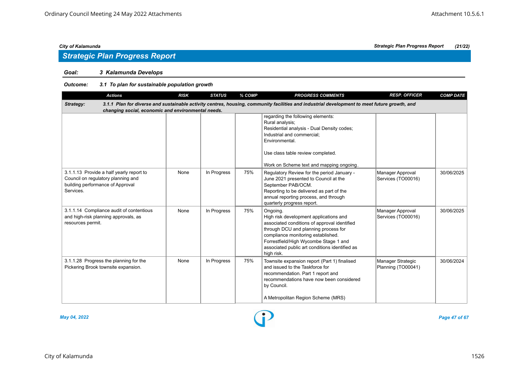# *Strategic Plan Progress Report*

# *Goal: 3 Kalamunda Develops*

# *Outcome: 3.1 To plan for sustainable population growth*

| <b>Actions</b>                                                                                                                                                                                                  | <b>RISK</b> | <b>STATUS</b> | % COMP | <b>PROGRESS COMMENTS</b>                                                                                                                                                                                                                                                                  | <b>RESP. OFFICER</b>                    | <b>COMP DATE</b> |  |  |  |  |  |
|-----------------------------------------------------------------------------------------------------------------------------------------------------------------------------------------------------------------|-------------|---------------|--------|-------------------------------------------------------------------------------------------------------------------------------------------------------------------------------------------------------------------------------------------------------------------------------------------|-----------------------------------------|------------------|--|--|--|--|--|
| 3.1.1 Plan for diverse and sustainable activity centres, housing, community facilities and industrial development to meet future growth, and<br>Strategy:<br>changing social, economic and environmental needs. |             |               |        |                                                                                                                                                                                                                                                                                           |                                         |                  |  |  |  |  |  |
|                                                                                                                                                                                                                 |             |               |        | regarding the following elements:<br>Rural analysis;<br>Residential analysis - Dual Density codes;<br>Industrial and commercial;<br>Environmental.<br>Use class table review completed.<br>Work on Scheme text and mapping ongoing.                                                       |                                         |                  |  |  |  |  |  |
| 3.1.1.13 Provide a half yearly report to<br>Council on regulatory planning and<br>building performance of Approval<br>Services.                                                                                 | None        | In Progress   | 75%    | Regulatory Review for the period January -<br>June 2021 presented to Council at the<br>September PAB/OCM.<br>Reporting to be delivered as part of the<br>annual reporting process, and through<br>quarterly progress report.                                                              | Manager Approval<br>Services (TO00016)  | 30/06/2025       |  |  |  |  |  |
| 3.1.1.14 Compliance audit of contentious<br>and high-risk planning approvals, as<br>resources permit.                                                                                                           | None        | In Progress   | 75%    | Ongoing.<br>High risk development applications and<br>associated conditions of approval identified<br>through DCU and planning process for<br>compliance monitoring established.<br>Forrestfield/High Wycombe Stage 1 and<br>associated public art conditions identified as<br>high risk. | Manager Approval<br>Services (TO00016)  | 30/06/2025       |  |  |  |  |  |
| 3.1.1.28 Progress the planning for the<br>Pickering Brook townsite expansion.                                                                                                                                   | None        | In Progress   | 75%    | Townsite expansion report (Part 1) finalised<br>and issued to the Taskforce for<br>recommendation. Part 1 report and<br>recommendations have now been considered<br>by Council.<br>A Metropolitan Region Scheme (MRS)                                                                     | Manager Strategic<br>Planning (TO00041) | 30/06/2024       |  |  |  |  |  |

*May 04, 2022 Page 47 of 67*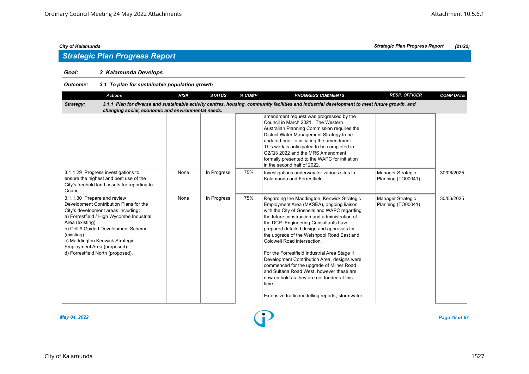# *Strategic Plan Progress Report*

# *Goal: 3 Kalamunda Develops*

# *Outcome: 3.1 To plan for sustainable population growth*

| <b>Actions</b>                                                                                                                                                                                                                                                                                                                             | <b>RISK</b> | <b>STATUS</b> | % COMP | <b>PROGRESS COMMENTS</b>                                                                                                                                                                                                                                                                                                                                                                                                                                                                                                                                                                                                                                      | <b>RESP. OFFICER</b>                    | <b>COMP DATE</b> |  |  |  |  |
|--------------------------------------------------------------------------------------------------------------------------------------------------------------------------------------------------------------------------------------------------------------------------------------------------------------------------------------------|-------------|---------------|--------|---------------------------------------------------------------------------------------------------------------------------------------------------------------------------------------------------------------------------------------------------------------------------------------------------------------------------------------------------------------------------------------------------------------------------------------------------------------------------------------------------------------------------------------------------------------------------------------------------------------------------------------------------------------|-----------------------------------------|------------------|--|--|--|--|
| 3.1.1 Plan for diverse and sustainable activity centres, housing, community facilities and industrial development to meet future growth, and<br>Strategy:<br>changing social, economic and environmental needs.                                                                                                                            |             |               |        |                                                                                                                                                                                                                                                                                                                                                                                                                                                                                                                                                                                                                                                               |                                         |                  |  |  |  |  |
|                                                                                                                                                                                                                                                                                                                                            |             |               |        | amendment request was progressed by the<br>Council in March 2021. The Western<br>Australian Planning Commission requires the<br>District Water Management Strategy to be<br>updated prior to initiating the amendment.<br>This work is anticipated to be completed in<br>Q2/Q3 2022 and the MRS Amendment<br>formally presented to the WAPC for initiation<br>in the second half of 2022.                                                                                                                                                                                                                                                                     |                                         |                  |  |  |  |  |
| 3.1.1.29 Progress investigations to<br>ensure the highest and best use of the<br>City's freehold land assets for reporting to<br>Council.                                                                                                                                                                                                  | None        | In Progress   | 75%    | Investigations underway for various sites in<br>Kalamunda and Forrestfield.                                                                                                                                                                                                                                                                                                                                                                                                                                                                                                                                                                                   | Manager Strategic<br>Planning (TO00041) | 30/06/2025       |  |  |  |  |
| 3.1.1.30 Prepare and review<br>Development Contribution Plans for the<br>City's development areas including:<br>a) Forrestfield / High Wycombe Industrial<br>Area (existing).<br>b) Cell 9 Guided Development Scheme<br>(existing).<br>c) Maddington Kenwick Strategic<br>Employment Area (proposed).<br>d) Forrestfield North (proposed). | None        | In Progress   | 75%    | Regarding the Maddington, Kenwick Strategic<br>Employment Area (MKSEA), ongoing liaison<br>with the City of Gosnells and WAPC regarding<br>the future construction and administration of<br>the DCP. Engineering Consultants have<br>prepared detailed design and approvals for<br>the upgrade of the Welshpool Road East and<br>Coldwell Road intersection.<br>For the Forrestfield Industrial Area Stage 1<br>Development Contribution Area, designs were<br>commenced for the upgrade of Milner Road<br>and Sultana Road West, however these are<br>now on hold as they are not funded at this<br>time.<br>Extensive traffic modelling reports, stormwater | Manager Strategic<br>Planning (TO00041) | 30/06/2025       |  |  |  |  |

*May 04, 2022 Page 48 of 67*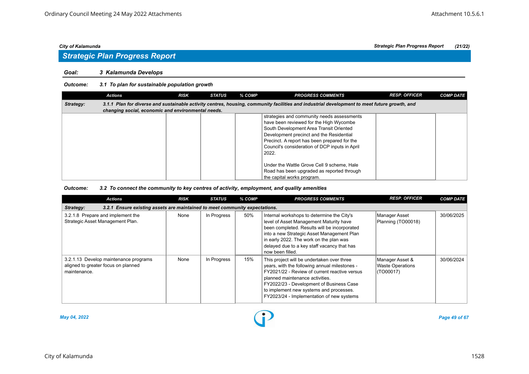### *Goal: 3 Kalamunda Develops*

### *Outcome: 3.1 To plan for sustainable population growth*

|           | <b>Actions</b>                                     | <b>RISK</b> | <b>STATUS</b> | % COMP | <b>PROGRESS COMMENTS</b>                                                                                                                                                                                                                                                                | <b>RESP. OFFICER</b> | <b>COMP DATE</b> |
|-----------|----------------------------------------------------|-------------|---------------|--------|-----------------------------------------------------------------------------------------------------------------------------------------------------------------------------------------------------------------------------------------------------------------------------------------|----------------------|------------------|
| Strategy: |                                                    |             |               |        | 3.1.1 Plan for diverse and sustainable activity centres, housing, community facilities and industrial development to meet future growth, and                                                                                                                                            |                      |                  |
|           | changing social, economic and environmental needs. |             |               |        |                                                                                                                                                                                                                                                                                         |                      |                  |
|           |                                                    |             |               |        | strategies and community needs assessments<br>have been reviewed for the High Wycombe<br>South Development Area Transit Oriented<br>Development precinct and the Residential<br>Precinct. A report has been prepared for the<br>Council's consideration of DCP inputs in April<br>2022. |                      |                  |
|           |                                                    |             |               |        | Under the Wattle Grove Cell 9 scheme, Hale<br>Road has been upgraded as reported through<br>the capital works program.                                                                                                                                                                  |                      |                  |

### *Outcome: 3.2 To connect the community to key centres of activity, employment, and quality amenities*

| <b>Actions</b>                                                                               | <b>RISK</b> | <b>STATUS</b> | % COMP | <b>PROGRESS COMMENTS</b>                                                                                                                                                                                                                                                                                            | <b>RESP. OFFICER</b>                                    | <b>COMP DATE</b> |  |  |  |  |  |
|----------------------------------------------------------------------------------------------|-------------|---------------|--------|---------------------------------------------------------------------------------------------------------------------------------------------------------------------------------------------------------------------------------------------------------------------------------------------------------------------|---------------------------------------------------------|------------------|--|--|--|--|--|
| 3.2.1 Ensure existing assets are maintained to meet community expectations.<br>Strategy:     |             |               |        |                                                                                                                                                                                                                                                                                                                     |                                                         |                  |  |  |  |  |  |
| 3.2.1.8 Prepare and implement the<br>Strategic Asset Management Plan.                        | None        | In Progress   | 50%    | Internal workshops to determine the City's<br>level of Asset Management Maturity have<br>been completed. Results will be incorporated<br>into a new Strategic Asset Management Plan<br>in early 2022. The work on the plan was<br>delayed due to a key staff vacancy that has<br>now been filled.                   | Manager Asset<br>Planning (TO00018)                     | 30/06/2025       |  |  |  |  |  |
| 3.2.1.13 Develop maintenance programs<br>aligned to greater focus on planned<br>maintenance. | None        | In Progress   | 15%    | This project will be undertaken over three<br>years, with the following annual milestones -<br>FY2021/22 - Review of current reactive versus<br>planned maintenance activities.<br>FY2022/23 - Development of Business Case<br>to implement new systems and processes.<br>FY2023/24 - Implementation of new systems | Manager Asset &<br><b>Waste Operations</b><br>(TO00017) | 30/06/2024       |  |  |  |  |  |



*May 04, 2022 Page 49 of 67*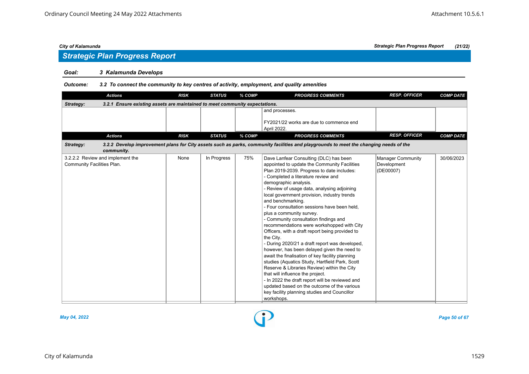# *Strategic Plan Progress Report*

# *Goal: 3 Kalamunda Develops*

### *Outcome: 3.2 To connect the community to key centres of activity, employment, and quality amenities*

| <b>Actions</b>                                                                           | <b>RISK</b> | <b>STATUS</b> | % COMP | <b>PROGRESS COMMENTS</b>                                                                                                                                                                                                                                                                                                                                                                                                                                                                                                                                                                                                                                                                                                                                                                                                                                                                                                                                                                                            | <b>RESP. OFFICER</b>                                 | <b>COMP DATE</b> |
|------------------------------------------------------------------------------------------|-------------|---------------|--------|---------------------------------------------------------------------------------------------------------------------------------------------------------------------------------------------------------------------------------------------------------------------------------------------------------------------------------------------------------------------------------------------------------------------------------------------------------------------------------------------------------------------------------------------------------------------------------------------------------------------------------------------------------------------------------------------------------------------------------------------------------------------------------------------------------------------------------------------------------------------------------------------------------------------------------------------------------------------------------------------------------------------|------------------------------------------------------|------------------|
| 3.2.1 Ensure existing assets are maintained to meet community expectations.<br>Strategy: |             |               |        |                                                                                                                                                                                                                                                                                                                                                                                                                                                                                                                                                                                                                                                                                                                                                                                                                                                                                                                                                                                                                     |                                                      |                  |
|                                                                                          |             |               |        | and processes.<br>FY2021/22 works are due to commence end<br>April 2022.                                                                                                                                                                                                                                                                                                                                                                                                                                                                                                                                                                                                                                                                                                                                                                                                                                                                                                                                            |                                                      |                  |
| <b>Actions</b>                                                                           | <b>RISK</b> | <b>STATUS</b> | % COMP | <b>PROGRESS COMMENTS</b>                                                                                                                                                                                                                                                                                                                                                                                                                                                                                                                                                                                                                                                                                                                                                                                                                                                                                                                                                                                            | <b>RESP. OFFICER</b>                                 | <b>COMP DATE</b> |
| Strategy:<br>community.                                                                  |             |               |        | 3.2.2 Develop improvement plans for City assets such as parks, community facilities and playgrounds to meet the changing needs of the                                                                                                                                                                                                                                                                                                                                                                                                                                                                                                                                                                                                                                                                                                                                                                                                                                                                               |                                                      |                  |
| 3.2.2.2 Review and implement the<br>Community Facilities Plan.                           | None        | In Progress   | 75%    | Dave Lanfear Consulting (DLC) has been<br>appointed to update the Community Facilities<br>Plan 2019-2039. Progress to date includes:<br>- Completed a literature review and<br>demographic analysis.<br>- Review of usage data, analysing adjoining<br>local government provision, industry trends<br>and benchmarking.<br>- Four consultation sessions have been held,<br>plus a community survey.<br>- Community consultation findings and<br>recommendations were workshopped with City<br>Officers, with a draft report being provided to<br>the City.<br>- During 2020/21 a draft report was developed,<br>however, has been delayed given the need to<br>await the finalisation of key facility planning<br>studies (Aquatics Study, Hartfield Park, Scott<br>Reserve & Libraries Review) within the City<br>that will influence the project.<br>- In 2022 the draft report will be reviewed and<br>updated based on the outcome of the various<br>key facility planning studies and Councillor<br>workshops. | <b>Manager Community</b><br>Development<br>(DE00007) | 30/06/2023       |



*May 04, 2022 Page 50 of 67*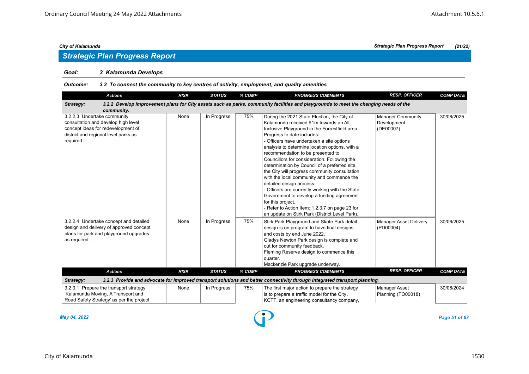# *Goal: 3 Kalamunda Develops*

### *Outcome: 3.2 To connect the community to key centres of activity, employment, and quality amenities*

| <b>Actions</b>                                                                                                                                                | <b>RISK</b> | <b>STATUS</b> | % COMP | <b>PROGRESS COMMENTS</b>                                                                                                                                                                                                                                                                                                                                                                                                                                                                                                                                                                                                                                                                                                                                      | <b>RESP. OFFICER</b>                          | <b>COMP DATE</b> |
|---------------------------------------------------------------------------------------------------------------------------------------------------------------|-------------|---------------|--------|---------------------------------------------------------------------------------------------------------------------------------------------------------------------------------------------------------------------------------------------------------------------------------------------------------------------------------------------------------------------------------------------------------------------------------------------------------------------------------------------------------------------------------------------------------------------------------------------------------------------------------------------------------------------------------------------------------------------------------------------------------------|-----------------------------------------------|------------------|
| Strategy:                                                                                                                                                     |             |               |        | 3.2.2 Develop improvement plans for City assets such as parks, community facilities and playgrounds to meet the changing needs of the                                                                                                                                                                                                                                                                                                                                                                                                                                                                                                                                                                                                                         |                                               |                  |
| community.                                                                                                                                                    |             |               |        |                                                                                                                                                                                                                                                                                                                                                                                                                                                                                                                                                                                                                                                                                                                                                               |                                               |                  |
| 3.2.2.3 Undertake community<br>consultation and develop high level<br>concept ideas for redevelopment of<br>district and regional level parks as<br>required. | None        | In Progress   | 75%    | During the 2021 State Election, the City of<br>Kalamunda received \$1m towards an All<br>Inclusive Playground in the Forrestfield area.<br>Progress to date includes:<br>- Officers have undertaken a site options<br>analysis to determine location options, with a<br>recommendation to be presented to<br>Councillors for consideration. Following the<br>determination by Council of a preferred site,<br>the City will progress community consultation<br>with the local community and commence the<br>detailed design process.<br>- Officers are currently working with the State<br>Government to develop a funding agreement<br>for this project.<br>- Refer to Action Item: 1.2.3.7 on page 23 for<br>an update on Stirk Park (District Level Park). | Manager Community<br>Development<br>(DE00007) | 30/06/2025       |
| 3.2.2.4 Undertake concept and detailed<br>design and delivery of approved concept<br>plans for park and playground upgrades<br>as required.                   | None        | In Progress   | 75%    | Stirk Park Playground and Skate Park detail<br>design is on program to have final designs<br>and costs by end June 2022.<br>Gladys Newton Park design is complete and<br>out for community feedback.<br>Fleming Reserve design to commence this<br>quarter.<br>Mackenzie Park upgrade underway.                                                                                                                                                                                                                                                                                                                                                                                                                                                               | Manager Asset Delivery<br>(PD00004)           | 30/06/2025       |
| <b>Actions</b>                                                                                                                                                | <b>RISK</b> | <b>STATUS</b> | % COMP | <b>PROGRESS COMMENTS</b>                                                                                                                                                                                                                                                                                                                                                                                                                                                                                                                                                                                                                                                                                                                                      | <b>RESP. OFFICER</b>                          | <b>COMP DATE</b> |
| Strategy:                                                                                                                                                     |             |               |        | 3.2.3 Provide and advocate for improved transport solutions and better connectivity through integrated transport planning.                                                                                                                                                                                                                                                                                                                                                                                                                                                                                                                                                                                                                                    |                                               |                  |
| 3.2.3.1 Prepare the transport strategy<br>'Kalamunda Moving, A Transport and<br>Road Safety Strategy' as per the project                                      | None        | In Progress   | 75%    | The first major action to prepare the strategy<br>is to prepare a traffic model for the City.<br>KCTT, an engineering consultancy company,                                                                                                                                                                                                                                                                                                                                                                                                                                                                                                                                                                                                                    | Manager Asset<br>Planning (TO00018)           | 30/06/2024       |

*May 04, 2022 Page 51 of 67*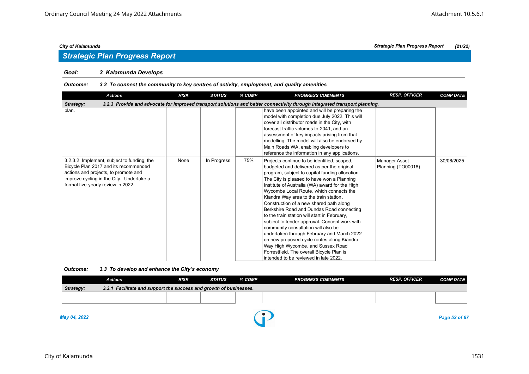### *Goal: 3 Kalamunda Develops*

### *Outcome: 3.2 To connect the community to key centres of activity, employment, and quality amenities*

| <b>Actions</b>                                                                                                                                                                                                | <b>RISK</b> | <b>STATUS</b> | % COMP | <b>PROGRESS COMMENTS</b>                                                                                                                                                                                                                                                                                                                                                                                                                                                                                                                                                                                                                                                                                                                                                                 | <b>RESP. OFFICER</b>                | <b>COMP DATE</b> |  |  |  |  |  |
|---------------------------------------------------------------------------------------------------------------------------------------------------------------------------------------------------------------|-------------|---------------|--------|------------------------------------------------------------------------------------------------------------------------------------------------------------------------------------------------------------------------------------------------------------------------------------------------------------------------------------------------------------------------------------------------------------------------------------------------------------------------------------------------------------------------------------------------------------------------------------------------------------------------------------------------------------------------------------------------------------------------------------------------------------------------------------------|-------------------------------------|------------------|--|--|--|--|--|
| 3.2.3 Provide and advocate for improved transport solutions and better connectivity through integrated transport planning.<br>Strategy:                                                                       |             |               |        |                                                                                                                                                                                                                                                                                                                                                                                                                                                                                                                                                                                                                                                                                                                                                                                          |                                     |                  |  |  |  |  |  |
| plan.                                                                                                                                                                                                         |             |               |        | have been appointed and will be preparing the<br>model with completion due July 2022. This will<br>cover all distributor roads in the City, with<br>forecast traffic volumes to 2041, and an<br>assessment of key impacts arising from that<br>modelling. The model will also be endorsed by<br>Main Roads WA, enabling developers to<br>reference the information in any applications.                                                                                                                                                                                                                                                                                                                                                                                                  |                                     |                  |  |  |  |  |  |
| 3.2.3.2 Implement, subject to funding, the<br>Bicycle Plan 2017 and its recommended<br>actions and projects, to promote and<br>improve cycling in the City. Undertake a<br>formal five-yearly review in 2022. | None        | In Progress   | 75%    | Projects continue to be identified, scoped,<br>budgeted and delivered as per the original<br>program, subject to capital funding allocation.<br>The City is pleased to have won a Planning<br>Institute of Australia (WA) award for the High<br>Wycombe Local Route, which connects the<br>Kiandra Way area to the train station.<br>Construction of a new shared path along<br>Berkshire Road and Dundas Road connecting<br>to the train station will start in February,<br>subject to tender approval. Concept work with<br>community consultation will also be<br>undertaken through February and March 2022<br>on new proposed cycle routes along Kiandra<br>Way High Wycombe, and Sussex Road<br>Forrestfield. The overall Bicycle Plan is<br>intended to be reviewed in late 2022. | Manager Asset<br>Planning (TO00018) | 30/06/2025       |  |  |  |  |  |

### *Outcome: 3.3 To develop and enhance the City's economy*

|                                                                                 | <b>Actions</b> | <b>RISK</b> | <b>STATUS</b> | % COMP | <b>PROGRESS COMMENTS</b> | <b>RESP. OFFICER</b> | <b>COMP DATE</b> |  |  |  |
|---------------------------------------------------------------------------------|----------------|-------------|---------------|--------|--------------------------|----------------------|------------------|--|--|--|
| 3.3.1 Facilitate and support the success and growth of businesses.<br>Strategy: |                |             |               |        |                          |                      |                  |  |  |  |
|                                                                                 |                |             |               |        |                          |                      |                  |  |  |  |
|                                                                                 |                |             |               |        |                          |                      |                  |  |  |  |
|                                                                                 |                |             |               |        |                          |                      |                  |  |  |  |

*May 04, 2022 Page 52 of 67*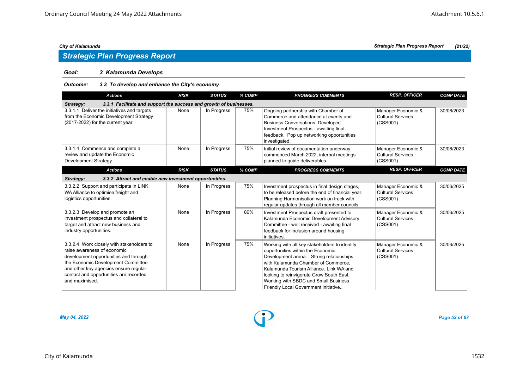# *Strategic Plan Progress Report*

# *Goal: 3 Kalamunda Develops*

# *Outcome: 3.3 To develop and enhance the City's economy*

| <b>Actions</b>                                                                                                                                                                                                                                               | <b>RISK</b> | <b>STATUS</b> | % COMP | <b>PROGRESS COMMENTS</b>                                                                                                                                                                                                                                                                                                                    | <b>RESP. OFFICER</b>                                       | <b>COMP DATE</b> |  |  |  |  |
|--------------------------------------------------------------------------------------------------------------------------------------------------------------------------------------------------------------------------------------------------------------|-------------|---------------|--------|---------------------------------------------------------------------------------------------------------------------------------------------------------------------------------------------------------------------------------------------------------------------------------------------------------------------------------------------|------------------------------------------------------------|------------------|--|--|--|--|
| Strategy:<br>3.3.1 Facilitate and support the success and growth of businesses.                                                                                                                                                                              |             |               |        |                                                                                                                                                                                                                                                                                                                                             |                                                            |                  |  |  |  |  |
| 3.3.1.1 Deliver the initiatives and targets<br>from the Economic Development Strategy<br>(2017-2022) for the current year.                                                                                                                                   | None        | In Progress   | 75%    | Ongoing partnership with Chamber of<br>Commerce and attendance at events and<br><b>Business Conversations. Developed</b><br>Investment Prospectus - awaiting final<br>feedback. Pop up networking opportunities<br>investigated.                                                                                                            | Manager Economic &<br><b>Cultural Services</b><br>(CSS001) | 30/06/2023       |  |  |  |  |
| 3.3.1.4 Commence and complete a<br>review and update the Economic<br>Development Strategy.                                                                                                                                                                   | None        | In Progress   | 75%    | Initial review of documentation underway,<br>commenced March 2022, internal meetings<br>planned to guide deliverables.                                                                                                                                                                                                                      | Manager Economic &<br><b>Cultural Services</b><br>(CSS001) | 30/06/2023       |  |  |  |  |
| <b>Actions</b>                                                                                                                                                                                                                                               | <b>RISK</b> | <b>STATUS</b> | % COMP | <b>PROGRESS COMMENTS</b>                                                                                                                                                                                                                                                                                                                    | <b>RESP. OFFICER</b>                                       | <b>COMP DATE</b> |  |  |  |  |
| 3.3.2 Attract and enable new investment opportunities.<br>Strategy:                                                                                                                                                                                          |             |               |        |                                                                                                                                                                                                                                                                                                                                             |                                                            |                  |  |  |  |  |
| 3.3.2.2 Support and participate in LINK<br>WA Alliance to optimise freight and<br>logistics opportunities.                                                                                                                                                   | None        | In Progress   | 75%    | Investment prospectus in final design stages,<br>to be released before the end of financial year.<br>Planning Harmonisation work on track with<br>reqular updates through all member councils.                                                                                                                                              | Manager Economic &<br><b>Cultural Services</b><br>(CSS001) | 30/06/2025       |  |  |  |  |
| 3.3.2.3 Develop and promote an<br>investment prospectus and collateral to<br>target and attract new business and<br>industry opportunities.                                                                                                                  | None        | In Progress   | 80%    | Investment Prospectus draft presented to<br>Kalamunda Economic Development Advisory<br>Committee - well received - awaiting final<br>feedback for inclusion around housing<br>initiatives.                                                                                                                                                  | Manager Economic &<br><b>Cultural Services</b><br>(CSS001) | 30/06/2025       |  |  |  |  |
| 3.3.2.4 Work closely with stakeholders to<br>raise awareness of economic<br>development opportunities and through<br>the Economic Development Committee<br>and other key agencies ensure regular<br>contact and opportunities are recorded<br>and maximised. | None        | In Progress   | 75%    | Working with all key stakeholders to identify<br>opportunities within the Economic<br>Development arena. Strong relationships<br>with Kalamunda Chamber of Commerce.<br>Kalamunda Tourism Alliance, Link WA and<br>looking to reinvigorate Grow South East.<br>Working with SBDC and Small Business<br>Friendly Local Government initiative | Manager Economic &<br><b>Cultural Services</b><br>(CSS001) | 30/06/2025       |  |  |  |  |



*May 04, 2022 Page 53 of 67*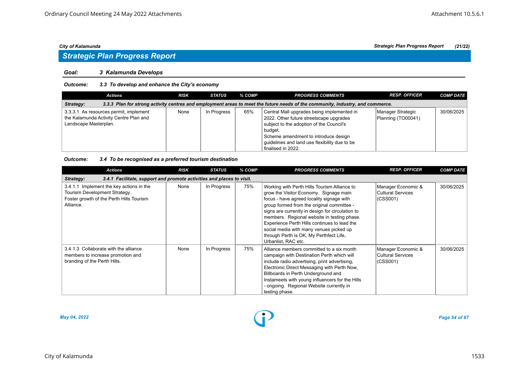# *Strategic Plan Progress Report*

### *Goal: 3 Kalamunda Develops*

# *Outcome: 3.3 To develop and enhance the City's economy*

| Actions                                                                                                                                     | <b>RISK</b> | STATUS      | % COMP | <b>PROGRESS COMMENTS</b>                                                                                                                                                                                                                                    | <b>RESP. OFFICER</b>                    | <b>COMP DATE</b> |  |  |  |
|---------------------------------------------------------------------------------------------------------------------------------------------|-------------|-------------|--------|-------------------------------------------------------------------------------------------------------------------------------------------------------------------------------------------------------------------------------------------------------------|-----------------------------------------|------------------|--|--|--|
| 3.3.3 Plan for strong activity centres and employment areas to meet the future needs of the community, industry, and commerce.<br>Strategy: |             |             |        |                                                                                                                                                                                                                                                             |                                         |                  |  |  |  |
| 3.3.3.1 As resources permit, implement<br>the Kalamunda Activity Centre Plan and<br>Landscape Masterplan.                                   | None        | In Progress | 65%    | Central Mall upgrades being implemented in<br>2022. Other future streetscape upgrades<br>subject to the adoption of the Council's<br>budget.<br>Scheme amendment to introduce design<br>quidelines and land use flexibility due to be<br>finalised in 2022. | Manager Strategic<br>Planning (TO00041) | 30/06/2025       |  |  |  |

### *Outcome: 3.4 To be recognised as a preferred tourism destination*

| <b>Actions</b>                                                                                                                     | <b>RISK</b> | <b>STATUS</b> | % COMP | <b>PROGRESS COMMENTS</b>                                                                                                                                                                                                                                                                                                                                                                                                                          | <b>RESP. OFFICER</b>                                | <b>COMP DATE</b> |  |  |  |  |
|------------------------------------------------------------------------------------------------------------------------------------|-------------|---------------|--------|---------------------------------------------------------------------------------------------------------------------------------------------------------------------------------------------------------------------------------------------------------------------------------------------------------------------------------------------------------------------------------------------------------------------------------------------------|-----------------------------------------------------|------------------|--|--|--|--|
| 3.4.1 Facilitate, support and promote activities and places to visit.<br>Strategy:                                                 |             |               |        |                                                                                                                                                                                                                                                                                                                                                                                                                                                   |                                                     |                  |  |  |  |  |
| 3.4.1.1 Implement the key actions in the<br>Tourism Development Strategy.<br>Foster growth of the Perth Hills Tourism<br>Alliance. | None        | In Progress   | 75%    | Working with Perth Hills Tourism Alliance to<br>grow the Visitor Economy. Signage main<br>focus - have agreed locality signage with<br>group formed from the original committee -<br>signs are currently in design for circulation to<br>members. Regional website in testing phase.<br>Experience Perth Hills continues to lead the<br>social media with many venues picked up<br>through Perth is OK, My Perthfect Life,<br>Urbanlist, RAC etc. | Manager Economic &<br>Cultural Services<br>(CSS001) | 30/06/2025       |  |  |  |  |
| 3.4.1.3 Collaborate with the alliance<br>members to increase promotion and<br>branding of the Perth Hills.                         | None        | In Progress   | 75%    | Alliance members committed to a six month<br>campaign with Destination Perth which will<br>include radio advertising, print advertising,<br>Electronic Direct Messaging with Perth Now,<br>Billboards in Perth Underground and<br>Instameets with young influencers for the Hills<br>- ongoing. Regional Website currently in<br>testing phase.                                                                                                   | Manager Economic &<br>Cultural Services<br>(CSS001) | 30/06/2025       |  |  |  |  |



*May 04, 2022 Page 54 of 67*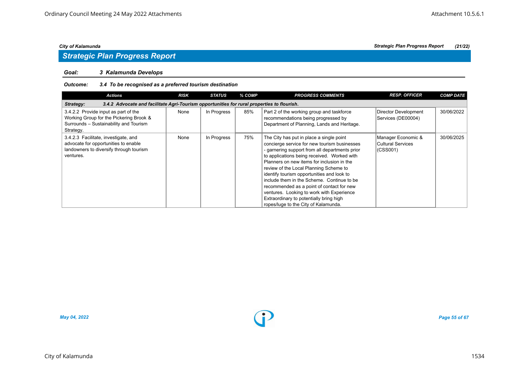# *Strategic Plan Progress Report*

# *Goal: 3 Kalamunda Develops*

# *Outcome: 3.4 To be recognised as a preferred tourism destination*

| <b>Actions</b>                                                                                                                         | <b>RISK</b> | <b>STATUS</b> | % COMP | <b>PROGRESS COMMENTS</b>                                                                                                                                                                                                                                                                                                                                                                                                                                                                                                                                   | <b>RESP. OFFICER</b>                                | <b>COMP DATE</b> |
|----------------------------------------------------------------------------------------------------------------------------------------|-------------|---------------|--------|------------------------------------------------------------------------------------------------------------------------------------------------------------------------------------------------------------------------------------------------------------------------------------------------------------------------------------------------------------------------------------------------------------------------------------------------------------------------------------------------------------------------------------------------------------|-----------------------------------------------------|------------------|
| 3.4.2 Advocate and facilitate Agri-Tourism opportunities for rural properties to flourish.<br>Strategy:                                |             |               |        |                                                                                                                                                                                                                                                                                                                                                                                                                                                                                                                                                            |                                                     |                  |
| 3.4.2.2 Provide input as part of the<br>Working Group for the Pickering Brook &<br>Surrounds - Sustainability and Tourism<br>Strategy. | None        | In Progress   | 85%    | Part 2 of the working group and taskforce<br>recommendations being progressed by<br>Department of Planning, Lands and Heritage.                                                                                                                                                                                                                                                                                                                                                                                                                            | Director Development<br>Services (DE00004)          | 30/06/2022       |
| 3.4.2.3 Facilitate, investigate, and<br>advocate for opportunities to enable<br>landowners to diversify through tourism<br>ventures.   | None        | In Progress   | 75%    | The City has put in place a single point<br>concierge service for new tourism businesses<br>- garnering support from all departments prior<br>to applications being received. Worked with<br>Planners on new items for inclusion in the<br>review of the Local Planning Scheme to<br>identify tourism opportunities and look to<br>include them in the Scheme. Continue to be<br>recommended as a point of contact for new<br>ventures. Looking to work with Experience<br>Extraordinary to potentially bring high<br>ropes/luge to the City of Kalamunda. | Manager Economic &<br>Cultural Services<br>(CSS001) | 30/06/2025       |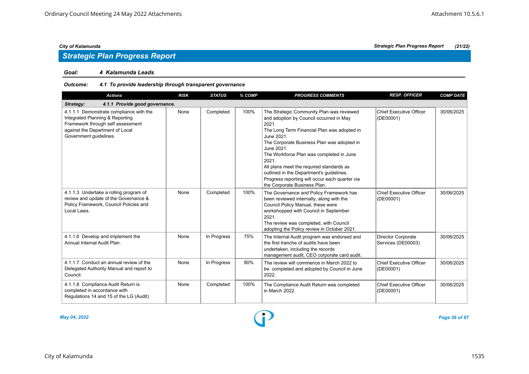## *Goal: 4 Kalamunda Leads*

# *Outcome: 4.1 To provide leadership through transparent governance*

| <b>Actions</b>                                                                                                                                                               | <b>RISK</b> | <b>STATUS</b> | % COMP | <b>PROGRESS COMMENTS</b>                                                                                                                                                                                                                                                                                                                                                                                                                              | <b>RESP. OFFICER</b>                            | <b>COMP DATE</b> |  |  |  |
|------------------------------------------------------------------------------------------------------------------------------------------------------------------------------|-------------|---------------|--------|-------------------------------------------------------------------------------------------------------------------------------------------------------------------------------------------------------------------------------------------------------------------------------------------------------------------------------------------------------------------------------------------------------------------------------------------------------|-------------------------------------------------|------------------|--|--|--|
| 4.1.1 Provide good governance.<br>Strategy:                                                                                                                                  |             |               |        |                                                                                                                                                                                                                                                                                                                                                                                                                                                       |                                                 |                  |  |  |  |
| 4.1.1.1 Demonstrate compliance with the<br>Integrated Planning & Reporting<br>Framework through self assessment<br>against the Department of Local<br>Government guidelines. | None        | Completed     | 100%   | The Strategic Community Plan was reviewed<br>and adoption by Council occurred in May<br>2021.<br>The Long Term Financial Plan was adopted in<br>June 2021.<br>The Corporate Business Plan was adopted in<br>June 2021.<br>The Workforce Plan was completed in June<br>2021.<br>All plans meet the required standards as<br>outlined in the Department's guidelines.<br>Progress reporting will occur each quarter via<br>the Corporate Business Plan. | <b>Chief Executive Officer</b><br>(DE00001)     | 30/06/2025       |  |  |  |
| 4.1.1.3 Undertake a rolling program of<br>review and update of the Governance &<br>Policy Framework, Council Policies and<br>Local Laws.                                     | None        | Completed     | 100%   | The Governance and Policy Framework has<br>been reviewed internally, along with the<br>Council Policy Manual, these were<br>workshopped with Council in September<br>2021.<br>The review was completed, with Council<br>adopting the Policy review in October 2021.                                                                                                                                                                                   | <b>Chief Executive Officer</b><br>(DE00001)     | 30/06/2025       |  |  |  |
| 4.1.1.6 Develop and implement the<br>Annual Internal Audit Plan.                                                                                                             | None        | In Progress   | 75%    | The Internal Audit program was endorsed and<br>the first tranche of audits have been<br>undertaken, including the records<br>management audit, CEO corporate card audit.                                                                                                                                                                                                                                                                              | <b>Director Corporate</b><br>Services (DE00003) | 30/06/2025       |  |  |  |
| 4.1.1.7 Conduct an annual review of the<br>Delegated Authority Manual and report to<br>Council.                                                                              | None        | In Progress   | 80%    | The review will commence in March 2022 to<br>be completed and adopted by Council in June<br>2022.                                                                                                                                                                                                                                                                                                                                                     | Chief Executive Officer<br>(DE00001)            | 30/06/2025       |  |  |  |
| 4.1.1.8 Compliance Audit Return is<br>completed in accordance with<br>Regulations 14 and 15 of the LG (Audit)                                                                | None        | Completed     | 100%   | The Compliance Audit Return was completed<br>in March 2022.                                                                                                                                                                                                                                                                                                                                                                                           | Chief Executive Officer<br>(DE00001)            | 30/06/2025       |  |  |  |

City of Kalamunda 1535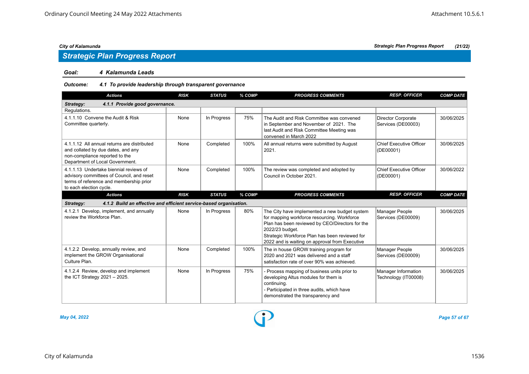# *Strategic Plan Progress Report*

## *Goal: 4 Kalamunda Leads*

# *Outcome: 4.1 To provide leadership through transparent governance*

| <b>Actions</b>                                                                                                                                            | <b>RISK</b> | <b>STATUS</b> | % COMP | <b>PROGRESS COMMENTS</b>                                                                                                                                                                                                                                               | <b>RESP. OFFICER</b>                        | <b>COMP DATE</b> |  |  |  |
|-----------------------------------------------------------------------------------------------------------------------------------------------------------|-------------|---------------|--------|------------------------------------------------------------------------------------------------------------------------------------------------------------------------------------------------------------------------------------------------------------------------|---------------------------------------------|------------------|--|--|--|
| 4.1.1 Provide good governance.<br>Strategy:                                                                                                               |             |               |        |                                                                                                                                                                                                                                                                        |                                             |                  |  |  |  |
| Regulations.                                                                                                                                              |             |               |        |                                                                                                                                                                                                                                                                        |                                             |                  |  |  |  |
| 4.1.1.10 Convene the Audit & Risk<br>Committee quarterly.                                                                                                 | None        | In Progress   | 75%    | The Audit and Risk Committee was convened<br>in September and November of 2021. The<br>last Audit and Risk Committee Meeting was<br>convened in March 2022                                                                                                             | Director Corporate<br>Services (DE00003)    | 30/06/2025       |  |  |  |
| 4.1.1.12 All annual returns are distributed<br>and collated by due dates, and any<br>non-compliance reported to the<br>Department of Local Government.    | None        | Completed     | 100%   | All annual returns were submitted by August<br>2021.                                                                                                                                                                                                                   | <b>Chief Executive Officer</b><br>(DE00001) | 30/06/2025       |  |  |  |
| 4.1.1.13 Undertake biennial reviews of<br>advisory committees of Council, and reset<br>terms of reference and membership prior<br>to each election cycle. | None        | Completed     | 100%   | The review was completed and adopted by<br>Council in October 2021.                                                                                                                                                                                                    | <b>Chief Executive Officer</b><br>(DE00001) | 30/06/2022       |  |  |  |
| <b>Actions</b>                                                                                                                                            | <b>RISK</b> | <b>STATUS</b> | % COMP | <b>PROGRESS COMMENTS</b>                                                                                                                                                                                                                                               | <b>RESP. OFFICER</b>                        | <b>COMP DATE</b> |  |  |  |
| 4.1.2 Build an effective and efficient service-based organisation.<br>Strategy:                                                                           |             |               |        |                                                                                                                                                                                                                                                                        |                                             |                  |  |  |  |
| 4.1.2.1 Develop, implement, and annually<br>review the Workforce Plan.                                                                                    | None        | In Progress   | 80%    | The City have implemented a new budget system<br>for mapping workforce resourcing. Workforce<br>Plan has been reviewed by CEO/Directors for the<br>2022/23 budget.<br>Strategic Workforce Plan has been reviewed for<br>2022 and is waiting on approval from Executive | Manager People<br>Services (DE00009)        | 30/06/2025       |  |  |  |
| 4.1.2.2 Develop, annually review, and<br>implement the GROW Organisational<br>Culture Plan.                                                               | None        | Completed     | 100%   | The in house GROW training program for<br>2020 and 2021 was delivered and a staff<br>satisfaction rate of over 90% was achieved.                                                                                                                                       | Manager People<br>Services (DE00009)        | 30/06/2025       |  |  |  |
| 4.1.2.4 Review, develop and implement<br>the ICT Strategy $2021 - 2025$ .                                                                                 | None        | In Progress   | 75%    | - Process mapping of business units prior to<br>developing Altus modules for them is<br>continuing.<br>- Participated in three audits, which have<br>demonstrated the transparency and                                                                                 | Manager Information<br>Technology (IT00008) | 30/06/2025       |  |  |  |



*May 04, 2022 Page 57 of 67*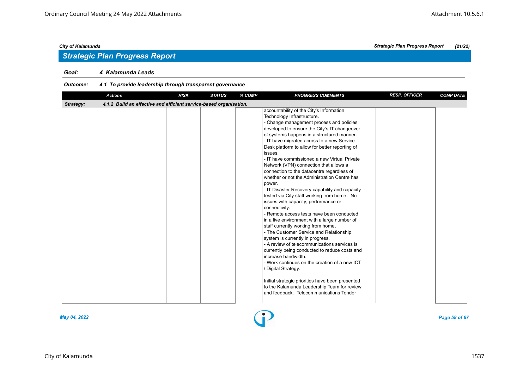# *Strategic Plan Progress Report*

## *Goal: 4 Kalamunda Leads*

# *Outcome: 4.1 To provide leadership through transparent governance*

| <b>Actions</b>                                                                  | <b>RISK</b> | <b>STATUS</b> | % COMP | <b>PROGRESS COMMENTS</b>                                                                                                                                                                                                                                                                                                                                                                                                                                                                                                                                                                                                                                                                                                                                                                                                                                                                                                                                                                                                                                                                                                                                                                                                                                | <b>RESP. OFFICER</b> | <b>COMP DATE</b> |
|---------------------------------------------------------------------------------|-------------|---------------|--------|---------------------------------------------------------------------------------------------------------------------------------------------------------------------------------------------------------------------------------------------------------------------------------------------------------------------------------------------------------------------------------------------------------------------------------------------------------------------------------------------------------------------------------------------------------------------------------------------------------------------------------------------------------------------------------------------------------------------------------------------------------------------------------------------------------------------------------------------------------------------------------------------------------------------------------------------------------------------------------------------------------------------------------------------------------------------------------------------------------------------------------------------------------------------------------------------------------------------------------------------------------|----------------------|------------------|
| Strategy:<br>4.1.2 Build an effective and efficient service-based organisation. |             |               |        |                                                                                                                                                                                                                                                                                                                                                                                                                                                                                                                                                                                                                                                                                                                                                                                                                                                                                                                                                                                                                                                                                                                                                                                                                                                         |                      |                  |
|                                                                                 |             |               |        | accountability of the City's Information<br>Technology Infrastructure.<br>- Change management process and policies<br>developed to ensure the City's IT changeover<br>of systems happens in a structured manner.<br>- IT have migrated across to a new Service<br>Desk platform to allow for better reporting of<br>issues.<br>- IT have commissioned a new Virtual Private<br>Network (VPN) connection that allows a<br>connection to the datacentre regardless of<br>whether or not the Administration Centre has<br>power.<br>- IT Disaster Recovery capability and capacity<br>tested via City staff working from home. No<br>issues with capacity, performance or<br>connectivity.<br>- Remote access tests have been conducted<br>in a live environment with a large number of<br>staff currently working from home.<br>- The Customer Service and Relationship<br>system is currently in progress.<br>- A review of telecommunications services is<br>currently being conducted to reduce costs and<br>increase bandwidth.<br>- Work continues on the creation of a new ICT<br>/ Digital Strategy.<br>Initial strategic priorities have been presented<br>to the Kalamunda Leadership Team for review<br>and feedback. Telecommunications Tender |                      |                  |

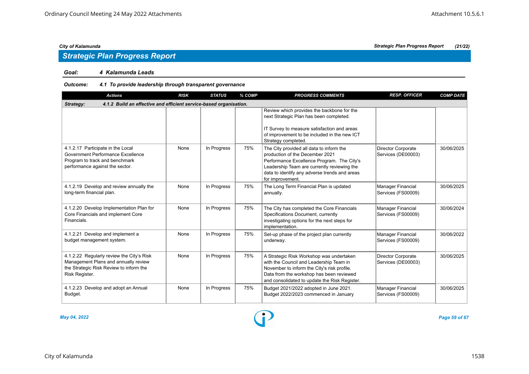# *Strategic Plan Progress Report*

## *Goal: 4 Kalamunda Leads*

# *Outcome: 4.1 To provide leadership through transparent governance*

| <b>Actions</b>                                                                                                                                 | <b>RISK</b> | <b>STATUS</b> | % COMP | <b>PROGRESS COMMENTS</b>                                                                                                                                                                                                                      | <b>RESP. OFFICER</b>                            | <b>COMP DATE</b> |  |  |  |
|------------------------------------------------------------------------------------------------------------------------------------------------|-------------|---------------|--------|-----------------------------------------------------------------------------------------------------------------------------------------------------------------------------------------------------------------------------------------------|-------------------------------------------------|------------------|--|--|--|
| 4.1.2 Build an effective and efficient service-based organisation.<br>Strategy:                                                                |             |               |        |                                                                                                                                                                                                                                               |                                                 |                  |  |  |  |
|                                                                                                                                                |             |               |        | Review which provides the backbone for the<br>next Strategic Plan has been completed.<br>IT Survey to measure satisfaction and areas<br>of improvement to be included in the new ICT<br>Strategy completed.                                   |                                                 |                  |  |  |  |
| 4.1.2.17 Participate in the Local<br>Government Performance Excellence<br>Program to track and benchmark<br>performance against the sector.    | None        | In Progress   | 75%    | The City provided all data to inform the<br>production of the December 2021<br>Performance Excellence Program. The City's<br>Leadership Team are currently reviewing the<br>data to identify any adverse trends and areas<br>for improvement. | Director Corporate<br>Services (DE00003)        | 30/06/2025       |  |  |  |
| 4.1.2.19 Develop and review annually the<br>long-term financial plan.                                                                          | None        | In Progress   | 75%    | The Long Term Financial Plan is updated<br>annually.                                                                                                                                                                                          | Manager Financial<br>Services (FS00009)         | 30/06/2025       |  |  |  |
| 4.1.2.20 Develop Implementation Plan for<br>Core Financials and implement Core<br>Financials.                                                  | None        | In Progress   | 75%    | The City has completed the Core Financials<br>Specifications Document, currently<br>investigating options for the next steps for<br>implementation.                                                                                           | <b>Manager Financial</b><br>Services (FS00009)  | 30/06/2024       |  |  |  |
| 4.1.2.21 Develop and implement a<br>budget management system.                                                                                  | None        | In Progress   | 75%    | Set-up phase of the project plan currently<br>underway.                                                                                                                                                                                       | <b>Manager Financial</b><br>Services (FS00009)  | 30/06/2022       |  |  |  |
| 4.1.2.22 Regularly review the City's Risk<br>Management Plans and annually review<br>the Strategic Risk Review to inform the<br>Risk Register. | None        | In Progress   | 75%    | A Strategic Risk Workshop was undertaken<br>with the Council and Leadership Team in<br>November to inform the City's risk profile.<br>Data from the workshop has been reviewed<br>and consolidated to update the Risk Register.               | <b>Director Corporate</b><br>Services (DE00003) | 30/06/2025       |  |  |  |
| 4.1.2.23 Develop and adopt an Annual<br>Budget.                                                                                                | None        | In Progress   | 75%    | Budget 2021/2022 adopted in June 2021.<br>Budget 2022/2023 commenced in January                                                                                                                                                               | <b>Manager Financial</b><br>Services (FS00009)  | 30/06/2025       |  |  |  |

*May 04, 2022 Page 59 of 67*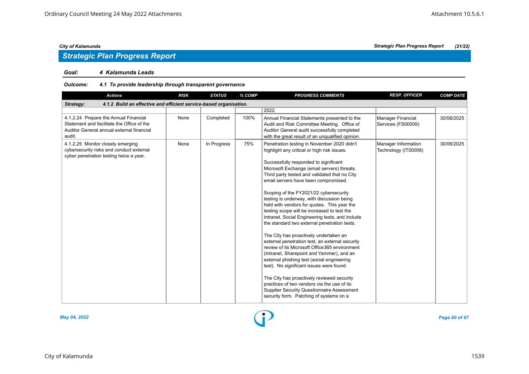## *Goal: 4 Kalamunda Leads*

# *Outcome: 4.1 To provide leadership through transparent governance*

| <b>Actions</b>                                                                                                                             | <b>RISK</b> | <b>STATUS</b> | % COMP | <b>PROGRESS COMMENTS</b>                                                                                                                                                                                                                                                                                                                                                                                                                                                                                                                                                                                                                                                                                                                                                                                                                                                                                                                                                                                                                                | <b>RESP. OFFICER</b>                           | <b>COMP DATE</b> |  |  |  |
|--------------------------------------------------------------------------------------------------------------------------------------------|-------------|---------------|--------|---------------------------------------------------------------------------------------------------------------------------------------------------------------------------------------------------------------------------------------------------------------------------------------------------------------------------------------------------------------------------------------------------------------------------------------------------------------------------------------------------------------------------------------------------------------------------------------------------------------------------------------------------------------------------------------------------------------------------------------------------------------------------------------------------------------------------------------------------------------------------------------------------------------------------------------------------------------------------------------------------------------------------------------------------------|------------------------------------------------|------------------|--|--|--|
| 4.1.2 Build an effective and efficient service-based organisation.<br>Strategy:                                                            |             |               |        |                                                                                                                                                                                                                                                                                                                                                                                                                                                                                                                                                                                                                                                                                                                                                                                                                                                                                                                                                                                                                                                         |                                                |                  |  |  |  |
|                                                                                                                                            |             |               |        | 2022.                                                                                                                                                                                                                                                                                                                                                                                                                                                                                                                                                                                                                                                                                                                                                                                                                                                                                                                                                                                                                                                   |                                                |                  |  |  |  |
| 4.1.2.24 Prepare the Annual Financial<br>Statement and facilitate the Office of the<br>Auditor General annual external financial<br>audit. | None        | Completed     | 100%   | Annual Financial Statements presented to the<br>Audit and Risk Committee Meeting. Office of<br>Auditor General audit successfully completed<br>with the great result of an unqualified opinion.                                                                                                                                                                                                                                                                                                                                                                                                                                                                                                                                                                                                                                                                                                                                                                                                                                                         | <b>Manager Financial</b><br>Services (FS00009) | 30/06/2025       |  |  |  |
| 4.1.2.25 Monitor closely emerging<br>cybersecurity risks and conduct external<br>cyber penetration testing twice a year.                   | None        | In Progress   | 75%    | Penetration testing in November 2020 didn't<br>highlight any critical or high risk issues.<br>Successfully responded to significant<br>Microsoft Exchange (email servers) threats.<br>Third party tested and validated that no City<br>email servers have been compromised.<br>Scoping of the FY2021/22 cybersecurity<br>testing is underway, with discussion being<br>held with vendors for quotes. This year the<br>testing scope will be increased to test the<br>Intranet, Social Engineering tests, and include<br>the standard two external penetration tests.<br>The City has proactively undertaken an<br>external penetration test, an external security<br>review of its Microsoft Office 365 environment<br>(Intranet, Sharepoint and Yammer), and an<br>external phishing test (social engineering<br>test). No significant issues were found.<br>The City has proactively reviewed security<br>practices of two vendors via the use of its<br><b>Supplier Security Questionnaire Assessment</b><br>security form. Patching of systems on a | Manager Information<br>Technology (IT00008)    | 30/06/2025       |  |  |  |

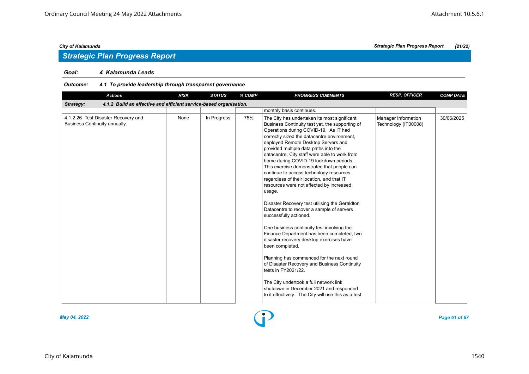# *Strategic Plan Progress Report*

## *Goal: 4 Kalamunda Leads*

# *Outcome: 4.1 To provide leadership through transparent governance*

| <b>Actions</b>                                                                  | <b>RISK</b> | <b>STATUS</b> | % COMP | <b>PROGRESS COMMENTS</b>                                                                                                                                                                                                                                                                                                                                                                                                                                                                                                                                                                                                                                                                                                                                                                                                                                                                                                                                                                                                                                                                                           | <b>RESP. OFFICER</b>                        | <b>COMP DATE</b> |  |  |  |
|---------------------------------------------------------------------------------|-------------|---------------|--------|--------------------------------------------------------------------------------------------------------------------------------------------------------------------------------------------------------------------------------------------------------------------------------------------------------------------------------------------------------------------------------------------------------------------------------------------------------------------------------------------------------------------------------------------------------------------------------------------------------------------------------------------------------------------------------------------------------------------------------------------------------------------------------------------------------------------------------------------------------------------------------------------------------------------------------------------------------------------------------------------------------------------------------------------------------------------------------------------------------------------|---------------------------------------------|------------------|--|--|--|
| 4.1.2 Build an effective and efficient service-based organisation.<br>Strategy: |             |               |        |                                                                                                                                                                                                                                                                                                                                                                                                                                                                                                                                                                                                                                                                                                                                                                                                                                                                                                                                                                                                                                                                                                                    |                                             |                  |  |  |  |
|                                                                                 |             |               |        | monthly basis continues.                                                                                                                                                                                                                                                                                                                                                                                                                                                                                                                                                                                                                                                                                                                                                                                                                                                                                                                                                                                                                                                                                           |                                             |                  |  |  |  |
| 4.1.2.26 Test Disaster Recovery and<br>Business Continuity annually.            | None        | In Progress   | 75%    | The City has undertaken its most significant<br>Business Continuity test yet, the supporting of<br>Operations during COVID-19. As IT had<br>correctly sized the datacentre environment,<br>deployed Remote Desktop Servers and<br>provided multiple data paths into the<br>datacentre, City staff were able to work from<br>home during COVID-19 lockdown periods.<br>This exercise demonstrated that people can<br>continue to access technology resources<br>regardless of their location, and that IT<br>resources were not affected by increased<br>usage.<br>Disaster Recovery test utilising the Geraldton<br>Datacentre to recover a sample of servers<br>successfully actioned.<br>One business continuity test involving the<br>Finance Department has been completed, two<br>disaster recovery desktop exercises have<br>been completed.<br>Planning has commenced for the next round<br>of Disaster Recovery and Business Continuity<br>tests in FY2021/22.<br>The City undertook a full network link<br>shutdown in December 2021 and responded<br>to it effectively. The City will use this as a test | Manager Information<br>Technology (IT00008) | 30/06/2025       |  |  |  |
|                                                                                 |             |               |        |                                                                                                                                                                                                                                                                                                                                                                                                                                                                                                                                                                                                                                                                                                                                                                                                                                                                                                                                                                                                                                                                                                                    |                                             |                  |  |  |  |

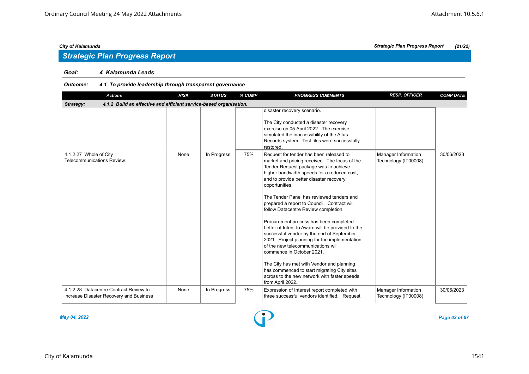# *Strategic Plan Progress Report*

# *Goal: 4 Kalamunda Leads*

# *Outcome: 4.1 To provide leadership through transparent governance*

| <b>Actions</b>                                                                    | <b>RISK</b> | <b>STATUS</b> | % COMP | <b>PROGRESS COMMENTS</b>                                                                                                                                                                                                                                                                                                                                                                                                                                                                                                                                                                                                                                                                                                                                                                                            | <b>RESP. OFFICER</b>                        | <b>COMP DATE</b> |  |  |  |  |
|-----------------------------------------------------------------------------------|-------------|---------------|--------|---------------------------------------------------------------------------------------------------------------------------------------------------------------------------------------------------------------------------------------------------------------------------------------------------------------------------------------------------------------------------------------------------------------------------------------------------------------------------------------------------------------------------------------------------------------------------------------------------------------------------------------------------------------------------------------------------------------------------------------------------------------------------------------------------------------------|---------------------------------------------|------------------|--|--|--|--|
| 4.1.2 Build an effective and efficient service-based organisation.<br>Strategy:   |             |               |        |                                                                                                                                                                                                                                                                                                                                                                                                                                                                                                                                                                                                                                                                                                                                                                                                                     |                                             |                  |  |  |  |  |
|                                                                                   |             |               |        | disaster recovery scenario.<br>The City conducted a disaster recovery<br>exercise on 05 April 2022. The exercise<br>simulated the inaccessibility of the Altus<br>Records system. Test files were successfully<br>restored.                                                                                                                                                                                                                                                                                                                                                                                                                                                                                                                                                                                         |                                             |                  |  |  |  |  |
| 4.1.2.27 Whole of City<br>Telecommunications Review.                              | None        | In Progress   | 75%    | Request for tender has been released to<br>market and pricing received. The focus of the<br>Tender Request package was to achieve<br>higher bandwidth speeds for a reduced cost,<br>and to provide better disaster recovery<br>opportunities.<br>The Tender Panel has reviewed tenders and<br>prepared a report to Council. Contract will<br>follow Datacentre Review completion.<br>Procurement process has been completed.<br>Letter of Intent to Award will be provided to the<br>successful vendor by the end of September<br>2021. Project planning for the implementation<br>of the new telecommunications will<br>commence in October 2021.<br>The City has met with Vendor and planning<br>has commenced to start migrating City sites<br>across to the new network with faster speeds,<br>from April 2022. | Manager Information<br>Technology (IT00008) | 30/06/2023       |  |  |  |  |
| 4.1.2.28 Datacentre Contract Review to<br>increase Disaster Recovery and Business | None        | In Progress   | 75%    | Expression of Interest report completed with<br>three successful vendors identified. Request                                                                                                                                                                                                                                                                                                                                                                                                                                                                                                                                                                                                                                                                                                                        | Manager Information<br>Technology (IT00008) | 30/06/2023       |  |  |  |  |

*May 04, 2022 Page 62 of 67*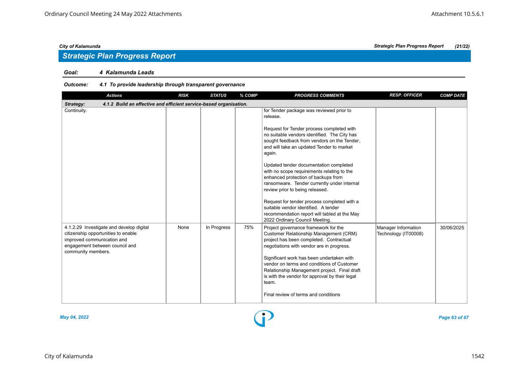## *Goal: 4 Kalamunda Leads*

# *Outcome: 4.1 To provide leadership through transparent governance*

| <b>Actions</b>                                                                                                                                                        | <b>RISK</b> | <b>STATUS</b> | % COMP | <b>PROGRESS COMMENTS</b>                                                                                                                                                                                                                                                                                                                                                                                                                                                                                                                                                                                                                          | <b>RESP. OFFICER</b>                        | <b>COMP DATE</b> |  |  |  |  |
|-----------------------------------------------------------------------------------------------------------------------------------------------------------------------|-------------|---------------|--------|---------------------------------------------------------------------------------------------------------------------------------------------------------------------------------------------------------------------------------------------------------------------------------------------------------------------------------------------------------------------------------------------------------------------------------------------------------------------------------------------------------------------------------------------------------------------------------------------------------------------------------------------------|---------------------------------------------|------------------|--|--|--|--|
| 4.1.2 Build an effective and efficient service-based organisation.<br>Strategy:                                                                                       |             |               |        |                                                                                                                                                                                                                                                                                                                                                                                                                                                                                                                                                                                                                                                   |                                             |                  |  |  |  |  |
| Continuity.                                                                                                                                                           |             |               |        | for Tender package was reviewed prior to<br>release.<br>Request for Tender process completed with<br>no suitable vendors identified. The City has<br>sought feedback from vendors on the Tender,<br>and will take an updated Tender to market<br>again.<br>Updated tender documentation completed<br>with no scope requirements relating to the<br>enhanced protection of backups from<br>ransomware. Tender currently under internal<br>review prior to being released.<br>Request for tender process completed with a<br>suitable vendor identified. A tender<br>recommendation report will tabled at the May<br>2022 Ordinary Council Meeting. |                                             |                  |  |  |  |  |
| 4.1.2.29 Investigate and develop digital<br>citizenship opportunities to enable<br>improved communication and<br>engagement between council and<br>community members. | None        | In Progress   | 75%    | Project governance framework for the<br>Customer Relationship Management (CRM)<br>project has been completed. Contractual<br>negotiations with vendor are in progress.<br>Significant work has been undertaken with<br>vendor on terms and conditions of Customer<br>Relationship Management project. Final draft<br>is with the vendor for approval by their legal<br>team.<br>Final review of terms and conditions                                                                                                                                                                                                                              | Manager Information<br>Technology (IT00008) | 30/06/2025       |  |  |  |  |



*May 04, 2022 Page 63 of 67*

# *City of Kalamunda Strategic Plan Progress Report (21/22)*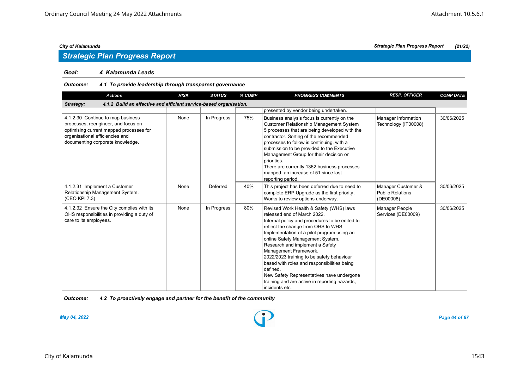# *Strategic Plan Progress Report*

## *Goal: 4 Kalamunda Leads*

### *Outcome: 4.1 To provide leadership through transparent governance*

| <b>Actions</b>                                                                                                                                                                             | <b>RISK</b> | <b>STATUS</b> | % COMP | <b>PROGRESS COMMENTS</b>                                                                                                                                                                                                                                                                                                                                                                                                                                                                                                              | <b>RESP. OFFICER</b>                                       | <b>COMP DATE</b> |  |  |  |  |
|--------------------------------------------------------------------------------------------------------------------------------------------------------------------------------------------|-------------|---------------|--------|---------------------------------------------------------------------------------------------------------------------------------------------------------------------------------------------------------------------------------------------------------------------------------------------------------------------------------------------------------------------------------------------------------------------------------------------------------------------------------------------------------------------------------------|------------------------------------------------------------|------------------|--|--|--|--|
| 4.1.2 Build an effective and efficient service-based organisation.<br>Strategy:                                                                                                            |             |               |        |                                                                                                                                                                                                                                                                                                                                                                                                                                                                                                                                       |                                                            |                  |  |  |  |  |
|                                                                                                                                                                                            |             |               |        | presented by vendor being undertaken.                                                                                                                                                                                                                                                                                                                                                                                                                                                                                                 |                                                            |                  |  |  |  |  |
| 4.1.2.30 Continue to map business<br>processes, reengineer, and focus on<br>optimising current mapped processes for<br>organisational efficiencies and<br>documenting corporate knowledge. | None        | In Progress   | 75%    | Business analysis focus is currently on the<br><b>Customer Relationship Management System</b><br>5 processes that are being developed with the<br>contractor. Sorting of the recommended<br>processes to follow is continuing, with a<br>submission to be provided to the Executive<br>Management Group for their decision on<br>priorities.<br>There are currently 1362 business processes<br>mapped, an increase of 51 since last<br>reporting period.                                                                              | Manager Information<br>Technology (IT00008)                | 30/06/2025       |  |  |  |  |
| 4.1.2.31 Implement a Customer<br>Relationship Management System.<br>(CEO KPI 7.3)                                                                                                          | None        | Deferred      | 40%    | This project has been deferred due to need to<br>complete ERP Upgrade as the first priority.<br>Works to review options underway.                                                                                                                                                                                                                                                                                                                                                                                                     | Manager Customer &<br><b>Public Relations</b><br>(DE00008) | 30/06/2025       |  |  |  |  |
| 4.1.2.32 Ensure the City complies with its<br>OHS responsibilities in providing a duty of<br>care to its employees.                                                                        | None        | In Progress   | 80%    | Revised Work Health & Safety (WHS) laws<br>released end of March 2022.<br>Internal policy and procedures to be edited to<br>reflect the change from OHS to WHS.<br>Implementation of a pilot program using an<br>online Safety Management System.<br>Research and implement a Safety<br>Management Framework.<br>2022/2023 training to be safety behaviour<br>based with roles and responsibilities being<br>defined.<br>New Safety Representatives have undergone<br>training and are active in reporting hazards,<br>incidents etc. | Manager People<br>Services (DE00009)                       | 30/06/2025       |  |  |  |  |

*Outcome: 4.2 To proactively engage and partner for the benefit of the community*



*May 04, 2022 Page 64 of 67*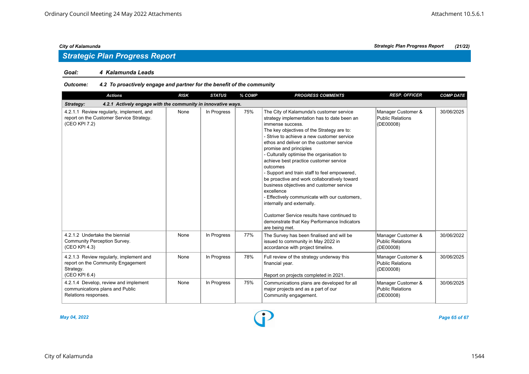## *Goal: 4 Kalamunda Leads*

# *Outcome: 4.2 To proactively engage and partner for the benefit of the community*

| <b>Actions</b>                                                                                              | <b>RISK</b> | <b>STATUS</b> | % COMP | <b>PROGRESS COMMENTS</b>                                                                                                                                                                                                                                                                                                                                                                                                                                                                                                                                                                                                                                                                                                                  | <b>RESP. OFFICER</b>                                       | <b>COMP DATE</b> |  |  |
|-------------------------------------------------------------------------------------------------------------|-------------|---------------|--------|-------------------------------------------------------------------------------------------------------------------------------------------------------------------------------------------------------------------------------------------------------------------------------------------------------------------------------------------------------------------------------------------------------------------------------------------------------------------------------------------------------------------------------------------------------------------------------------------------------------------------------------------------------------------------------------------------------------------------------------------|------------------------------------------------------------|------------------|--|--|
| 4.2.1 Actively engage with the community in innovative ways.<br>Strategy:                                   |             |               |        |                                                                                                                                                                                                                                                                                                                                                                                                                                                                                                                                                                                                                                                                                                                                           |                                                            |                  |  |  |
| 4.2.1.1 Review regularly, implement, and<br>report on the Customer Service Strategy.<br>(CEO KPI 7.2)       | None        | In Progress   | 75%    | The City of Kalamunda's customer service<br>strategy implementation has to date been an<br>immense success.<br>The key objectives of the Strategy are to:<br>- Strive to achieve a new customer service<br>ethos and deliver on the customer service<br>promise and principles<br>- Culturally optimise the organisation to<br>achieve best practice customer service<br>outcomes<br>- Support and train staff to feel empowered,<br>be proactive and work collaboratively toward<br>business objectives and customer service<br>excellence<br>- Effectively communicate with our customers,<br>internally and externally.<br>Customer Service results have continued to<br>demonstrate that Key Performance Indicators<br>are being met. | Manager Customer &<br><b>Public Relations</b><br>(DE00008) | 30/06/2025       |  |  |
| 4.2.1.2 Undertake the biennial<br>Community Perception Survey.<br>(CEO KPI 4.3)                             | None        | In Progress   | 77%    | The Survey has been finalised and will be<br>issued to community in May 2022 in<br>accordance with project timeline.                                                                                                                                                                                                                                                                                                                                                                                                                                                                                                                                                                                                                      | Manager Customer &<br><b>Public Relations</b><br>(DE00008) | 30/06/2022       |  |  |
| 4.2.1.3 Review regularly, implement and<br>report on the Community Engagement<br>Strategy.<br>(CEO KPI 6.4) | None        | In Progress   | 78%    | Full review of the strategy underway this<br>financial year.<br>Report on projects completed in 2021.                                                                                                                                                                                                                                                                                                                                                                                                                                                                                                                                                                                                                                     | Manager Customer &<br><b>Public Relations</b><br>(DE00008) | 30/06/2025       |  |  |
| 4.2.1.4 Develop, review and implement<br>communications plans and Public<br>Relations responses.            | None        | In Progress   | 75%    | Communications plans are developed for all<br>major projects and as a part of our<br>Community engagement.                                                                                                                                                                                                                                                                                                                                                                                                                                                                                                                                                                                                                                | Manager Customer &<br><b>Public Relations</b><br>(DE00008) | 30/06/2025       |  |  |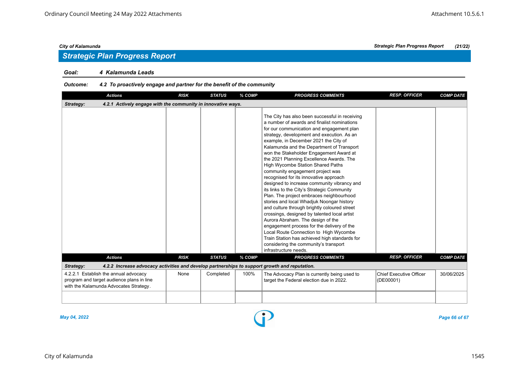## *Goal: 4 Kalamunda Leads*

# *Outcome: 4.2 To proactively engage and partner for the benefit of the community*

| <b>Actions</b>                                                                                                               | <b>RISK</b> | <b>STATUS</b> | % COMP | <b>PROGRESS COMMENTS</b>                                                                                                                                                                                                                                                                                                                                                                                                                                                                                                                                                                                                                                                                                                                                                                                                                                                                                                                                                                                                               | <b>RESP. OFFICER</b>                        | <b>COMP DATE</b> |  |  |
|------------------------------------------------------------------------------------------------------------------------------|-------------|---------------|--------|----------------------------------------------------------------------------------------------------------------------------------------------------------------------------------------------------------------------------------------------------------------------------------------------------------------------------------------------------------------------------------------------------------------------------------------------------------------------------------------------------------------------------------------------------------------------------------------------------------------------------------------------------------------------------------------------------------------------------------------------------------------------------------------------------------------------------------------------------------------------------------------------------------------------------------------------------------------------------------------------------------------------------------------|---------------------------------------------|------------------|--|--|
| 4.2.1 Actively engage with the community in innovative ways.<br>Strategy:                                                    |             |               |        |                                                                                                                                                                                                                                                                                                                                                                                                                                                                                                                                                                                                                                                                                                                                                                                                                                                                                                                                                                                                                                        |                                             |                  |  |  |
|                                                                                                                              |             |               |        | The City has also been successful in receiving<br>a number of awards and finalist nominations<br>for our communication and engagement plan<br>strategy, development and execution. As an<br>example, in December 2021 the City of<br>Kalamunda and the Department of Transport<br>won the Stakeholder Engagement Award at<br>the 2021 Planning Excellence Awards. The<br><b>High Wycombe Station Shared Paths</b><br>community engagement project was<br>recognised for its innovative approach<br>designed to increase community vibrancy and<br>its links to the City's Strategic Community<br>Plan. The project embraces neighbourhood<br>stories and local Whadjuk Noongar history<br>and culture through brightly coloured street<br>crossings, designed by talented local artist<br>Aurora Abraham. The design of the<br>engagement process for the delivery of the<br>Local Route Connection to High Wycombe<br>Train Station has achieved high standards for<br>considering the community's transport<br>infrastructure needs. |                                             |                  |  |  |
| <b>Actions</b>                                                                                                               | <b>RISK</b> | <b>STATUS</b> | % COMP | <b>PROGRESS COMMENTS</b>                                                                                                                                                                                                                                                                                                                                                                                                                                                                                                                                                                                                                                                                                                                                                                                                                                                                                                                                                                                                               | <b>RESP. OFFICER</b>                        | <b>COMP DATE</b> |  |  |
| Strategy:<br>4.2.2 Increase advocacy activities and develop partnerships to support growth and reputation.                   |             |               |        |                                                                                                                                                                                                                                                                                                                                                                                                                                                                                                                                                                                                                                                                                                                                                                                                                                                                                                                                                                                                                                        |                                             |                  |  |  |
| 4.2.2.1 Establish the annual advocacy<br>program and target audience plans in line<br>with the Kalamunda Advocates Strategy. | None        | Completed     | 100%   | The Advocacy Plan is currently being used to<br>target the Federal election due in 2022.                                                                                                                                                                                                                                                                                                                                                                                                                                                                                                                                                                                                                                                                                                                                                                                                                                                                                                                                               | <b>Chief Executive Officer</b><br>(DE00001) | 30/06/2025       |  |  |
|                                                                                                                              |             |               |        |                                                                                                                                                                                                                                                                                                                                                                                                                                                                                                                                                                                                                                                                                                                                                                                                                                                                                                                                                                                                                                        |                                             |                  |  |  |

*May 04, 2022 Page 66 of 67*